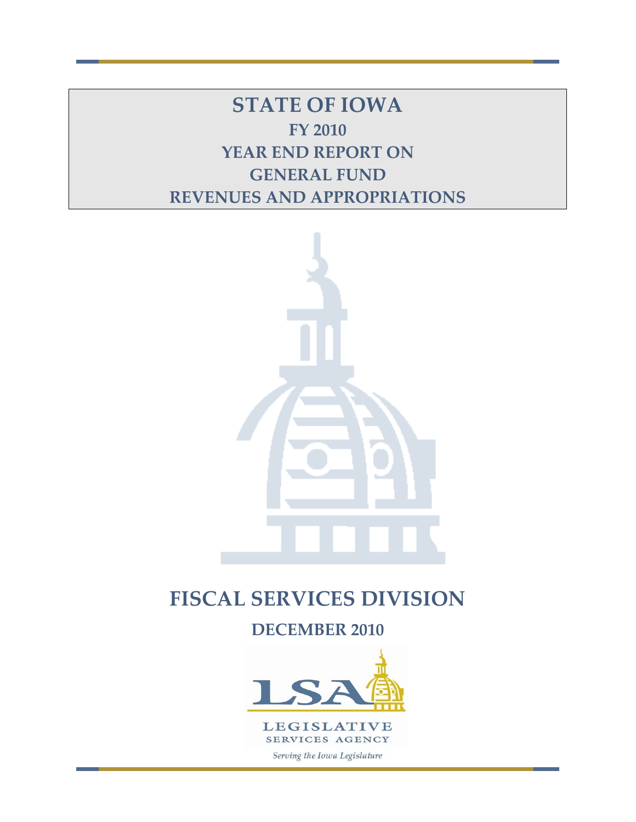**STATE OF IOWA FY 2010 YEAR END REPORT ON GENERAL FUND REVENUES AND APPROPRIATIONS**



# **FISCAL SERVICES DIVISION**

**DECEMBER 2010** 

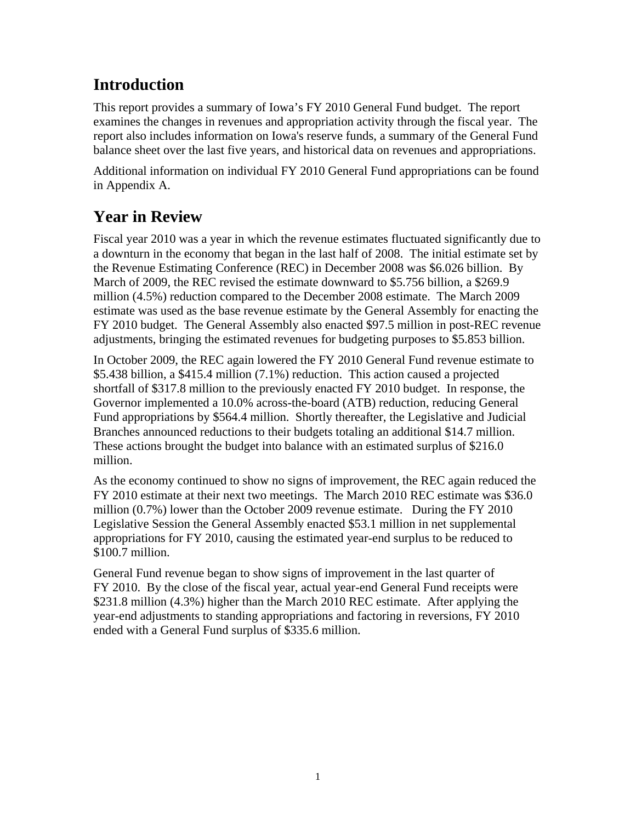# **Introduction**

This report provides a summary of Iowa's FY 2010 General Fund budget. The report examines the changes in revenues and appropriation activity through the fiscal year. The report also includes information on Iowa's reserve funds, a summary of the General Fund balance sheet over the last five years, and historical data on revenues and appropriations.

Additional information on individual FY 2010 General Fund appropriations can be found in Appendix A.

# **Year in Review**

Fiscal year 2010 was a year in which the revenue estimates fluctuated significantly due to a downturn in the economy that began in the last half of 2008. The initial estimate set by the Revenue Estimating Conference (REC) in December 2008 was \$6.026 billion. By March of 2009, the REC revised the estimate downward to \$5.756 billion, a \$269.9 million (4.5%) reduction compared to the December 2008 estimate. The March 2009 estimate was used as the base revenue estimate by the General Assembly for enacting the FY 2010 budget. The General Assembly also enacted \$97.5 million in post-REC revenue adjustments, bringing the estimated revenues for budgeting purposes to \$5.853 billion.

In October 2009, the REC again lowered the FY 2010 General Fund revenue estimate to \$5.438 billion, a \$415.4 million (7.1%) reduction. This action caused a projected shortfall of \$317.8 million to the previously enacted FY 2010 budget. In response, the Governor implemented a 10.0% across-the-board (ATB) reduction, reducing General Fund appropriations by \$564.4 million. Shortly thereafter, the Legislative and Judicial Branches announced reductions to their budgets totaling an additional \$14.7 million. These actions brought the budget into balance with an estimated surplus of \$216.0 million.

As the economy continued to show no signs of improvement, the REC again reduced the FY 2010 estimate at their next two meetings. The March 2010 REC estimate was \$36.0 million (0.7%) lower than the October 2009 revenue estimate. During the FY 2010 Legislative Session the General Assembly enacted \$53.1 million in net supplemental appropriations for FY 2010, causing the estimated year-end surplus to be reduced to \$100.7 million.

General Fund revenue began to show signs of improvement in the last quarter of FY 2010. By the close of the fiscal year, actual year-end General Fund receipts were \$231.8 million (4.3%) higher than the March 2010 REC estimate. After applying the year-end adjustments to standing appropriations and factoring in reversions, FY 2010 ended with a General Fund surplus of \$335.6 million.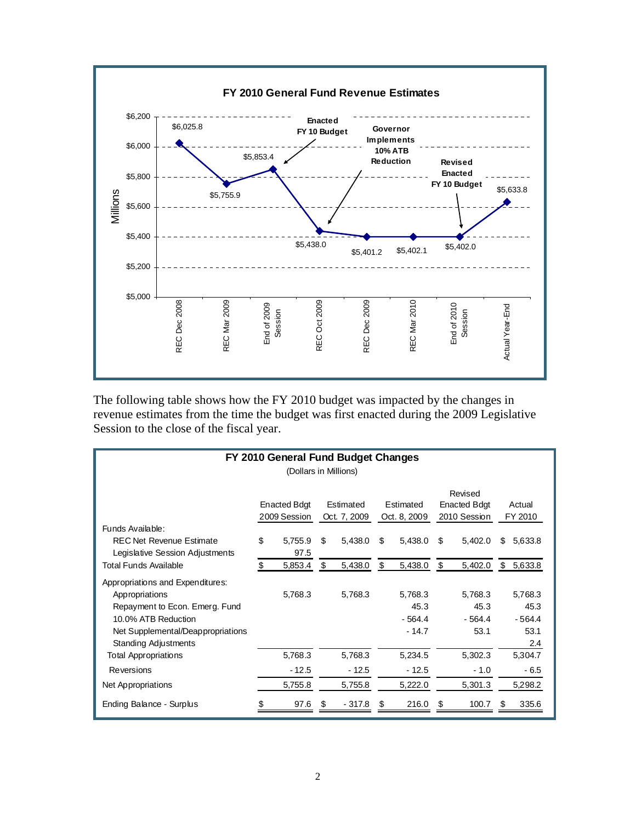

The following table shows how the FY 2010 budget was impacted by the changes in revenue estimates from the time the budget was first enacted during the 2009 Legislative Session to the close of the fiscal year.

| FY 2010 General Fund Budget Changes                                                                                                                                             |    |                                                                                               |    |         |                                                |                                        |    |                                     |    |                                            |
|---------------------------------------------------------------------------------------------------------------------------------------------------------------------------------|----|-----------------------------------------------------------------------------------------------|----|---------|------------------------------------------------|----------------------------------------|----|-------------------------------------|----|--------------------------------------------|
|                                                                                                                                                                                 |    | (Dollars in Millions)                                                                         |    |         |                                                |                                        |    |                                     |    |                                            |
|                                                                                                                                                                                 |    | <b>Enacted Bdgt</b><br>Estimated<br>Estimated<br>2009 Session<br>Oct. 7, 2009<br>Oct. 8, 2009 |    |         | Revised<br><b>Enacted Bdgt</b><br>2010 Session |                                        |    | Actual<br>FY 2010                   |    |                                            |
| Funds Available:<br><b>REC Net Revenue Estimate</b><br>Legislative Session Adjustments                                                                                          | \$ | 5,755.9<br>97.5                                                                               | \$ | 5,438.0 | \$                                             | 5,438.0                                | \$ | 5,402.0                             | \$ | 5,633.8                                    |
| <b>Total Funds Available</b>                                                                                                                                                    |    | 5,853.4                                                                                       |    | 5,438.0 | S                                              | 5,438.0                                | S  | 5,402.0                             | \$ | 5,633.8                                    |
| Appropriations and Expenditures:<br>Appropriations<br>Repayment to Econ. Emerg. Fund<br>10.0% ATB Reduction<br>Net Supplemental/Deappropriations<br><b>Standing Adjustments</b> |    | 5,768.3                                                                                       |    | 5,768.3 |                                                | 5,768.3<br>45.3<br>$-564.4$<br>$-14.7$ |    | 5,768.3<br>45.3<br>$-564.4$<br>53.1 |    | 5,768.3<br>45.3<br>$-564.4$<br>53.1<br>2.4 |
| <b>Total Appropriations</b>                                                                                                                                                     |    | 5,768.3                                                                                       |    | 5,768.3 |                                                | 5,234.5                                |    | 5,302.3                             |    | 5,304.7                                    |
| Reversions                                                                                                                                                                      |    | $-12.5$                                                                                       |    | $-12.5$ |                                                | $-12.5$                                |    | $-1.0$                              |    | $-6.5$                                     |
| Net Appropriations                                                                                                                                                              |    | 5,755.8                                                                                       |    | 5,755.8 |                                                | 5,222.0                                |    | 5,301.3                             |    | 5,298.2                                    |
| Ending Balance - Surplus                                                                                                                                                        |    | 97.6                                                                                          | S  | - 317.8 | S                                              | 216.0                                  | S  | 100.7                               | S  | 335.6                                      |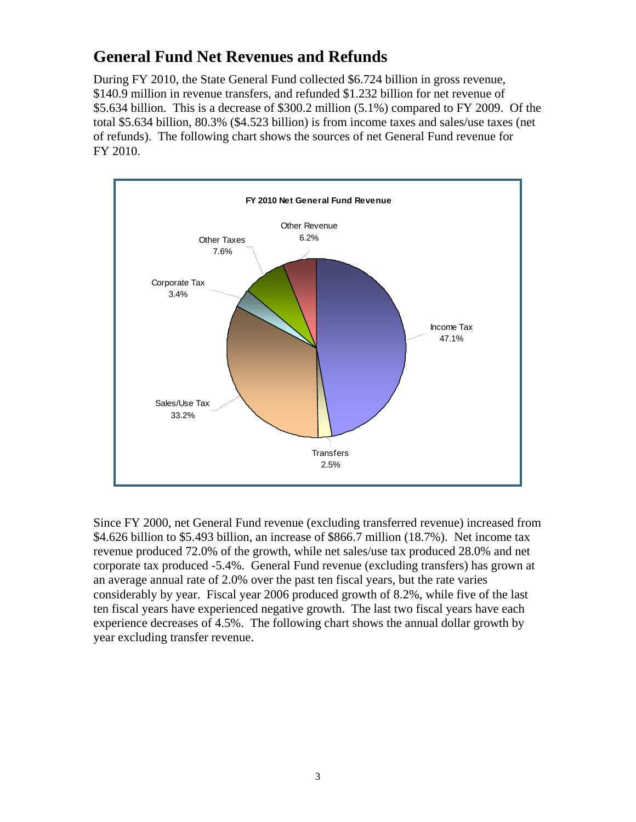# **General Fund Net Revenues and Refunds**

During FY 2010, the State General Fund collected \$6.724 billion in gross revenue, \$140.9 million in revenue transfers, and refunded \$1.232 billion for net revenue of \$5.634 billion. This is a decrease of \$300.2 million (5.1%) compared to FY 2009. Of the total \$5.634 billion, 80.3% (\$4.523 billion) is from income taxes and sales/use taxes (net of refunds). The following chart shows the sources of net General Fund revenue for FY 2010.



Since FY 2000, net General Fund revenue (excluding transferred revenue) increased from \$4.626 billion to \$5.493 billion, an increase of \$866.7 million (18.7%). Net income tax revenue produced 72.0% of the growth, while net sales/use tax produced 28.0% and net corporate tax produced -5.4%. General Fund revenue (excluding transfers) has grown at an average annual rate of 2.0% over the past ten fiscal years, but the rate varies considerably by year. Fiscal year 2006 produced growth of 8.2%, while five of the last ten fiscal years have experienced negative growth. The last two fiscal years have each experience decreases of 4.5%. The following chart shows the annual dollar growth by year excluding transfer revenue.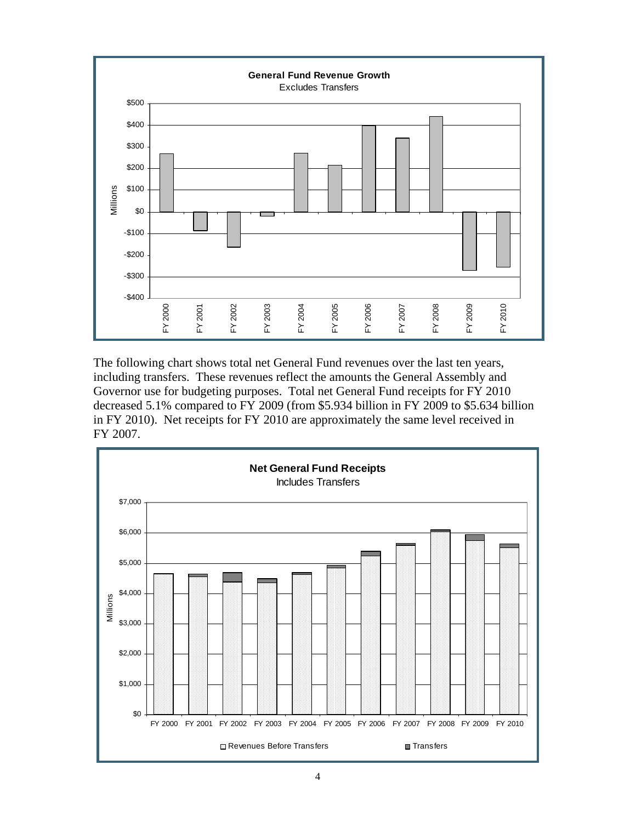

The following chart shows total net General Fund revenues over the last ten years, including transfers. These revenues reflect the amounts the General Assembly and Governor use for budgeting purposes. Total net General Fund receipts for FY 2010 decreased 5.1% compared to FY 2009 (from \$5.934 billion in FY 2009 to \$5.634 billion in FY 2010). Net receipts for FY 2010 are approximately the same level received in FY 2007.

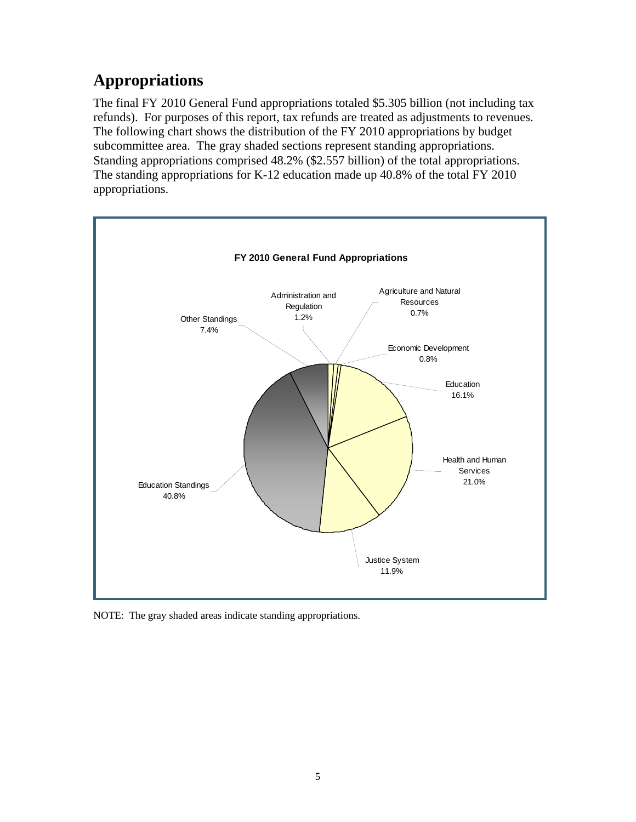# **Appropriations**

The final FY 2010 General Fund appropriations totaled \$5.305 billion (not including tax refunds). For purposes of this report, tax refunds are treated as adjustments to revenues. The following chart shows the distribution of the FY 2010 appropriations by budget subcommittee area. The gray shaded sections represent standing appropriations. Standing appropriations comprised 48.2% (\$2.557 billion) of the total appropriations. The standing appropriations for K-12 education made up 40.8% of the total FY 2010 appropriations.



NOTE: The gray shaded areas indicate standing appropriations.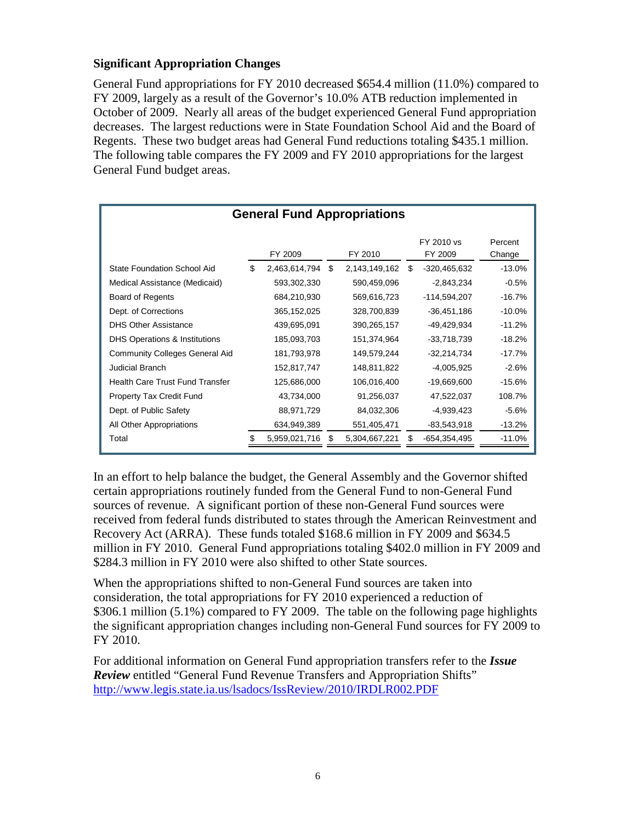### **Significant Appropriation Changes**

General Fund appropriations for FY 2010 decreased \$654.4 million (11.0%) compared to FY 2009, largely as a result of the Governor's 10.0% ATB reduction implemented in October of 2009. Nearly all areas of the budget experienced General Fund appropriation decreases. The largest reductions were in State Foundation School Aid and the Board of Regents. These two budget areas had General Fund reductions totaling \$435.1 million. The following table compares the FY 2009 and FY 2010 appropriations for the largest General Fund budget areas.

| <b>General Fund Appropriations</b>       |    |               |    |               |   |                       |                   |
|------------------------------------------|----|---------------|----|---------------|---|-----------------------|-------------------|
|                                          |    | FY 2009       |    | FY 2010       |   | FY 2010 vs<br>FY 2009 | Percent<br>Change |
| <b>State Foundation School Aid</b>       | \$ | 2,463,614,794 | \$ | 2,143,149,162 | S | -320,465,632          | $-13.0%$          |
| Medical Assistance (Medicaid)            |    | 593,302,330   |    | 590,459,096   |   | -2,843,234            | $-0.5%$           |
| Board of Regents                         |    | 684,210,930   |    | 569,616,723   |   | $-114,594,207$        | $-16.7%$          |
| Dept. of Corrections                     |    | 365, 152, 025 |    | 328,700,839   |   | -36,451,186           | $-10.0\%$         |
| <b>DHS Other Assistance</b>              |    | 439,695,091   |    | 390,265,157   |   | -49,429,934           | $-11.2%$          |
| <b>DHS Operations &amp; Institutions</b> |    | 185,093,703   |    | 151,374,964   |   | -33,718,739           | $-18.2%$          |
| <b>Community Colleges General Aid</b>    |    | 181,793,978   |    | 149,579,244   |   | -32,214,734           | $-17.7%$          |
| <b>Judicial Branch</b>                   |    | 152,817,747   |    | 148,811,822   |   | $-4,005,925$          | $-2.6%$           |
| Health Care Trust Fund Transfer          |    | 125,686,000   |    | 106,016,400   |   | -19,669,600           | $-15.6\%$         |
| Property Tax Credit Fund                 |    | 43,734,000    |    | 91,256,037    |   | 47,522,037            | 108.7%            |
| Dept. of Public Safety                   |    | 88,971,729    |    | 84,032,306    |   | -4,939,423            | $-5.6%$           |
| All Other Appropriations                 |    | 634,949,389   |    | 551,405,471   |   | $-83,543,918$         | $-13.2\%$         |
| Total                                    |    | 5,959,021,716 |    | 5,304,667,221 |   | $-654,354,495$        | $-11.0%$          |

In an effort to help balance the budget, the General Assembly and the Governor shifted certain appropriations routinely funded from the General Fund to non-General Fund sources of revenue. A significant portion of these non-General Fund sources were received from federal funds distributed to states through the American Reinvestment and Recovery Act (ARRA). These funds totaled \$168.6 million in FY 2009 and \$634.5 million in FY 2010. General Fund appropriations totaling \$402.0 million in FY 2009 and \$284.3 million in FY 2010 were also shifted to other State sources.

When the appropriations shifted to non-General Fund sources are taken into consideration, the total appropriations for FY 2010 experienced a reduction of \$306.1 million (5.1%) compared to FY 2009. The table on the following page highlights the significant appropriation changes including non-General Fund sources for FY 2009 to FY 2010.

For additional information on General Fund appropriation transfers refer to the *Issue Review* entitled "General Fund Revenue Transfers and Appropriation Shifts" <http://www.legis.state.ia.us/lsadocs/IssReview/2010/IRDLR002.PDF>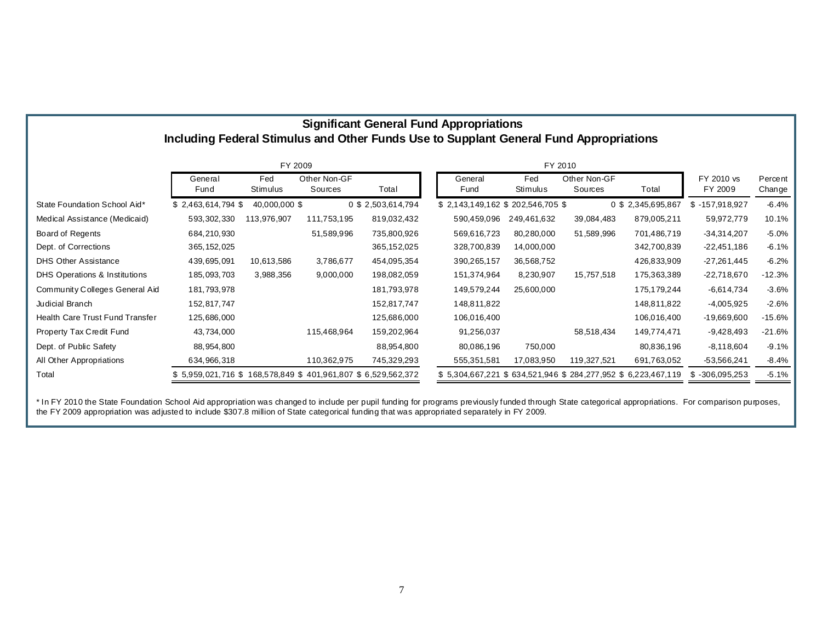| <b>Significant General Fund Appropriations</b>                                         |  |
|----------------------------------------------------------------------------------------|--|
| Including Federal Stimulus and Other Funds Use to Supplant General Fund Appropriations |  |

|                                 | FY 2009                                                     |                 |                         |                    |                                                                 |                 |                         |                   |                       |                   |
|---------------------------------|-------------------------------------------------------------|-----------------|-------------------------|--------------------|-----------------------------------------------------------------|-----------------|-------------------------|-------------------|-----------------------|-------------------|
|                                 | General<br>Fund                                             | Fed<br>Stimulus | Other Non-GF<br>Sources | Total              | General<br>Fund                                                 | Fed<br>Stimulus | Other Non-GF<br>Sources | Total             | FY 2010 vs<br>FY 2009 | Percent<br>Change |
| State Foundation School Aid*    | \$2,463,614,794                                             | 40,000,000 \$   |                         | 0 \$ 2,503,614,794 | \$2,143,149,162 \$202,546,705 \$                                |                 |                         | 0 \$2,345,695,867 | $$-157,918,927$       | $-6.4%$           |
| Medical Assistance (Medicaid)   | 593, 302, 330                                               | 113,976,907     | 111,753,195             | 819,032,432        | 590,459,096                                                     | 249,461,632     | 39,084,483              | 879,005,211       | 59,972,779            | 10.1%             |
| Board of Regents                | 684,210,930                                                 |                 | 51,589,996              | 735,800,926        | 569,616,723                                                     | 80,280,000      | 51,589,996              | 701,486,719       | $-34,314,207$         | $-5.0%$           |
| Dept. of Corrections            | 365, 152, 025                                               |                 |                         | 365,152,025        | 328,700,839                                                     | 14,000,000      |                         | 342,700,839       | $-22,451,186$         | $-6.1%$           |
| <b>DHS Other Assistance</b>     | 439,695,091                                                 | 10,613,586      | 3,786,677               | 454,095,354        | 390,265,157                                                     | 36,568,752      |                         | 426,833,909       | $-27,261,445$         | $-6.2%$           |
| DHS Operations & Institutions   | 185,093,703                                                 | 3,988,356       | 9,000,000               | 198,082,059        | 151,374,964                                                     | 8,230,907       | 15,757,518              | 175,363,389       | $-22,718,670$         | $-12.3%$          |
| Community Colleges General Aid  | 181,793,978                                                 |                 |                         | 181,793,978        | 149,579,244                                                     | 25,600,000      |                         | 175,179,244       | -6,614,734            | $-3.6%$           |
| Judicial Branch                 | 152,817,747                                                 |                 |                         | 152,817,747        | 148,811,822                                                     |                 |                         | 148,811,822       | $-4,005,925$          | $-2.6%$           |
| Health Care Trust Fund Transfer | 125,686,000                                                 |                 |                         | 125,686,000        | 106,016,400                                                     |                 |                         | 106,016,400       | $-19,669,600$         | $-15.6%$          |
| Property Tax Credit Fund        | 43,734,000                                                  |                 | 115,468,964             | 159,202,964        | 91,256,037                                                      |                 | 58,518,434              | 149,774,471       | $-9,428,493$          | $-21.6%$          |
| Dept. of Public Safety          | 88,954,800                                                  |                 |                         | 88,954,800         | 80,086,196                                                      | 750,000         |                         | 80,836,196        | $-8,118,604$          | $-9.1%$           |
| All Other Appropriations        | 634,966,318                                                 |                 | 110,362,975             | 745,329,293        | 555,351,581                                                     | 17,083,950      | 119,327,521             | 691,763,052       | $-53,566,241$         | $-8.4%$           |
| Total                           | \$5,959,021,716 \$168,578,849 \$401,961,807 \$6,529,562,372 |                 |                         |                    | \$ 5,304,667,221 \$ 634,521,946 \$ 284,277,952 \$ 6,223,467,119 |                 |                         |                   | $$ -306,095,253$      | $-5.1%$           |

\* In FY 2010 the State Foundation School Aid appropriation was changed to include per pupil funding for programs previously funded through State categorical appropriations. For comparison purposes, the FY 2009 appropriation was adjusted to include \$307.8 million of State categorical funding that was appropriated separately in FY 2009.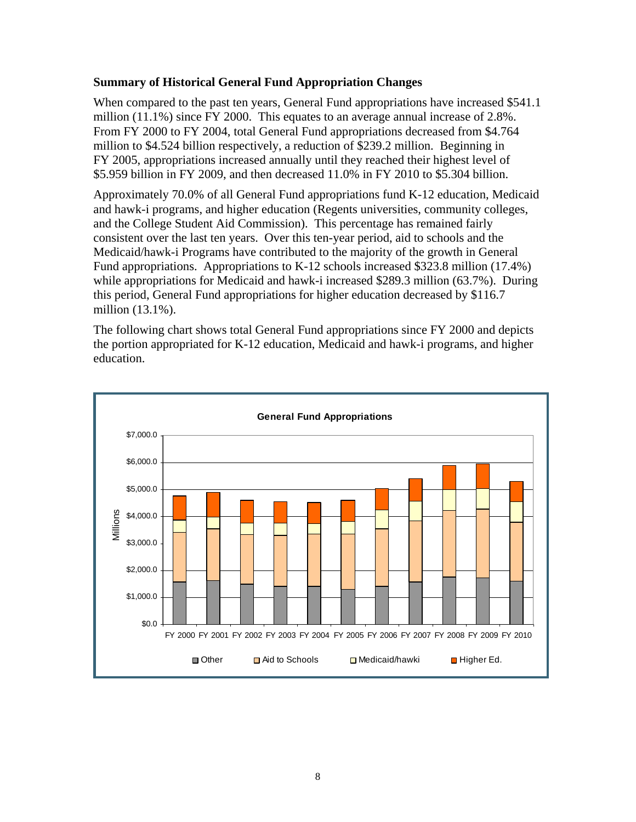### **Summary of Historical General Fund Appropriation Changes**

When compared to the past ten years, General Fund appropriations have increased \$541.1 million (11.1%) since FY 2000. This equates to an average annual increase of 2.8%. From FY 2000 to FY 2004, total General Fund appropriations decreased from \$4.764 million to \$4.524 billion respectively, a reduction of \$239.2 million. Beginning in FY 2005, appropriations increased annually until they reached their highest level of \$5.959 billion in FY 2009, and then decreased 11.0% in FY 2010 to \$5.304 billion.

Approximately 70.0% of all General Fund appropriations fund K-12 education, Medicaid and hawk-i programs, and higher education (Regents universities, community colleges, and the College Student Aid Commission). This percentage has remained fairly consistent over the last ten years. Over this ten-year period, aid to schools and the Medicaid/hawk-i Programs have contributed to the majority of the growth in General Fund appropriations. Appropriations to K-12 schools increased \$323.8 million (17.4%) while appropriations for Medicaid and hawk-i increased \$289.3 million (63.7%). During this period, General Fund appropriations for higher education decreased by \$116.7 million (13.1%).

The following chart shows total General Fund appropriations since FY 2000 and depicts the portion appropriated for K-12 education, Medicaid and hawk-i programs, and higher education.

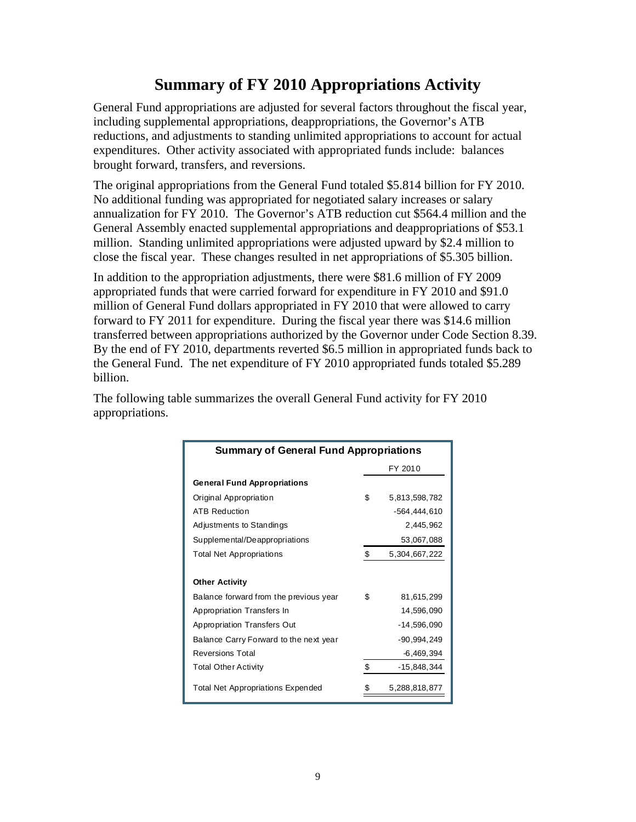# **Summary of FY 2010 Appropriations Activity**

General Fund appropriations are adjusted for several factors throughout the fiscal year, including supplemental appropriations, deappropriations, the Governor's ATB reductions, and adjustments to standing unlimited appropriations to account for actual expenditures. Other activity associated with appropriated funds include: balances brought forward, transfers, and reversions.

The original appropriations from the General Fund totaled \$5.814 billion for FY 2010. No additional funding was appropriated for negotiated salary increases or salary annualization for FY 2010. The Governor's ATB reduction cut \$564.4 million and the General Assembly enacted supplemental appropriations and deappropriations of \$53.1 million. Standing unlimited appropriations were adjusted upward by \$2.4 million to close the fiscal year. These changes resulted in net appropriations of \$5.305 billion.

In addition to the appropriation adjustments, there were \$81.6 million of FY 2009 appropriated funds that were carried forward for expenditure in FY 2010 and \$91.0 million of General Fund dollars appropriated in FY 2010 that were allowed to carry forward to FY 2011 for expenditure. During the fiscal year there was \$14.6 million transferred between appropriations authorized by the Governor under Code Section 8.39. By the end of FY 2010, departments reverted \$6.5 million in appropriated funds back to the General Fund. The net expenditure of FY 2010 appropriated funds totaled \$5.289 billion.

The following table summarizes the overall General Fund activity for FY 2010 appropriations.

| <b>Summary of General Fund Appropriations</b> |    |               |  |  |  |
|-----------------------------------------------|----|---------------|--|--|--|
|                                               |    | FY 2010       |  |  |  |
| <b>General Fund Appropriations</b>            |    |               |  |  |  |
| Original Appropriation                        | \$ | 5,813,598,782 |  |  |  |
| <b>ATB Reduction</b>                          |    | -564.444.610  |  |  |  |
| Adjustments to Standings                      |    | 2.445.962     |  |  |  |
| Supplemental/Deappropriations                 |    | 53,067,088    |  |  |  |
| <b>Total Net Appropriations</b>               | \$ | 5,304,667,222 |  |  |  |
|                                               |    |               |  |  |  |
| <b>Other Activity</b>                         |    |               |  |  |  |
| Balance forward from the previous year        | \$ | 81,615,299    |  |  |  |
| Appropriation Transfers In                    |    | 14,596,090    |  |  |  |
| Appropriation Transfers Out                   |    | -14,596,090   |  |  |  |
| Balance Carry Forward to the next year        |    | -90.994.249   |  |  |  |
| <b>Reversions Total</b>                       |    | $-6,469,394$  |  |  |  |
| <b>Total Other Activity</b>                   | \$ | -15,848,344   |  |  |  |
| <b>Total Net Appropriations Expended</b>      |    | 5,288,818,877 |  |  |  |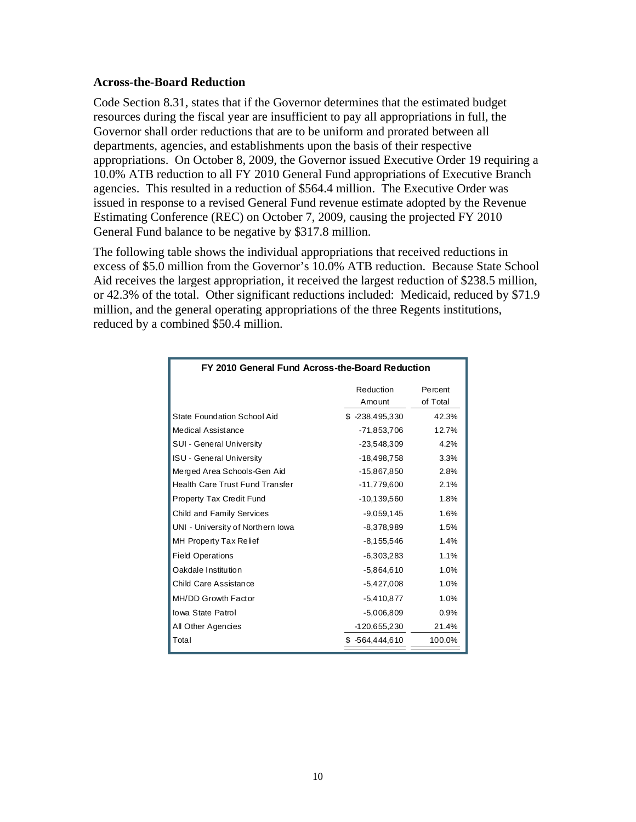### **Across-the-Board Reduction**

Code Section 8.31, states that if the Governor determines that the estimated budget resources during the fiscal year are insufficient to pay all appropriations in full, the Governor shall order reductions that are to be uniform and prorated between all departments, agencies, and establishments upon the basis of their respective appropriations. On October 8, 2009, the Governor issued Executive Order 19 requiring a 10.0% ATB reduction to all FY 2010 General Fund appropriations of Executive Branch agencies. This resulted in a reduction of \$564.4 million. The Executive Order was issued in response to a revised General Fund revenue estimate adopted by the Revenue Estimating Conference (REC) on October 7, 2009, causing the projected FY 2010 General Fund balance to be negative by \$317.8 million.

The following table shows the individual appropriations that received reductions in excess of \$5.0 million from the Governor's 10.0% ATB reduction. Because State School Aid receives the largest appropriation, it received the largest reduction of \$238.5 million, or 42.3% of the total. Other significant reductions included: Medicaid, reduced by \$71.9 million, and the general operating appropriations of the three Regents institutions, reduced by a combined \$50.4 million.

| FY 2010 General Fund Across-the-Board Reduction |                     |                     |  |  |  |  |
|-------------------------------------------------|---------------------|---------------------|--|--|--|--|
|                                                 | Reduction<br>Amount | Percent<br>of Total |  |  |  |  |
| <b>State Foundation School Aid</b>              | $$ -238,495,330$    | 42.3%               |  |  |  |  |
| <b>Medical Assistance</b>                       | $-71,853,706$       | 12.7%               |  |  |  |  |
| <b>SUI - General University</b>                 | $-23,548,309$       | 4.2%                |  |  |  |  |
| <b>ISU - General University</b>                 | $-18.498.758$       | 3.3%                |  |  |  |  |
| Merged Area Schools-Gen Aid                     | -15,867,850         | 2.8%                |  |  |  |  |
| Health Care Trust Fund Transfer                 | $-11,779,600$       | 2.1%                |  |  |  |  |
| Property Tax Credit Fund                        | $-10, 139, 560$     | 1.8%                |  |  |  |  |
| Child and Family Services                       | $-9,059,145$        | 1.6%                |  |  |  |  |
| UNI - University of Northern Iowa               | $-8,378,989$        | 1.5%                |  |  |  |  |
| MH Property Tax Relief                          | $-8, 155, 546$      | 1.4%                |  |  |  |  |
| <b>Field Operations</b>                         | $-6,303,283$        | 1.1%                |  |  |  |  |
| Oakdale Institution                             | $-5,864,610$        | 1.0%                |  |  |  |  |
| Child Care Assistance                           | $-5,427,008$        | 1.0%                |  |  |  |  |
| MH/DD Growth Factor                             | $-5,410,877$        | 1.0%                |  |  |  |  |
| <b>Iowa State Patrol</b>                        | $-5,006,809$        | 0.9%                |  |  |  |  |
| All Other Agencies                              | -120,655,230        | 21.4%               |  |  |  |  |
| Total                                           | -564,444,610<br>\$. | 100.0%              |  |  |  |  |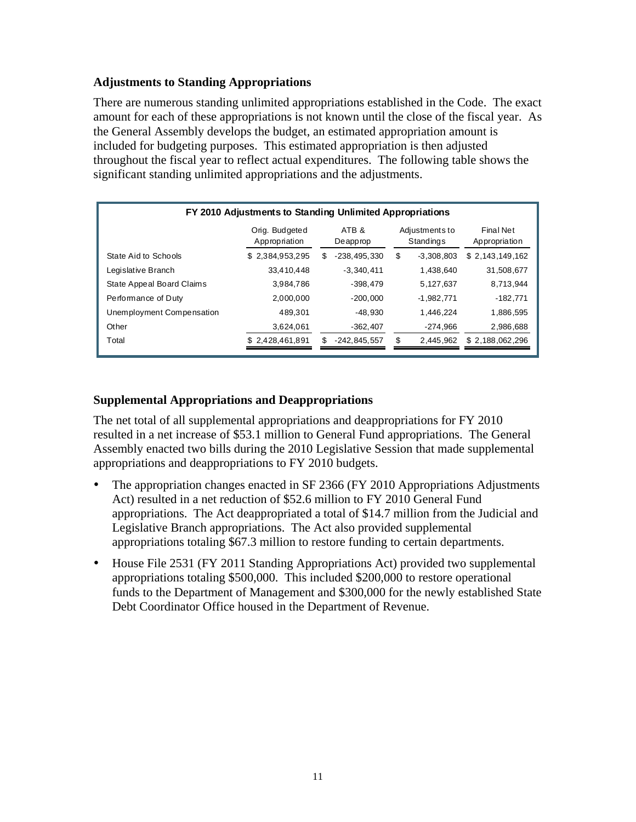### **Adjustments to Standing Appropriations**

There are numerous standing unlimited appropriations established in the Code. The exact amount for each of these appropriations is not known until the close of the fiscal year. As the General Assembly develops the budget, an estimated appropriation amount is included for budgeting purposes. This estimated appropriation is then adjusted throughout the fiscal year to reflect actual expenditures. The following table shows the significant standing unlimited appropriations and the adjustments.

| FY 2010 Adjustments to Standing Unlimited Appropriations |                                 |     |                   |    |                             |                 |                                   |  |
|----------------------------------------------------------|---------------------------------|-----|-------------------|----|-----------------------------|-----------------|-----------------------------------|--|
|                                                          | Orig. Budgeted<br>Appropriation |     | ATB &<br>Deapprop |    | Adjustments to<br>Standings |                 | <b>Final Net</b><br>Appropriation |  |
| State Aid to Schools                                     | \$2,384,953,295                 | \$. | $-238.495.330$    | \$ | $-3,308,803$                | \$2,143,149,162 |                                   |  |
| Legislative Branch                                       | 33.410.448                      |     | $-3.340.411$      |    | 1.438.640                   | 31,508,677      |                                   |  |
| State Appeal Board Claims                                | 3.984.786                       |     | $-398.479$        |    | 5,127,637                   | 8.713.944       |                                   |  |
| Performance of Duty                                      | 2,000,000                       |     | $-200.000$        |    | $-1,982,771$                | $-182.771$      |                                   |  |
| Unemployment Compensation                                | 489.301                         |     | $-48.930$         |    | 1.446.224                   | 1.886.595       |                                   |  |
| Other                                                    | 3,624,061                       |     | $-362.407$        |    | $-274.966$                  | 2,986,688       |                                   |  |
| Total                                                    | \$2,428,461,891                 | \$  | $-242, 845, 557$  |    | 2,445,962                   | \$2,188,062,296 |                                   |  |

## **Supplemental Appropriations and Deappropriations**

The net total of all supplemental appropriations and deappropriations for FY 2010 resulted in a net increase of \$53.1 million to General Fund appropriations. The General Assembly enacted two bills during the 2010 Legislative Session that made supplemental appropriations and deappropriations to FY 2010 budgets.

- The appropriation changes enacted in SF 2366 (FY 2010 Appropriations Adjustments Act) resulted in a net reduction of \$52.6 million to FY 2010 General Fund appropriations. The Act deappropriated a total of \$14.7 million from the Judicial and Legislative Branch appropriations. The Act also provided supplemental appropriations totaling \$67.3 million to restore funding to certain departments.
- House File 2531 (FY 2011 Standing Appropriations Act) provided two supplemental appropriations totaling \$500,000. This included \$200,000 to restore operational funds to the Department of Management and \$300,000 for the newly established State Debt Coordinator Office housed in the Department of Revenue.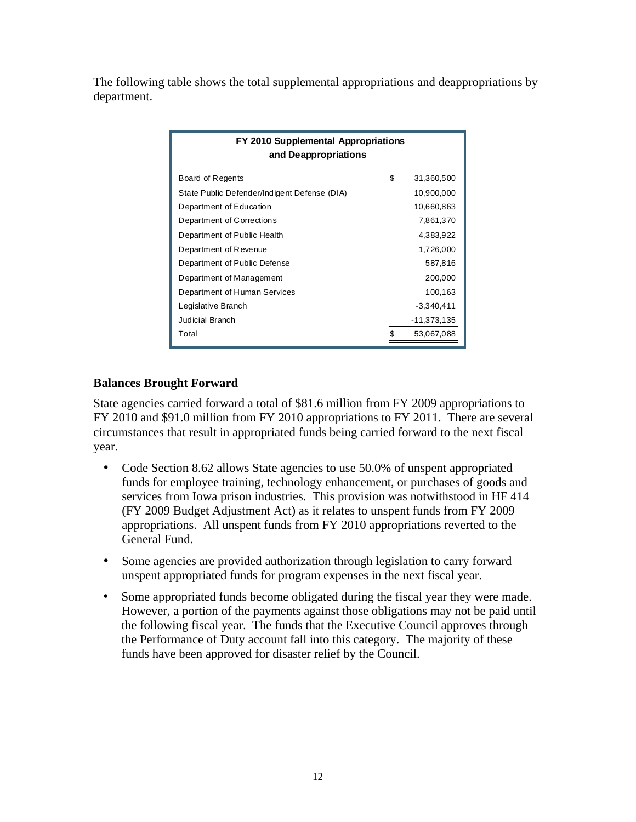The following table shows the total supplemental appropriations and deappropriations by department.

| FY 2010 Supplemental Appropriations<br>and Deappropriations |    |              |  |  |  |  |
|-------------------------------------------------------------|----|--------------|--|--|--|--|
| Board of Regents                                            | \$ | 31,360,500   |  |  |  |  |
| State Public Defender/Indigent Defense (DIA)                |    | 10,900,000   |  |  |  |  |
| Department of Education                                     |    | 10,660,863   |  |  |  |  |
| Department of Corrections                                   |    | 7,861,370    |  |  |  |  |
| Department of Public Health                                 |    | 4,383,922    |  |  |  |  |
| Department of Revenue                                       |    | 1,726,000    |  |  |  |  |
| Department of Public Defense                                |    | 587,816      |  |  |  |  |
| Department of Management                                    |    | 200,000      |  |  |  |  |
| Department of Human Services                                |    | 100,163      |  |  |  |  |
| Legislative Branch                                          |    | $-3,340,411$ |  |  |  |  |
| <b>Judicial Branch</b>                                      |    | -11,373,135  |  |  |  |  |
| Total                                                       |    | 53,067,088   |  |  |  |  |

### **Balances Brought Forward**

State agencies carried forward a total of \$81.6 million from FY 2009 appropriations to FY 2010 and \$91.0 million from FY 2010 appropriations to FY 2011. There are several circumstances that result in appropriated funds being carried forward to the next fiscal year.

- Code Section 8.62 allows State agencies to use 50.0% of unspent appropriated funds for employee training, technology enhancement, or purchases of goods and services from Iowa prison industries. This provision was notwithstood in HF 414 (FY 2009 Budget Adjustment Act) as it relates to unspent funds from FY 2009 appropriations. All unspent funds from FY 2010 appropriations reverted to the General Fund.
- Some agencies are provided authorization through legislation to carry forward unspent appropriated funds for program expenses in the next fiscal year.
- Some appropriated funds become obligated during the fiscal year they were made. However, a portion of the payments against those obligations may not be paid until the following fiscal year. The funds that the Executive Council approves through the Performance of Duty account fall into this category. The majority of these funds have been approved for disaster relief by the Council.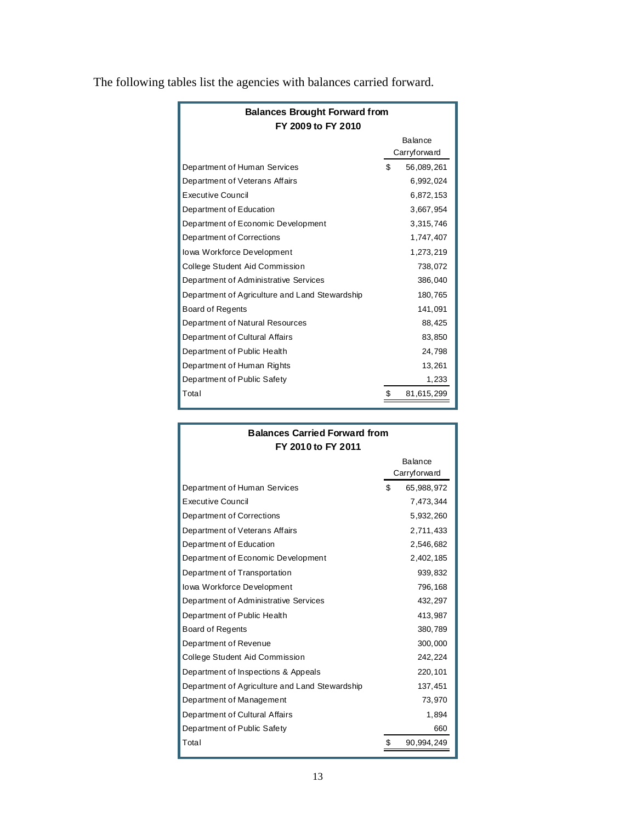| <b>Balances Brought Forward from</b><br>FY 2009 to FY 2010 |    |                                |  |  |  |
|------------------------------------------------------------|----|--------------------------------|--|--|--|
|                                                            |    | <b>Balance</b><br>Carryforward |  |  |  |
| Department of Human Services                               | \$ | 56,089,261                     |  |  |  |
| Department of Veterans Affairs                             |    | 6,992,024                      |  |  |  |
| <b>Executive Council</b>                                   |    | 6,872,153                      |  |  |  |
| Department of Education                                    |    | 3,667,954                      |  |  |  |
| Department of Economic Development                         |    | 3,315,746                      |  |  |  |
| Department of Corrections                                  |    | 1,747,407                      |  |  |  |
| <b>Iowa Workforce Development</b>                          |    | 1,273,219                      |  |  |  |
| College Student Aid Commission                             |    | 738,072                        |  |  |  |
| Department of Administrative Services                      |    | 386,040                        |  |  |  |
| Department of Agriculture and Land Stewardship             |    | 180,765                        |  |  |  |
| Board of Regents                                           |    | 141,091                        |  |  |  |
| Department of Natural Resources                            |    | 88,425                         |  |  |  |
| Department of Cultural Affairs                             |    | 83,850                         |  |  |  |
| Department of Public Health                                |    | 24,798                         |  |  |  |
| Department of Human Rights                                 |    | 13,261                         |  |  |  |
| Department of Public Safety                                |    | 1,233                          |  |  |  |
| Total                                                      | \$ | 81,615,299                     |  |  |  |

The following tables list the agencies with balances carried forward.

| <b>Balances Carried Forward from</b>           |    |              |  |  |  |  |
|------------------------------------------------|----|--------------|--|--|--|--|
| FY 2010 to FY 2011                             |    |              |  |  |  |  |
|                                                |    | Balance      |  |  |  |  |
|                                                |    | Carryforward |  |  |  |  |
| Department of Human Services                   | \$ | 65,988,972   |  |  |  |  |
| <b>Executive Council</b>                       |    | 7,473,344    |  |  |  |  |
| Department of Corrections                      |    | 5,932,260    |  |  |  |  |
| Department of Veterans Affairs                 |    | 2,711,433    |  |  |  |  |
| Department of Education                        |    | 2,546,682    |  |  |  |  |
| Department of Economic Development             |    | 2,402,185    |  |  |  |  |
| Department of Transportation                   |    | 939,832      |  |  |  |  |
| lowa Workforce Development                     |    | 796,168      |  |  |  |  |
| Department of Administrative Services          |    | 432,297      |  |  |  |  |
| Department of Public Health                    |    | 413,987      |  |  |  |  |
| Board of Regents                               |    | 380,789      |  |  |  |  |
| Department of Revenue                          |    | 300,000      |  |  |  |  |
| College Student Aid Commission                 |    | 242,224      |  |  |  |  |
| Department of Inspections & Appeals            |    | 220,101      |  |  |  |  |
| Department of Agriculture and Land Stewardship |    | 137,451      |  |  |  |  |
| Department of Management                       |    | 73,970       |  |  |  |  |
| Department of Cultural Affairs                 |    | 1,894        |  |  |  |  |
| Department of Public Safety                    |    | 660          |  |  |  |  |
| Total                                          | \$ | 90,994,249   |  |  |  |  |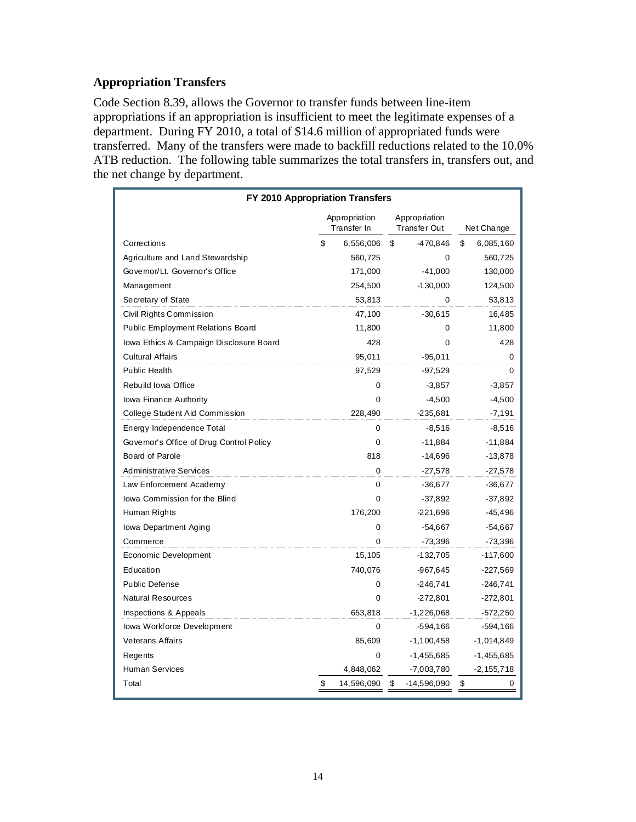## **Appropriation Transfers**

Code Section 8.39, allows the Governor to transfer funds between line-item appropriations if an appropriation is insufficient to meet the legitimate expenses of a department. During FY 2010, a total of \$14.6 million of appropriated funds were transferred. Many of the transfers were made to backfill reductions related to the 10.0% ATB reduction. The following table summarizes the total transfers in, transfers out, and the net change by department.

| FY 2010 Appropriation Transfers          |                              |            |    |                                      |    |              |  |  |
|------------------------------------------|------------------------------|------------|----|--------------------------------------|----|--------------|--|--|
|                                          | Appropriation<br>Transfer In |            |    | Appropriation<br><b>Transfer Out</b> |    | Net Change   |  |  |
| Corrections                              | \$                           | 6,556,006  | \$ | -470,846                             | \$ | 6,085,160    |  |  |
| Agriculture and Land Stewardship         |                              | 560,725    |    | 0                                    |    | 560,725      |  |  |
| Governor/Lt. Governor's Office           |                              | 171,000    |    | $-41,000$                            |    | 130,000      |  |  |
| Management                               |                              | 254,500    |    | $-130,000$                           |    | 124,500      |  |  |
| Secretary of State                       |                              | 53,813     |    | 0                                    |    | 53,813       |  |  |
| Civil Rights Commission                  |                              | 47,100     |    | $-30,615$                            |    | 16,485       |  |  |
| Public Employment Relations Board        |                              | 11,800     |    | 0                                    |    | 11,800       |  |  |
| Iowa Ethics & Campaign Disclosure Board  |                              | 428        |    | $\Omega$                             |    | 428          |  |  |
| <b>Cultural Affairs</b>                  |                              | 95,011     |    | $-95,011$                            |    | 0            |  |  |
| Public Health                            |                              | 97,529     |    | -97,529                              |    | $\Omega$     |  |  |
| Rebuild Iowa Office                      |                              | 0          |    | $-3,857$                             |    | $-3,857$     |  |  |
| Iowa Finance Authority                   |                              | $\Omega$   |    | $-4,500$                             |    | $-4,500$     |  |  |
| College Student Aid Commission           |                              | 228,490    |    | $-235,681$                           |    | -7,191       |  |  |
| Energy Independence Total                |                              | 0          |    | $-8,516$                             |    | $-8,516$     |  |  |
| Governor's Office of Drug Control Policy |                              | 0          |    | $-11,884$                            |    | $-11,884$    |  |  |
| Board of Parole                          |                              | 818        |    | -14,696                              |    | $-13,878$    |  |  |
| <b>Administrative Services</b>           |                              | $\Omega$   |    | $-27.578$                            |    | $-27,578$    |  |  |
| Law Enforcement Academy                  |                              | 0          |    | $-36,677$                            |    | $-36,677$    |  |  |
| lowa Commission for the Blind            |                              | 0          |    | $-37,892$                            |    | $-37,892$    |  |  |
| Human Rights                             |                              | 176,200    |    | -221,696                             |    | $-45,496$    |  |  |
| Iowa Department Aging                    |                              | 0          |    | $-54,667$                            |    | $-54,667$    |  |  |
| Commerce                                 |                              | 0          |    | -73,396                              |    | -73,396      |  |  |
| Economic Development                     |                              | 15,105     |    | -132,705                             |    | $-117,600$   |  |  |
| Education                                |                              | 740,076    |    | -967,645                             |    | $-227,569$   |  |  |
| Public Defense                           |                              | 0          |    | $-246,741$                           |    | $-246,741$   |  |  |
| Natural Resources                        |                              | 0          |    | -272,801                             |    | -272,801     |  |  |
| Inspections & Appeals                    |                              | 653,818    |    | $-1,226,068$                         |    | $-572,250$   |  |  |
| lowa Workforce Development               |                              | 0          |    | $-594,166$                           |    | -594,166     |  |  |
| <b>Veterans Affairs</b>                  |                              | 85,609     |    | $-1,100,458$                         |    | -1,014,849   |  |  |
| Regents                                  |                              | 0          |    | -1,455,685                           |    | $-1,455,685$ |  |  |
| <b>Human Services</b>                    |                              | 4,848,062  |    | -7,003,780                           |    | -2, 155, 718 |  |  |
| Total                                    | \$                           | 14,596,090 | \$ | -14,596,090                          | \$ | 0            |  |  |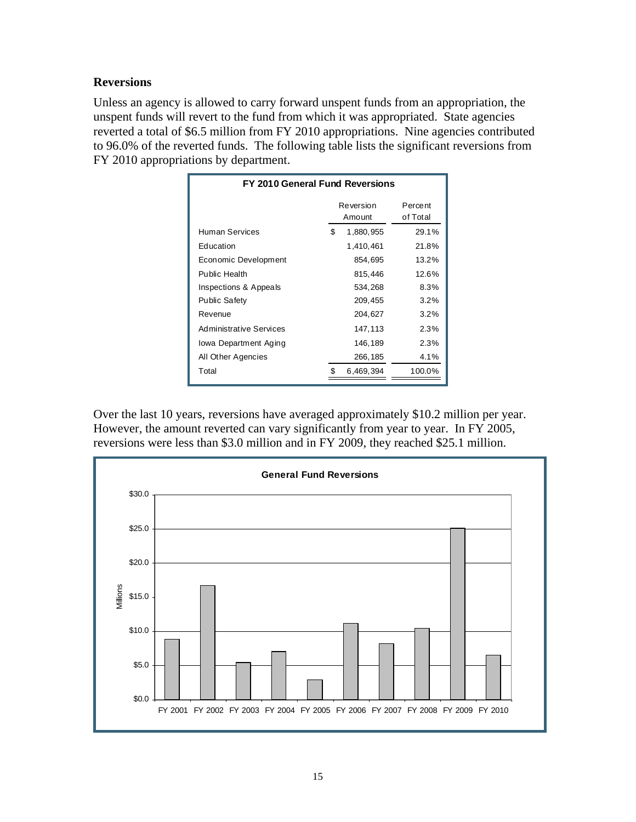### **Reversions**

Unless an agency is allowed to carry forward unspent funds from an appropriation, the unspent funds will revert to the fund from which it was appropriated. State agencies reverted a total of \$6.5 million from FY 2010 appropriations. Nine agencies contributed to 96.0% of the reverted funds. The following table lists the significant reversions from FY 2010 appropriations by department.

| FY 2010 General Fund Reversions |     |                     |                     |  |  |  |
|---------------------------------|-----|---------------------|---------------------|--|--|--|
|                                 |     | Reversion<br>Amount | Percent<br>of Total |  |  |  |
| Human Services                  | \$  | 1,880,955           | 29.1%               |  |  |  |
| Education                       |     | 1,410,461           | 21.8%               |  |  |  |
| Economic Development            |     | 854,695             | 13.2%               |  |  |  |
| Public Health                   |     | 815,446             | 12.6%               |  |  |  |
| Inspections & Appeals           |     | 534,268             | 8.3%                |  |  |  |
| <b>Public Safety</b>            |     | 209,455             | $3.2\%$             |  |  |  |
| Revenue                         |     | 204,627             | $3.2\%$             |  |  |  |
| <b>Administrative Services</b>  |     | 147, 113            | 2.3%                |  |  |  |
| lowa Department Aging           |     | 146,189             | 2.3%                |  |  |  |
| All Other Agencies              |     | 266,185             | 4.1%                |  |  |  |
| Total                           | \$. | 6,469,394           | 100.0%              |  |  |  |
|                                 |     |                     |                     |  |  |  |

Over the last 10 years, reversions have averaged approximately \$10.2 million per year. However, the amount reverted can vary significantly from year to year. In FY 2005, reversions were less than \$3.0 million and in FY 2009, they reached \$25.1 million.

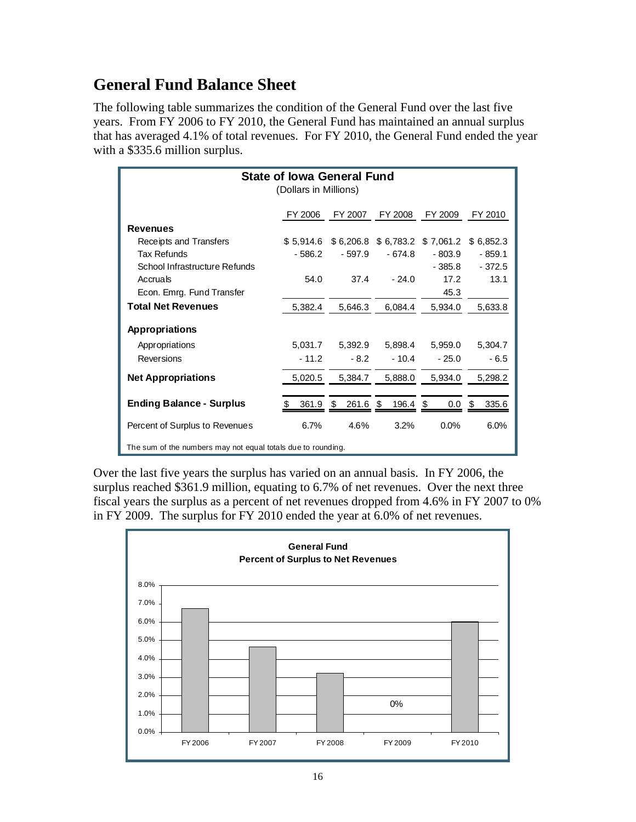# **General Fund Balance Sheet**

The following table summarizes the condition of the General Fund over the last five years. From FY 2006 to FY 2010, the General Fund has maintained an annual surplus that has averaged 4.1% of total revenues. For FY 2010, the General Fund ended the year with a \$335.6 million surplus.

|                                                                                                            | <b>State of Iowa General Fund</b><br>(Dollars in Millions) |             |               |                     |             |  |  |  |  |  |  |  |  |  |
|------------------------------------------------------------------------------------------------------------|------------------------------------------------------------|-------------|---------------|---------------------|-------------|--|--|--|--|--|--|--|--|--|
|                                                                                                            | FY 2006                                                    | FY 2007     | FY 2008       | FY 2009             | FY 2010     |  |  |  |  |  |  |  |  |  |
| <b>Revenues</b>                                                                                            |                                                            |             |               |                     |             |  |  |  |  |  |  |  |  |  |
| Receipts and Transfers                                                                                     | \$5.914.6                                                  | \$6,206.8   |               | \$6,783.2 \$7,061.2 | \$6,852.3   |  |  |  |  |  |  |  |  |  |
| Tax Refunds                                                                                                | $-586.2$                                                   | $-597.9$    | $-674.8$      | $-803.9$            | $-859.1$    |  |  |  |  |  |  |  |  |  |
| School Infrastructure Refunds                                                                              |                                                            |             |               | $-385.8$            | $-372.5$    |  |  |  |  |  |  |  |  |  |
| Accruals                                                                                                   | 54.0                                                       | 37.4        | $-24.0$       | 17.2                | 13.1        |  |  |  |  |  |  |  |  |  |
| Econ. Emrg. Fund Transfer<br>45.3<br><b>Total Net Revenues</b><br>5,382.4<br>6,084.4<br>5,934.0<br>5,633.8 |                                                            |             |               |                     |             |  |  |  |  |  |  |  |  |  |
|                                                                                                            |                                                            | 5,646.3     |               |                     |             |  |  |  |  |  |  |  |  |  |
| <b>Appropriations</b>                                                                                      |                                                            |             |               |                     |             |  |  |  |  |  |  |  |  |  |
| Appropriations                                                                                             | 5,031.7                                                    | 5,392.9     | 5,898.4       | 5,959.0             | 5,304.7     |  |  |  |  |  |  |  |  |  |
| Reversions                                                                                                 | $-11.2$                                                    | $-8.2$      | $-10.4$       | $-25.0$             | $-6.5$      |  |  |  |  |  |  |  |  |  |
| <b>Net Appropriations</b>                                                                                  | 5,020.5                                                    | 5,384.7     | 5,888.0       | 5,934.0             | 5,298.2     |  |  |  |  |  |  |  |  |  |
| <b>Ending Balance - Surplus</b>                                                                            | 361.9                                                      | 261.6<br>\$ | 196.4<br>- \$ | -\$<br>$0.0\,$      | 335.6<br>\$ |  |  |  |  |  |  |  |  |  |
| Percent of Surplus to Revenues                                                                             | 6.7%                                                       | 4.6%        | 3.2%          | $0.0\%$             | 6.0%        |  |  |  |  |  |  |  |  |  |
| The sum of the numbers may not equal totals due to rounding.                                               |                                                            |             |               |                     |             |  |  |  |  |  |  |  |  |  |

Over the last five years the surplus has varied on an annual basis. In FY 2006, the surplus reached \$361.9 million, equating to 6.7% of net revenues. Over the next three fiscal years the surplus as a percent of net revenues dropped from 4.6% in FY 2007 to 0% in FY 2009. The surplus for FY 2010 ended the year at 6.0% of net revenues.

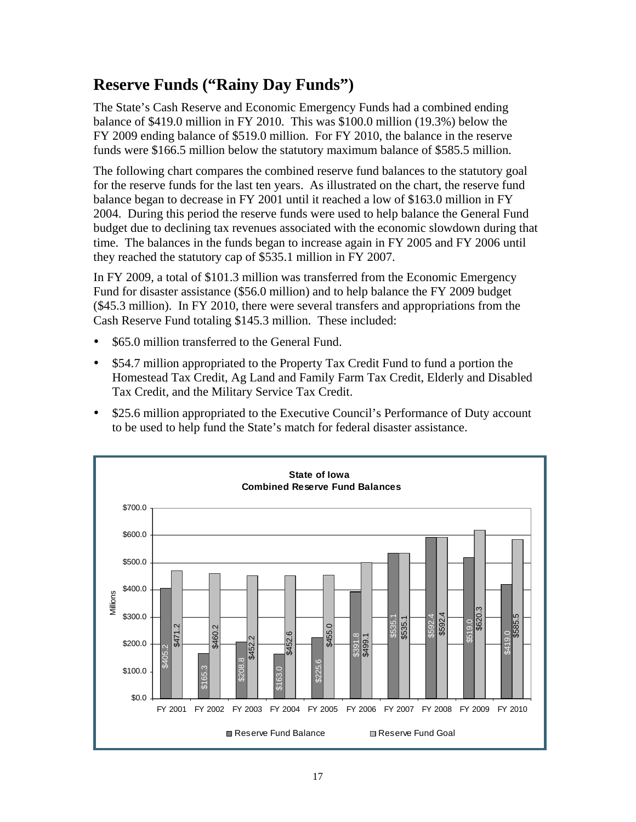# **Reserve Funds ("Rainy Day Funds")**

The State's Cash Reserve and Economic Emergency Funds had a combined ending balance of \$419.0 million in FY 2010. This was \$100.0 million (19.3%) below the FY 2009 ending balance of \$519.0 million. For FY 2010, the balance in the reserve funds were \$166.5 million below the statutory maximum balance of \$585.5 million.

The following chart compares the combined reserve fund balances to the statutory goal for the reserve funds for the last ten years. As illustrated on the chart, the reserve fund balance began to decrease in FY 2001 until it reached a low of \$163.0 million in FY 2004. During this period the reserve funds were used to help balance the General Fund budget due to declining tax revenues associated with the economic slowdown during that time. The balances in the funds began to increase again in FY 2005 and FY 2006 until they reached the statutory cap of \$535.1 million in FY 2007.

In FY 2009, a total of \$101.3 million was transferred from the Economic Emergency Fund for disaster assistance (\$56.0 million) and to help balance the FY 2009 budget (\$45.3 million). In FY 2010, there were several transfers and appropriations from the Cash Reserve Fund totaling \$145.3 million. These included:

- \$65.0 million transferred to the General Fund.
- \$54.7 million appropriated to the Property Tax Credit Fund to fund a portion the Homestead Tax Credit, Ag Land and Family Farm Tax Credit, Elderly and Disabled Tax Credit, and the Military Service Tax Credit.
- \$25.6 million appropriated to the Executive Council's Performance of Duty account to be used to help fund the State's match for federal disaster assistance.

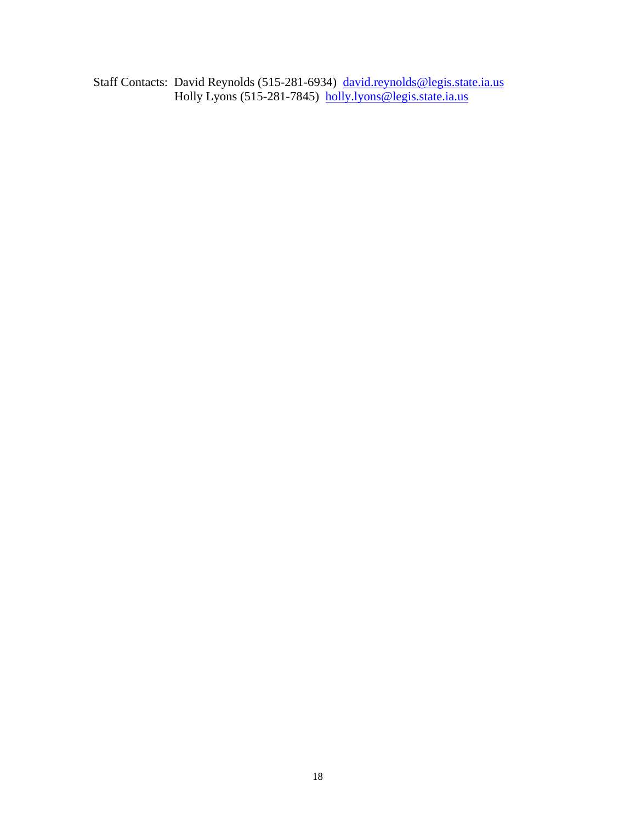Staff Contacts: David Reynolds (515-281-6934) david.reynolds@legis.state.ia.us Holly Lyons (515-281-7845) holly.lyons@legis.state.ia.us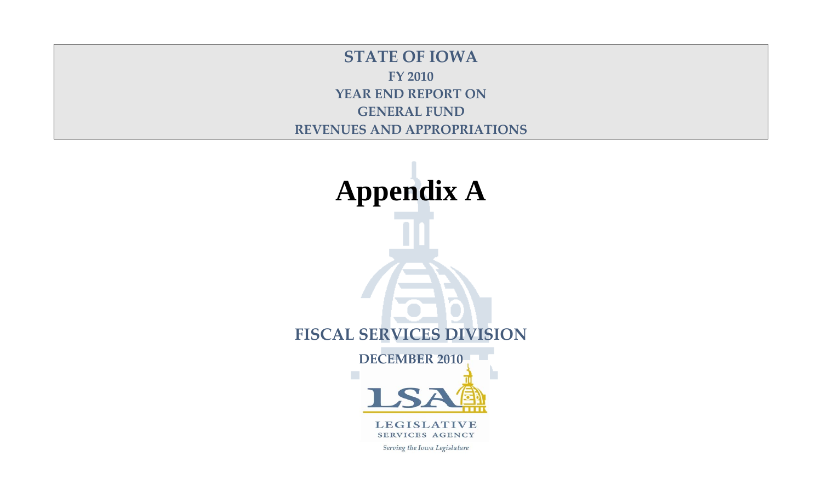**STATE OF IOWA FY 2010 YEAR END REPORT ON GENERAL FUND REVENUES AND APPROPRIATIONS**

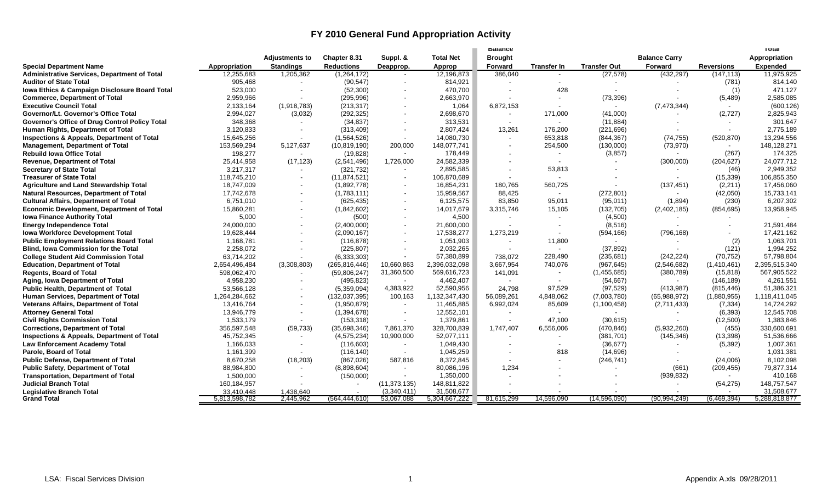# **FY 2010 General Fund Appropriation Activity**

|                                                     |               |                       |                   |                |                  | <b>Dalance</b> |                    |                     |                      |                   | ι υται          |
|-----------------------------------------------------|---------------|-----------------------|-------------------|----------------|------------------|----------------|--------------------|---------------------|----------------------|-------------------|-----------------|
|                                                     |               | <b>Adjustments to</b> | Chapter 8.31      | Suppl. &       | <b>Total Net</b> | <b>Brought</b> |                    |                     | <b>Balance Carry</b> |                   | Appropriation   |
| <b>Special Department Name</b>                      | Appropriation | <b>Standings</b>      | <b>Reductions</b> | Deapprop.      | Approp           | Forward        | <b>Transfer In</b> | <b>Transfer Out</b> | Forward              | <b>Reversions</b> | <b>Expended</b> |
| <b>Administrative Services, Department of Total</b> | 12,255,683    | 1,205,362             | (1,264,172)       |                | 12,196,873       | 386,040        | $\sim$             | (27, 578)           | (432, 297)           | (147, 113)        | 11,975,925      |
| <b>Auditor of State Total</b>                       | 905,468       |                       | (90, 547)         | $\mathbf{r}$   | 814,921          | $\sim$         | $\sim$             |                     |                      | (781)             | 814,140         |
| Iowa Ethics & Campaign Disclosure Board Total       | 523,000       |                       | (52, 300)         |                | 470,700          |                | 428                |                     |                      | (1)               | 471,127         |
| <b>Commerce, Department of Total</b>                | 2,959,966     | $\sim$                | (295, 996)        |                | 2,663,970        | $\sim$         |                    | (73, 396)           |                      | (5, 489)          | 2,585,085       |
| <b>Executive Council Total</b>                      | 2,133,164     | (1,918,783)           | (213, 317)        |                | 1,064            | 6,872,153      |                    | $\sim$              | (7, 473, 344)        | $\sim$            | (600, 126)      |
| <b>Governor/Lt. Governor's Office Total</b>         | 2,994,027     | (3,032)               | (292, 325)        |                | 2,698,670        | $\sim$         | 171,000            | (41,000)            |                      | (2,727)           | 2,825,943       |
| Governor's Office of Drug Control Policy Total      | 348,368       |                       | (34, 837)         | $\blacksquare$ | 313,531          | $\sim$         |                    | (11, 884)           |                      |                   | 301,647         |
| Human Rights, Department of Total                   | 3,120,833     | $\sim$                | (313, 409)        | $\blacksquare$ | 2,807,424        | 13,261         | 176,200            | (221, 696)          |                      | $\sim$            | 2,775,189       |
| Inspections & Appeals, Department of Total          | 15,645,256    |                       | (1,564,526)       |                | 14,080,730       | $\sim$         | 653,818            | (844, 367)          | (74, 755)            | (520, 870)        | 13,294,556      |
| <b>Management, Department of Total</b>              | 153,569,294   | 5,127,637             | (10, 819, 190)    | 200,000        | 148,077,741      | $\overline{a}$ | 254,500            | (130,000)           | (73,970)             | $\sim$            | 148,128,271     |
| <b>Rebuild lowa Office Total</b>                    | 198,277       | $\sim$                | (19, 828)         | $\sim$         | 178,449          |                |                    | (3, 857)            | $\sim$               | (267)             | 174,325         |
| Revenue, Department of Total                        | 25,414,958    | (17, 123)             | (2,541,496)       | 1,726,000      | 24,582,339       |                |                    |                     | (300,000)            | (204, 627)        | 24,077,712      |
| <b>Secretary of State Total</b>                     | 3,217,317     |                       | (321, 732)        |                | 2,895,585        | $\overline{a}$ | 53,813             |                     |                      | (46)              | 2,949,352       |
| <b>Treasurer of State Total</b>                     | 118,745,210   | $\blacksquare$        | (11, 874, 521)    | $\blacksquare$ | 106,870,689      | $\sim$         |                    |                     | $\sim$               | (15, 339)         | 106,855,350     |
| <b>Agriculture and Land Stewardship Total</b>       | 18,747,009    |                       | (1,892,778)       |                | 16,854,231       | 180.765        | 560,725            |                     | (137, 451)           | (2,211)           | 17,456,060      |
| <b>Natural Resources, Department of Total</b>       | 17,742,678    | $\sim$                | (1,783,111)       | $\sim$         | 15,959,567       | 88,425         | $\sim$             | (272, 801)          | $\sim$               | (42,050)          | 15,733,141      |
| <b>Cultural Affairs, Department of Total</b>        | 6,751,010     | $\blacksquare$        | (625, 435)        | $\blacksquare$ | 6,125,575        | 83,850         | 95,011             | (95,011)            | (1,894)              | (230)             | 6,207,302       |
| <b>Economic Development, Department of Total</b>    | 15,860,281    |                       | (1,842,602)       |                | 14,017,679       | 3,315,746      | 15,105             | (132, 705)          | (2,402,185)          | (854, 695)        | 13,958,945      |
| <b>Iowa Finance Authority Total</b>                 | 5,000         |                       | (500)             | $\sim$         | 4,500            |                |                    | (4,500)             |                      |                   |                 |
| <b>Energy Independence Total</b>                    | 24,000,000    | $\blacksquare$        | (2,400,000)       | $\sim$         | 21,600,000       | $\sim$         |                    | (8,516)             | $\sim$               |                   | 21,591,484      |
| <b>Iowa Workforce Development Total</b>             | 19,628,444    |                       | (2,090,167)       | $\sim$         | 17,538,277       | 1,273,219      |                    | (594, 166)          | (796, 168)           |                   | 17,421,162      |
| <b>Public Employment Relations Board Total</b>      | 1,168,781     |                       | (116, 878)        |                | 1,051,903        | $\sim$         | 11,800             | $\sim$              |                      | (2)               | 1,063,701       |
| <b>Blind, Iowa Commission for the Total</b>         | 2,258,072     | $\blacksquare$        | (225, 807)        | $\sim$         | 2,032,265        | $\sim$         |                    | (37, 892)           |                      | (121)             | 1,994,252       |
| <b>College Student Aid Commission Total</b>         | 63,714,202    |                       | (6,333,303)       |                | 57,380,899       | 738.072        | 228.490            | (235, 681)          | (242, 224)           | (70, 752)         | 57.798.804      |
| <b>Education, Department of Total</b>               | 2,654,496,484 | (3,308,803)           | (265, 816, 446)   | 10,660,863     | 2,396,032,098    | 3,667,954      | 740,076            | (967, 645)          | (2,546,682)          | (1,410,461)       | 2,395,515,340   |
| <b>Regents, Board of Total</b>                      | 598,062,470   | $\sim$                | (59,806,247)      | 31,360,500     | 569,616,723      | 141,091        | $\sim$             | (1,455,685)         | (380, 789)           | (15, 818)         | 567,905,522     |
| Aging, Iowa Department of Total                     | 4,958,230     |                       | (495, 823)        |                | 4.462.407        | $\sim$         |                    | (54, 667)           |                      | (146, 189)        | 4,261,551       |
| Public Health, Department of Total                  | 53,566,128    | $\sim$                | (5,359,094)       | 4,383,922      | 52,590,956       | 24,798         | 97,529             | (97, 529)           | (413, 987)           | (815, 446)        | 51,386,321      |
| Human Services, Department of Total                 | 1,264,284,662 | $\blacksquare$        | (132, 037, 395)   | 100,163        | 1,132,347,430    | 56,089,261     | 4,848,062          | (7,003,780)         | (65,988,972)         | (1,880,955)       | 1,118,411,045   |
| <b>Veterans Affairs, Department of Total</b>        | 13,416,764    | $\sim$                | (1,950,879)       |                | 11,465,885       | 6,992,024      | 85,609             | (1, 100, 458)       | (2,711,433)          | (7, 334)          | 14,724,292      |
| <b>Attorney General Total</b>                       | 13,946,779    | $\blacksquare$        | (1,394,678)       | $\sim$         | 12,552,101       | $\sim$         |                    | $\sim$              |                      | (6, 393)          | 12,545,708      |
| <b>Civil Rights Commission Total</b>                | 1,533,179     | $\sim$                | (153, 318)        | $\sim$         | 1,379,861        | $\sim$         | 47,100             | (30, 615)           |                      | (12,500)          | 1,383,846       |
| <b>Corrections, Department of Total</b>             | 356,597,548   | (59, 733)             | (35,698,346)      | 7,861,370      | 328,700,839      | 1,747,407      | 6,556,006          | (470, 846)          | (5,932,260)          | (455)             | 330,600,691     |
| Inspections & Appeals, Department of Total          | 45,752,345    |                       | (4, 575, 234)     | 10,900,000     | 52,077,111       |                |                    | (381, 701)          | (145, 346)           | (13, 398)         | 51,536,666      |
| <b>Law Enforcement Academy Total</b>                | 1,166,033     | $\sim$                | (116, 603)        | $\blacksquare$ | 1,049,430        | $\sim$         |                    | (36, 677)           | $\sim$               | (5, 392)          | 1,007,361       |
| Parole, Board of Total                              | 1,161,399     |                       | (116, 140)        |                | 1,045,259        | $\sim$         | 818                | (14, 696)           |                      |                   | 1,031,381       |
| <b>Public Defense, Department of Total</b>          | 8,670,258     | (18, 203)             | (867, 026)        | 587,816        | 8,372,845        | $\sim$         |                    | (246, 741)          |                      | (24,006)          | 8,102,098       |
| <b>Public Safety, Department of Total</b>           | 88,984,800    | $\sim$                | (8,898,604)       | $\sim$         | 80,086,196       | 1,234          |                    | $\blacksquare$      | (661)                | (209, 455)        | 79,877,314      |
| <b>Transportation, Department of Total</b>          | 1,500,000     |                       | (150,000)         |                | 1,350,000        | $\sim$         |                    |                     | (939, 832)           |                   | 410,168         |
| <b>Judicial Branch Total</b>                        | 160,184,957   |                       |                   | (11, 373, 135) | 148,811,822      |                |                    |                     | $\sim$               | (54, 275)         | 148,757,547     |
| <b>Legislative Branch Total</b>                     | 33.410.448    | 1.438.640             |                   | (3.340.411)    | 31,508,677       |                |                    |                     |                      |                   | 31.508.677      |
| <b>Grand Total</b>                                  | 5,813,598,782 | 2,445,962             | (564, 444, 610)   | 53,067,088     | 5,304,667,222    | 81,615,299     | 14,596,090         | (14, 596, 090)      | (90, 994, 249)       | (6,469,394)       | 5,288,818,877   |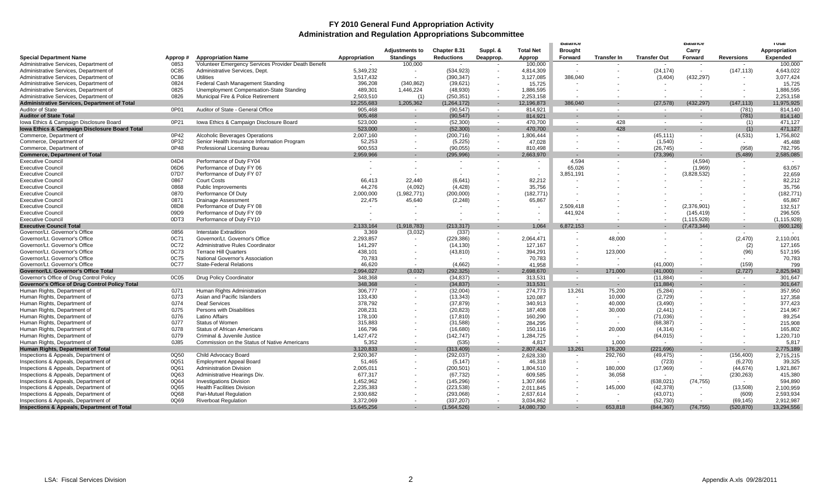#### **FY 2010 General Fund Appropriation Activity Administration and Regulation Appropriations Subcommittee**

|                                                       |         |                                                     |                          |                          |               |           |                  | <b>Balance</b>           |                    |                     | <b>Balance</b>           |                   | <b>TOTAL</b>    |
|-------------------------------------------------------|---------|-----------------------------------------------------|--------------------------|--------------------------|---------------|-----------|------------------|--------------------------|--------------------|---------------------|--------------------------|-------------------|-----------------|
|                                                       |         |                                                     |                          | <b>Adjustments to</b>    | Chapter 8.31  | Suppl. &  | <b>Total Net</b> | <b>Brought</b>           |                    |                     | Carry                    |                   | Appropriation   |
| <b>Special Department Name</b>                        | Approp# | <b>Appropriation Name</b>                           | Appropriation            | <b>Standings</b>         | Reductions    | Deapprop. | Approp           | Forward                  | <b>Transfer In</b> | <b>Transfer Out</b> | Forward                  | <b>Reversions</b> | <b>Expended</b> |
| Administrative Services, Department of                | 0853    | Volunteer Emergency Services Provider Death Benefit |                          | 100,000                  | $\sim$        |           | 100,000          | $\sim$                   |                    |                     | $\sim$                   |                   | 100,000         |
| Administrative Services, Department of                | 0C85    | Administrative Services, Dept.                      | 5,349,232                | $\sim$                   | (534, 923)    |           | 4,814,309        | $\blacksquare$           |                    | (24, 174)           |                          | (147, 113)        | 4,643,022       |
| Administrative Services, Department of                | 0C86    | <b>Utilities</b>                                    | 3,517,432                | $\overline{\phantom{a}}$ | (390, 347)    |           | 3,127,085        | 386,040                  |                    | (3, 404)            | (432, 297)               |                   | 3,077,424       |
| Administrative Services, Department of                | 0824    | Federal Cash Management Standing                    | 396,208                  | (340, 862)               | (39, 621)     |           | 15,725           |                          |                    |                     |                          |                   | 15,725          |
| Administrative Services, Department of                | 0825    | Unemployment Compensation-State Standing            | 489,301                  | 1,446,224                | (48, 930)     |           | 1,886,595        |                          |                    |                     |                          |                   | 1,886,595       |
| Administrative Services, Department of                | 0826    | Municipal Fire & Police Retirement                  | 2,503,510                | (1)                      | (250, 351)    |           | 2,253,158        |                          |                    |                     |                          |                   | 2.253.158       |
| <b>Administrative Services, Department of Total</b>   |         |                                                     | 12,255,683               | 1,205,362                | (1, 264, 172) |           | 12,196,873       | 386.040                  |                    | (27, 578)           | (432, 297)               | (147, 113)        | 11,975,925      |
| Auditor of State                                      | 0P01    | Auditor of State - General Office                   | 905.468                  | $\sim$                   | (90, 547)     | $\sim$    | 814.921          | $\overline{\phantom{a}}$ | $\sim$             | $\sim$              | $\sim$                   | (781)             | 814.140         |
| <b>Auditor of State Total</b>                         |         |                                                     | 905,468                  | $\sim$                   | (90, 547)     |           | 814,921          | ٠                        |                    |                     |                          | (781)             | 814,140         |
| Iowa Ethics & Campaign Disclosure Board               | 0P21    | Iowa Ethics & Campaign Disclosure Board             | 523,000                  | $\sim$                   | (52, 300)     | $\sim$    | 470,700          | $\overline{\phantom{a}}$ | 428                | $\sim$              | $\sim$                   | (1)               | 471,127         |
| Iowa Ethics & Campaign Disclosure Board Total         |         |                                                     | 523,000                  | $\sim$                   | (52, 300)     | $\sim$    | 470,700          | $\overline{\phantom{a}}$ | 428                |                     | $\sim$                   | (1)               | 471,127         |
| Commerce, Department of                               | 0P42    | <b>Alcoholic Beverages Operations</b>               | 2,007,160                |                          | (200, 716)    | $\sim$    | 1,806,444        | $\overline{\phantom{a}}$ |                    | (45, 111)           | $\sim$                   | (4,531)           | 1,756,802       |
| Commerce, Department of                               | 0P32    | Senior Health Insurance Information Program         | 52,253                   | $\sim$                   | (5,225)       | $\sim$    | 47.028           |                          |                    | (1, 540)            |                          |                   | 45,488          |
| Commerce, Department of                               | 0P48    | Professional Licensing Bureau                       | 900.553                  | $\overline{\phantom{a}}$ | (90, 055)     | $\sim$    | 810.498          | $\sim$                   |                    | (26, 745)           | $\sim$                   | (958)             | 782.795         |
| <b>Commerce, Department of Total</b>                  |         |                                                     | 2,959,966                |                          | (295, 996)    |           | 2,663,970        | $\blacksquare$           |                    | (73, 396)           |                          | (5, 489)          | 2,585,085       |
| <b>Executive Council</b>                              | 04D4    | Performance of Duty FY04                            | $\sim$                   |                          |               |           | $\sim$           | 4.594                    |                    | $\sim$              | (4,594)                  | $\sim$            |                 |
|                                                       | 06D6    |                                                     |                          |                          | $\sim$        |           |                  | 65,026                   |                    |                     |                          |                   | 63,057          |
| <b>Executive Council</b>                              | 07D7    | Performance of Duty FY 06                           |                          | $\overline{\phantom{a}}$ |               | $\sim$    | $\sim$           |                          |                    |                     | (1,969)                  | $\sim$            |                 |
| <b>Executive Council</b>                              |         | Performance of Duty FY 07                           |                          |                          |               |           |                  | 3,851,191                |                    |                     | (3,828,532)              |                   | 22,659          |
| <b>Executive Council</b>                              | 0867    | <b>Court Costs</b>                                  | 66.413                   | 22.440                   | (6,641)       |           | 82,212           |                          |                    |                     |                          |                   | 82.212          |
| <b>Executive Council</b>                              | 0868    | Public Improvements                                 | 44.276                   | (4.092)                  | (4.428)       |           | 35.756           |                          |                    |                     |                          |                   | 35.756          |
| <b>Executive Council</b>                              | 0870    | Performance Of Duty                                 | 2,000,000                | (1,982,771)              | (200,000)     |           | (182, 771)       |                          |                    |                     |                          |                   | (182, 771)      |
| <b>Executive Council</b>                              | 0871    | <b>Drainage Assessment</b>                          | 22,475                   | 45,640                   | (2, 248)      |           | 65,867           |                          |                    |                     |                          |                   | 65,867          |
| <b>Executive Council</b>                              | 08D8    | Performance of Duty FY 08                           |                          |                          |               |           |                  | 2,509,418                |                    |                     | (2,376,901)              |                   | 132,517         |
| <b>Executive Council</b>                              | 09D9    | Performance of Duty FY 09                           |                          |                          |               |           |                  | 441,924                  |                    |                     | (145, 419)               |                   | 296.505         |
| <b>Executive Council</b>                              | 0DT3    | Performance of Duty FY10                            | $\overline{\phantom{a}}$ | $\overline{\phantom{a}}$ |               |           |                  |                          |                    |                     | (1, 115, 928)            |                   | (1, 115, 928)   |
| <b>Executive Council Total</b>                        |         |                                                     | 2,133,164                | (1,918,783)              | (213, 317)    |           | 1.064            | 6,872,153                |                    |                     | (7, 473, 344)            | $\sim$            | (600, 126)      |
| Governor/Lt. Governor's Office                        | 0856    | <b>Interstate Extradition</b>                       | 3,369                    | (3,032)                  | (337)         | $\sim$    | $\sim$           | $\overline{\phantom{a}}$ | $\sim$             |                     | $\overline{\phantom{a}}$ | $\sim$            | $\sim$          |
| Governor/Lt. Governor's Office                        | 0C71    | Governor/Lt. Governor's Office                      | 2,293,857                |                          | (229, 386)    |           | 2,064,471        |                          | 48,000             |                     |                          | (2,470)           | 2,110,001       |
| Governor/Lt. Governor's Office                        | 0C72    | Administrative Rules Coordinator                    | 141,297                  |                          | (14, 130)     |           | 127,167          |                          |                    |                     |                          | (2)               | 127,165         |
| Governor/Lt. Governor's Office                        | 0C73    | <b>Terrace Hill Quarters</b>                        | 438.101                  |                          | (43, 810)     |           | 394,291          |                          | 123,000            |                     |                          | (96)              | 517,195         |
| Governor/Lt. Governor's Office                        | 0C75    | National Governor's Association                     | 70.783                   | $\overline{\phantom{a}}$ |               |           | 70.783           |                          |                    |                     |                          | $\sim$            | 70,783          |
| Governor/Lt. Governor's Office                        | 0C77    | <b>State-Federal Relations</b>                      | 46,620                   | $\blacksquare$           | (4,662)       |           | 41,958           |                          |                    | (41,000)            |                          | (159)             | 799             |
| Governor/Lt. Governor's Office Total                  |         |                                                     | 2,994,027                | (3,032)                  | (292, 325)    |           | 2,698,670        |                          | 171,000            | (41,000)            |                          | (2,727)           | 2,825,943       |
| Governor's Office of Drug Control Policy              | 0C05    | Drug Policy Coordinator                             | 348,368                  | $\sim$                   | (34, 837)     | $\sim$    | 313,531          | $\sim$                   | $\sim$             | (11, 884)           | $\overline{\phantom{a}}$ | $\sim$            | 301.647         |
| Governor's Office of Drug Control Policy Total        |         |                                                     | 348,368                  | $\sim$                   | (34, 837)     | . п.      | 313,531          | $\sim$                   | $\sim$             | (11, 884)           |                          | $\sim$            | 301,647         |
| Human Rights, Department of                           | 0J71    | Human Rights Administration                         | 306,777                  | $\sim$                   | (32,004)      | $\sim$    | 274.773          | 13,261                   | 75,200             | (5,284)             |                          |                   | 357.950         |
| Human Rights, Department of                           | 0J73    | Asian and Pacific Islanders                         | 133.430                  |                          | (13, 343)     |           | 120,087          | $\blacksquare$           | 10.000             | (2.729)             |                          |                   | 127.358         |
| Human Rights, Department of                           | 0J74    | <b>Deaf Services</b>                                | 378,792                  |                          | (37, 879)     |           | 340,913          |                          | 40,000             | (3, 490)            |                          |                   | 377,423         |
| Human Rights, Department of                           | 0J75    | Persons with Disabilities                           | 208,231                  |                          | (20, 823)     |           | 187,408          |                          | 30,000             | (2, 441)            |                          |                   | 214,967         |
| Human Rights, Department of                           | 0J76    | <b>Latino Affairs</b>                               | 178,100                  |                          | (17, 810)     |           | 160,290          |                          |                    | (71, 036)           |                          |                   | 89,254          |
| Human Rights, Department of                           | 0J77    | <b>Status of Women</b>                              | 315,883                  |                          | (31, 588)     |           | 284,295          |                          |                    | (68, 387)           |                          |                   | 215.908         |
| Human Rights, Department of                           | 0J78    | <b>Status of African Americans</b>                  | 166,796                  |                          | (16,680)      |           | 150,116          |                          | 20,000             | (4,314)             |                          |                   | 165,802         |
| Human Rights, Department of                           | 0J79    | Criminal & Juvenile Justice                         | 1,427,472                |                          | (142, 747)    |           | 1,284,725        |                          | $\sim$             | (64, 015)           |                          |                   | 1,220,710       |
| Human Rights, Department of                           | 0J85    | Commission on the Status of Native Americans        | 5,352                    | $\overline{\phantom{a}}$ | (535)         | $\sim$    | 4,817            | $\sim$                   | 1,000              |                     |                          |                   | 5,817           |
| Human Rights, Department of Total                     |         |                                                     | 3,120,833                | $\sim$                   | (313, 409)    |           | 2,807,424        | 13,261                   | 176,200            | (221, 696)          | $\sim$                   |                   | 2,775,189       |
| Inspections & Appeals, Department of                  | 0Q50    | Child Advocacy Board                                | 2,920,367                |                          | (292, 037)    |           | 2,628,330        | $\sim$                   | 292,760            | (49, 475)           | $\sim$                   | (156, 400)        | 2,715,215       |
| Inspections & Appeals, Department of                  | 0Q51    | <b>Employment Appeal Board</b>                      | 51,465                   |                          | (5, 147)      |           | 46,318           |                          |                    | (723)               |                          | (6,270)           | 39,325          |
| Inspections & Appeals, Department of                  | 0Q61    | <b>Administration Division</b>                      | 2,005,011                |                          | (200, 501)    |           | 1,804,510        |                          | 180,000            | (17,969)            |                          | (44, 674)         | 1,921,867       |
| Inspections & Appeals, Department of                  | 0Q63    | Administrative Hearings Div.                        | 677,317                  |                          | (67, 732)     |           | 609,585          |                          | 36,058             |                     |                          | (230, 263)        | 415,380         |
| Inspections & Appeals, Department of                  | 0Q64    | <b>Investigations Division</b>                      | 1,452,962                |                          | (145, 296)    |           | 1,307,666        |                          |                    | (638, 021)          | (74, 755)                |                   | 594,890         |
|                                                       | 0Q65    | <b>Health Facilities Division</b>                   | 2,235,383                |                          | (223, 538)    |           |                  |                          |                    | (42, 378)           | $\overline{\phantom{a}}$ | (13,508)          | 2,100,959       |
| Inspections & Appeals, Department of                  |         |                                                     |                          |                          |               |           | 2,011,845        |                          | 145,000            |                     |                          |                   |                 |
| Inspections & Appeals, Department of                  | 0Q68    | Pari-Mutuel Regulation                              | 2,930,682                |                          | (293,068)     |           | 2,637,614        |                          |                    | (43,071)            |                          | (609)             | 2,593,934       |
| Inspections & Appeals, Department of                  | 0Q69    | <b>Riverboat Regulation</b>                         | 3.372.069                |                          | (337, 207)    |           | 3.034.862        |                          |                    | (52, 730)           | $\sim$                   | (69.145)          | 2.912.987       |
| <b>Inspections &amp; Appeals, Department of Total</b> |         |                                                     | 15.645.256               |                          | (1, 564, 526) |           | 14,080,730       | ÷.                       | 653.818            | (844, 367)          | (74, 755)                | (520, 870)        | 13,294,556      |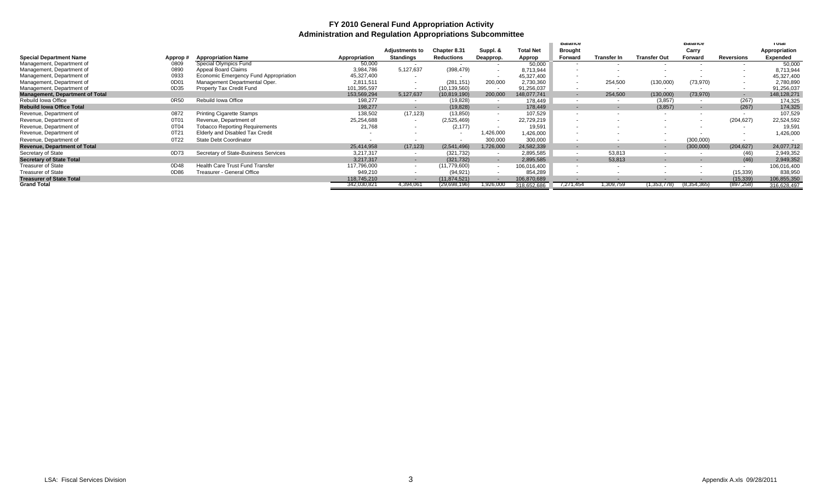#### **FY 2010 General Fund Appropriation Activity Administration and Regulation Appropriations Subcommittee**

|                                        |         |                                        |               |                       |                          |           |                  | <b>Balance</b>           |                    |                     | palance                  |                          | ι σται        |
|----------------------------------------|---------|----------------------------------------|---------------|-----------------------|--------------------------|-----------|------------------|--------------------------|--------------------|---------------------|--------------------------|--------------------------|---------------|
|                                        |         |                                        |               | <b>Adjustments to</b> | Chapter 8.31             | Suppl. &  | <b>Total Net</b> | <b>Brought</b>           |                    |                     | Carry                    |                          | Appropriation |
| <b>Special Department Name</b>         | Approp# | <b>Appropriation Name</b>              | Appropriation | <b>Standings</b>      | Reductions               | Deapprop. | Approp           | Forward                  | <b>Transfer In</b> | <b>Transfer Out</b> | Forward                  | Reversions               | Expended      |
| Management, Department of              | 0809    | Special Olympics Fund                  | 50,000        |                       |                          |           | 50,000           | . .                      |                    |                     |                          |                          | 50,000        |
| Management, Department of              | 0890    | Appeal Board Claims                    | 3,984,786     | 5,127,637             | (398, 479)               |           | 8,713,944        |                          |                    |                     |                          |                          | 8,713,944     |
| Management, Department of              | 0933    | Economic Emergency Fund Appropriation  | 45,327,400    |                       |                          |           | 45,327,400       |                          |                    |                     |                          |                          | 45,327,400    |
| Management, Department of              | 0D01    | Management Departmental Oper.          | 2,811,511     |                       | (281, 151)               | 200,000   | 2,730,360        |                          | 254,500            | (130,000)           | (73,970)                 |                          | 2,780,890     |
| Management, Department of              | 0D35    | Property Tax Credit Fund               | 101,395,597   |                       | (10, 139, 560)           |           | 91,256,037       | $\overline{\phantom{a}}$ |                    |                     |                          |                          | 91,256,037    |
| <b>Management, Department of Total</b> |         |                                        | 153,569,294   | 5,127,637             | (10, 819, 190)           | 200,000   | 148.077.741      | $\sim$                   | 254,500            | (130,000)           | (73, 970)                | $\overline{\phantom{a}}$ | 148,128,271   |
| Rebuild Iowa Office                    | 0R50    | Rebuild Iowa Office                    | 198,277       |                       | (19, 828)                |           | 178,449          | $\sim$                   | $\sim$             | (3, 857)            | $\sim$                   | (267)                    | 174,325       |
| <b>Rebuild lowa Office Total</b>       |         |                                        | 198,277       |                       | (19, 828)                |           | 178,449          | $\sim$                   |                    | (3,857)             | $\overline{\phantom{a}}$ | (267)                    | 174,325       |
| Revenue, Department of                 | 0872    | <b>Printing Cigarette Stamps</b>       | 138,502       | (17, 123)             | (13, 850)                |           | 107,529          | . .                      |                    |                     | $\sim$                   |                          | 107,529       |
| Revenue, Department of                 | 0T01    | Revenue, Department of                 | 25,254,688    |                       | (2,525,469)              |           | 22,729,219       |                          |                    |                     |                          | (204, 627)               | 22,524,592    |
| Revenue, Department of                 | 0T04    | <b>Tobacco Reporting Requirements</b>  | 21,768        | $\sim$                | (2, 177)                 |           | 19.591           | $\overline{\phantom{a}}$ |                    |                     |                          |                          | 19,59         |
| Revenue, Department of                 | 0T21    | Elderly and Disabled Tax Credit        |               |                       | $\overline{\phantom{a}}$ | ,426,000  | ,426,000         |                          |                    |                     |                          |                          | 1,426,000     |
| Revenue, Department of                 | 0T22    | State Debt Coordinator                 |               |                       | $\overline{\phantom{a}}$ | 300,000   | 300,000          | $\sim$                   |                    | $\sim$              | (300,000)                |                          |               |
| <b>Revenue, Department of Total</b>    |         |                                        | 25,414,958    | (17, 123)             | (2,541,496)              | ,726,000  | 24,582,339       | $\sim$                   |                    |                     | (300,000)                | (204, 627)               | 24,077,712    |
| Secretary of State                     | 0D73    | Secretary of State-Business Services   | 3,217,317     | $\sim$                | (321, 732)               |           | 2,895,585        | $\overline{\phantom{a}}$ | 53,813             |                     |                          | (46)                     | 2,949,352     |
| <b>Secretary of State Total</b>        |         |                                        | 3,217,317     | $\sim$                | (321, 732)               |           | 2,895,585        | $\sim$                   | 53,813             |                     |                          | (46)                     | 2,949,352     |
| <b>Treasurer of State</b>              | 0D48    | <b>Health Care Trust Fund Transfer</b> | 117,796,000   | $\sim$                | (11, 779, 600)           |           | 106,016,400      | $\overline{\phantom{a}}$ |                    |                     |                          | $\sim$                   | 106,016,400   |
| <b>Treasurer of State</b>              | 0D86    | Treasurer - General Office             | 949,210       |                       | (94, 921)                |           | 854,289          |                          |                    |                     |                          | (15, 339)                | 838,950       |
| <b>Treasurer of State Total</b>        |         |                                        | 118,745,210   |                       | (11, 874, 521)           |           | 106,870,689      |                          |                    |                     |                          | (15, 339)                | 106,855,350   |
| <b>Grand Total</b>                     |         |                                        | 342,030,82    | 4,394,061             | (29,698,196)             | ,926,000  | 318.652.686      | 7,271,454                | 1,309,759          | .353.778            | 8,354,365                | (897, 258)               | 316.628.497   |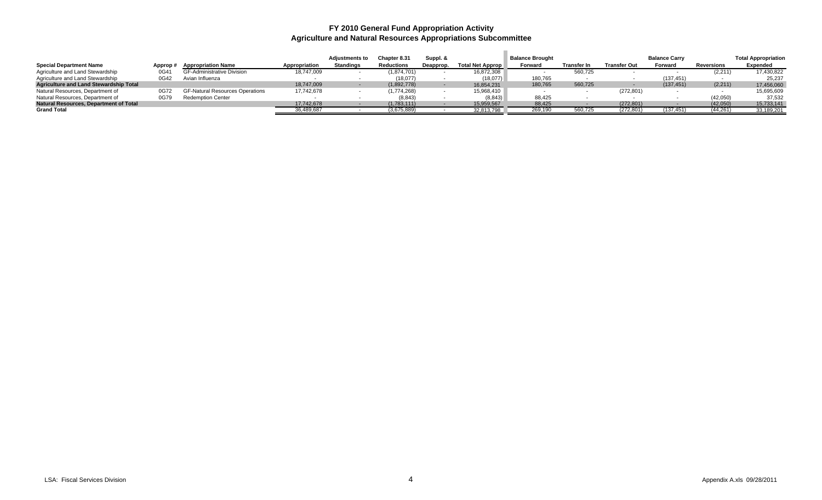#### **FY 2010 General Fund Appropriation Activity Agriculture and Natural Resources Appropriations Subcommittee**

|                                               |          |                                        |               | <b>Adjustments to</b> | Chapter 8.31      | Suppl. &  |                  | <b>Balance Brought</b> |             |                     | <b>Balance Carry</b> |                   | <b>Total Appropriation</b> |
|-----------------------------------------------|----------|----------------------------------------|---------------|-----------------------|-------------------|-----------|------------------|------------------------|-------------|---------------------|----------------------|-------------------|----------------------------|
| <b>Special Department Name</b>                | Approp # | <b>Appropriation Name</b>              | Appropriation | <b>Standings</b>      | <b>Reductions</b> | Deapprop. | Total Net Approp | Forward                | Transfer In | <b>Transfer Out</b> | Forward              | <b>Reversions</b> | <b>Expended</b>            |
| Agriculture and Land Stewardship              | 0G41     | <b>GF-Administrative Division</b>      | 18,747,009    |                       | (1,874,701)       |           | 16,872,308       |                        | 560,725     |                     |                      | (2, 211)          | 17,430,822                 |
| Agriculture and Land Stewardship              | 0G42     | Avian Influenza                        |               |                       | (18,077)          |           | (18,077)         | 180,765                |             |                     | (137, 451)           |                   | 25.237                     |
| <b>Agriculture and Land Stewardship Total</b> |          |                                        | 18,747,009    |                       | (1.892.778)       |           | 16.854.231       | 180,765                | 560,725     |                     | (137, 451)           | (2,211)           | 17,456,060                 |
| Natural Resources, Department of              | 0G72     | <b>GF-Natural Resources Operations</b> | 17.742.678    |                       | (1,774,268)       |           | 15,968,410       |                        |             | (272, 801)          |                      |                   | 15,695,609                 |
| Natural Resources, Department of              | 0G79     | <b>Redemption Center</b>               |               |                       | (8, 843)          |           | (8, 843)         | 88,425                 |             |                     |                      | (42,050)          | 37,532                     |
| <b>Natural Resources, Department of Total</b> |          |                                        | 17,742,678    |                       | (1,783,111)       |           | 15,959,567       | 88,425                 |             | (272, 801)          |                      | (42,050)          | 15,733,141                 |
| <b>Grand Total</b>                            |          |                                        | 36,489,687    |                       | (3,675,889)       |           | 32,813,798       | 269.190                | 560.725     | (272,801            | 137,451)             | (44, 261)         | 33,189,201                 |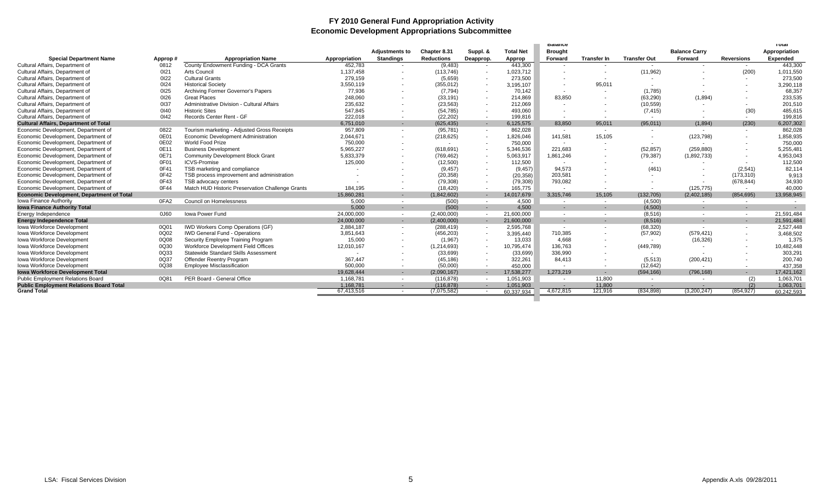#### **FY 2010 General Fund Appropriation Activity Economic Development Appropriations Subcommittee**

|                                                  |         |                                                  |               |                          |                   |            |                  | <b>Balance</b>   |                    |                     |                           |                   | тотаг           |
|--------------------------------------------------|---------|--------------------------------------------------|---------------|--------------------------|-------------------|------------|------------------|------------------|--------------------|---------------------|---------------------------|-------------------|-----------------|
|                                                  |         |                                                  |               | <b>Adiustments to</b>    | Chapter 8.31      | Suppl. &   | <b>Total Net</b> | <b>Brought</b>   |                    |                     | <b>Balance Carry</b>      |                   | Appropriation   |
| <b>Special Department Name</b>                   | Approp# | <b>Appropriation Name</b>                        | Appropriation | <b>Standings</b>         | <b>Reductions</b> | Deapprop.  | Approp           | Forward          | <b>Transfer In</b> | <b>Transfer Out</b> | Forward                   | <b>Reversions</b> | <b>Expended</b> |
| Cultural Affairs, Department of                  | 0812    | County Endowment Funding - DCA Grants            | 452,783       | $\overline{\phantom{a}}$ | (9, 483)          |            | 443,300          |                  |                    | $\sim$              | $\sim$                    | $\sim$            | 443,300         |
| Cultural Affairs, Department of                  | 0121    | Arts Council                                     | 1,137,458     |                          | (113, 746)        |            | 1,023,712        |                  |                    | (11, 962)           |                           | (200)             | 1,011,550       |
| Cultural Affairs, Department of                  | 0122    | <b>Cultural Grants</b>                           | 279.159       |                          | (5,659)           |            | 273.500          |                  |                    | $\sim$              |                           |                   | 273,500         |
| Cultural Affairs, Department of                  | 0124    | <b>Historical Society</b>                        | 3,550,119     |                          | (355, 012)        |            | 3,195,107        |                  | 95,011             |                     |                           |                   | 3,290,118       |
| Cultural Affairs, Department of                  | 0125    | Archiving Former Governor's Papers               | 77,936        |                          | (7, 794)          | $\sim$     | 70,142           | $\sim$           |                    | (1,785)             |                           |                   | 68,357          |
| Cultural Affairs, Department of                  | 0126    | <b>Great Places</b>                              | 248,060       | $\overline{\phantom{a}}$ | (33, 191)         | $\sim$     | 214,869          | 83,850           |                    | (63, 290)           | (1,894)                   |                   | 233,535         |
| Cultural Affairs, Department of                  | 0137    | Administrative Division - Cultural Affairs       | 235,632       |                          | (23, 563)         | $\sim$     | 212.069          | $\sim$           |                    | (10, 559)           |                           |                   | 201,510         |
| Cultural Affairs, Department of                  | 0140    | <b>Historic Sites</b>                            | 547,845       |                          | (54, 785)         | $\sim$     | 493.060          | $\sim$           |                    | (7, 415)            |                           | (30)              | 485.615         |
| Cultural Affairs, Department of                  | 0142    | Records Center Rent - GF                         | 222.018       | $\sim$                   | (22, 202)         |            | 199.816          | $\sim$           | . .                | $\sim$              | <b><i><u>Part</u></i></b> | $\sim$            | 199.816         |
| <b>Cultural Affairs, Department of Total</b>     |         |                                                  | 6.751.010     | $\sim$                   | (625, 435)        | $\sim$     | 6,125,575        | 83.850           | 95,011             | (95,011)            | (1.894)                   | (230)             | 6,207,302       |
| Economic Development. Department of              | 0822    | Tourism marketing - Adjusted Gross Receipts      | 957.809       | $\sim$                   | (95, 781)         | $\sim$     | 862.028          | $\sim$           | $\sim$             | $\sim$              | $\sim$                    | $\sim$            | 862,028         |
| Economic Development, Department of              | 0E01    | Economic Development Administration              | 2,044,671     | $\overline{\phantom{a}}$ | (218, 625)        | $\sim$     | 1,826,046        | 141,581          | 15,105             | $\sim$              | (123, 798)                | $\sim$            | 1,858,935       |
| Economic Development, Department of              | 0E02    | World Food Prize                                 | 750,000       | $\overline{\phantom{a}}$ | $\sim$            |            | 750.000          |                  |                    |                     |                           |                   | 750,000         |
| Economic Development. Department of              | 0E11    | <b>Business Development</b>                      | 5.965.227     |                          | (618, 691)        |            | 5,346,536        | 221.683          |                    | (52, 857)           | (259.880)                 |                   | 5,255,481       |
| Economic Development, Department of              | 0E71    | <b>Community Development Block Grant</b>         | 5,833,379     |                          | (769, 462)        | $\sim$     | 5,063,917        | 1,861,246        |                    | (79, 387)           | (1,892,733)               |                   | 4,953,043       |
| Economic Development, Department of              | 0F01    | <b>ICVS-Promise</b>                              | 125,000       |                          | (12,500)          | $\sim$     | 112,500          | $\sim$           |                    | $\sim$              | $\sim$                    |                   | 112,500         |
| Economic Development, Department of              | 0F41    | TSB marketing and compliance                     |               |                          | (9, 457)          | $\sim$     | (9, 457)         | 94.573           |                    | (461)               |                           | (2,541)           | 82,114          |
| Economic Development. Department of              | 0F42    | TSB process improvement and administration       |               |                          | (20, 358)         | $\sim$     | (20, 358)        | 203,581          |                    | $\sim$              |                           | (173, 310)        | 9,913           |
| Economic Development. Department of              | 0F43    | TSB advocacy centers                             |               |                          | (79.308)          |            | (79, 308)        | 793.082          |                    |                     | $\sim$                    | (678, 844)        | 34,930          |
| Economic Development. Department of              | 0F44    | Match HUD Historic Preservation Challenge Grants | 184.195       | $\sim$                   | (18.420)          | $\sim$     | 165.775          | <b>CONTINUES</b> | . .                | $\sim$              | (125, 775)                | $\sim$            | 40.000          |
| <b>Economic Development, Department of Total</b> |         |                                                  | 15,860,281    | $\sim$                   | (1,842,602)       | $\sim$     | 14.017.679       | 3,315,746        | 15,105             | (132, 705)          | (2,402,185)               | (854, 695)        | 13,958,945      |
| Iowa Finance Authority                           | 0FA2    | <b>Council on Homelessness</b>                   | 5.000         | $\sim$                   | (500)             | $\sim$     | 4.500            | $\sim$           | $\sim$             | (4,500)             | $\sim$                    | $\sim$            |                 |
| <b>Iowa Finance Authority Total</b>              |         |                                                  | 5.000         | . .                      | (500)             | $\sim$     | 4.500            | . .              |                    | (4,500)             | . —                       | $\sim$            | $\sim$          |
| Energy Independence                              | 0J60    | <b>Iowa Power Fund</b>                           | 24.000.000    | $\sim$                   | (2,400,000)       | $\sim$     | 21.600.000       | $\sim$           |                    | (8,516)             | $\sim$                    | $\sim$            | 21,591,484      |
| <b>Energy Independence Total</b>                 |         |                                                  | 24.000.000    | $\sim$                   | (2,400,000)       | $\sim$     | 21,600,000       | . .              |                    | (8,516)             | н.                        | н.                | 21,591,484      |
| <b>Iowa Workforce Development</b>                | 0Q01    | <b>IWD Workers Comp Operations (GF)</b>          | 2.884.187     | $\sim$                   | (288.419)         | $\sim$     | 2.595.768        | $\sim$           |                    | (68, 320)           | $\sim$                    | $\sim$            | 2,527,448       |
| Iowa Workforce Development                       | 0Q02    | <b>IWD General Fund - Operations</b>             | 3,851,643     | $\overline{\phantom{a}}$ | (456, 203)        | $\sim$     | 3,395,440        | 710,385          |                    | (57, 902)           | (579, 421)                | $\sim$            | 3,468,502       |
| <b>Iowa Workforce Development</b>                | 0Q08    | Security Employee Training Program               | 15,000        |                          | (1,967)           | $\sim$     | 13,033           | 4.668            |                    | $\sim$              | (16, 326)                 |                   | 1,375           |
| <b>Iowa Workforce Development</b>                | 0Q30    | Workforce Development Field Offices              | 12,010,167    |                          | (1,214,693)       | $\sim$     | 10.795.474       | 136.763          |                    | (449, 789)          |                           |                   | 10,482,448      |
| Iowa Workforce Development                       | 0Q33    | <b>Statewide Standard Skills Assessment</b>      |               |                          | (33,699)          |            | (33, 699)        | 336,990          |                    |                     | $\sim$                    |                   | 303,291         |
| <b>Iowa Workforce Development</b>                | 0Q37    | Offender Reentry Program                         | 367,447       |                          | (45, 186)         | $\sim$     | 322,261          | 84,413           |                    | (5,513)             | (200, 421)                | $\sim$            | 200,740         |
| <b>Iowa Workforce Development</b>                | 0Q38    | <b>Employee Misclassification</b>                | 500.000       |                          | (50,000)          |            | 450.000          |                  |                    | (12, 642)           | $\sim$                    | $\sim$            | 437,358         |
| <b>Iowa Workforce Development Total</b>          |         |                                                  | 19,628,444    | $\sim$                   | (2,090,167)       |            | 17,538,277       | 1,273,219        |                    | (594, 166)          | (796.168)                 | <b>COL</b>        | 17,421,162      |
| <b>Public Employment Relations Board</b>         | 0Q81    | PER Board - General Office                       | 1,168,781     | $\sim$                   | (116, 878)        | $\sim$     | 1.051.903        | $\sim$           | 11,800             | $\sim$              | $\sim$                    | (2)               | 1,063,701       |
| <b>Public Employment Relations Board Total</b>   |         |                                                  | 1.168.781     | . .                      | (116.878)         |            | 1,051,903        |                  | 11,800             |                     | <b>Contract</b>           | (2)               | 1,063,701       |
| <b>Grand Total</b>                               |         |                                                  | 67.413.516    | $\sim$                   | (7.075.582)       | $\sim$ $-$ | 60.337.934       | 4.672.815        | 121.916            | (834.898)           | (3.200.247)               | (854.927)         | 60.242.593      |
|                                                  |         |                                                  |               |                          |                   |            |                  |                  |                    |                     |                           |                   |                 |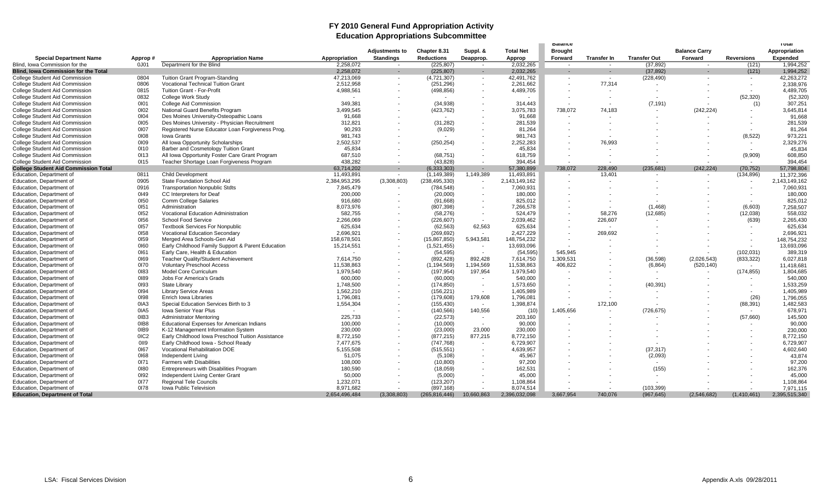#### **FY 2010 General Fund Appropriation Activity Education Appropriations Subcommittee**

| <b>Total Net</b><br><b>Balance Carry</b><br>Appropriation<br><b>Adjustments to</b><br>Chapter 8.31<br>Suppl. &<br><b>Brought</b><br>Appropriation<br><b>Standings</b><br><b>Transfer Out</b><br><b>Reversions</b><br><b>Special Department Name</b><br><b>Appropriation Name</b><br><b>Reductions</b><br>Deapprop.<br>Approp<br>Forward<br><b>Transfer In</b><br>Forward<br>Expended<br>Approp#<br>1.994.252<br>Blind. Iowa Commission for the<br>0J01<br>Department for the Blind<br>2,258,072<br>(225, 807)<br>2,032,265<br>(37, 892)<br>(121)<br>$\sim$<br>$\sim$<br>۰.<br>2.258.072<br>(225, 807)<br>2.032.265<br>(37, 892)<br>(121)<br>1.994.252<br><b>Blind. Iowa Commission for the Total</b><br>$\sim$<br>$\sim$<br>$\sim$<br>$\sim$<br>42,263,272<br>College Student Aid Commission<br>0804<br><b>Tuition Grant Program-Standing</b><br>47,213,069<br>42,491,762<br>(228, 490)<br>(4,721,307)<br>$\sim$<br>$\sim$<br>$\sim$<br>$\sim$<br>$\sim$<br>$\sim$<br>0806<br><b>Vocational Technical Tuition Grant</b><br>2,512,958<br>77.314<br><b>College Student Aid Commission</b><br>(251, 296)<br>2,261,662<br>2,338,976<br>0815<br><b>Tuition Grant - For-Profit</b><br>4,988,561<br>(498, 856)<br>4,489,705<br>4,489,705<br>College Student Aid Commission<br>$\sim$<br>(52, 320)<br>College Student Aid Commission<br>0832<br><b>College Work Study</b><br>(52, 320)<br>$\sim$<br>307,251<br>0101<br>349,381<br>(34, 938)<br>314.443<br>(7, 191)<br><b>College Student Aid Commission</b><br>College Aid Commission<br>(1)<br>$\overline{\phantom{a}}$<br>3,645,814<br>College Student Aid Commission<br>0102<br>National Guard Benefits Program<br>3,499,545<br>3,075,783<br>738,072<br>74,183<br>(242, 224)<br>(423, 762)<br>$\overline{\phantom{a}}$<br>0104<br>91.668<br>91.668<br>91,668<br><b>College Student Aid Commission</b><br>Des Moines University-Osteopathic Loans<br>$\blacksquare$<br>0105<br>281,539<br>312,821<br>(31, 282)<br>281,539<br>College Student Aid Commission<br>Des Moines University - Physician Recruitment<br>0107<br>81,264<br>College Student Aid Commission<br>Registered Nurse Educator Loan Forgiveness Prog.<br>90,293<br>(9,029)<br>81,264<br>0108<br><b>Iowa Grants</b><br>981.743<br>(8, 522)<br><b>College Student Aid Commission</b><br>981.743<br>973,221<br>College Student Aid Commission<br>0109<br>All Iowa Opportunity Scholarships<br>2,502,537<br>2,252,283<br>76,993<br>2,329,276<br>(250, 254)<br>$\sim$<br>0110<br>Barber and Cosmetology Tuition Grant<br>45,834<br>45,834<br><b>College Student Aid Commission</b><br>45,834<br>0113<br>All Iowa Opportunity Foster Care Grant Program<br>687.510<br>618.759<br>(9.909)<br>608,850<br>College Student Aid Commission<br>(68, 751)<br>0115<br>438.282<br>394.454<br>394.454<br>College Student Aid Commission<br>Teacher Shortage Loan Forgiveness Program<br>(43, 828)<br>$\sim$<br>$\sim$<br>$\sim$<br><b>College Student Aid Commission Total</b><br>738,072<br>(242, 224)<br>57,798,804<br>63,714,202<br>(6,333,303)<br>57,380,899<br>228,490<br>(235, 681)<br>(70, 752)<br>$\sim$<br>٠<br>Education, Department of<br>0811<br>11,493,891<br>(1, 149, 389)<br>1,149,389<br>11,493,891<br>13,401<br>(134, 896)<br>11,372,396<br><b>Child Development</b><br>$\sim$<br>$\sim$<br>$\overline{\phantom{a}}$<br>$\sim$<br>0905<br>2,384,953,295<br>(3,308,803)<br>2,143,149,162<br>Education, Department of<br>State Foundation School Aid<br>(238, 495, 330)<br>2,143,149,162<br>$\sim$<br>$\blacksquare$<br>0916<br><b>Transportation Nonpublic Stdts</b><br>7,845,479<br>7,060,931<br>Education, Department of<br>(784, 548)<br>7,060,931<br>0149<br>200,000<br>180,000<br>Education, Department of<br>CC Interpreters for Deaf<br>(20,000)<br>180,000<br>0150<br>Education, Department of<br><b>Comm College Salaries</b><br>916,680<br>(91,668)<br>825,012<br>825,012<br>0151<br>(1,468)<br>(6,603)<br>7,258,507<br>Administration<br>8,073,976<br>(807, 398)<br>7,266,578<br>Education, Department of<br>0152<br>558,032<br>Education, Department of<br>Vocational Education Administration<br>582,755<br>(58, 276)<br>524,479<br>58,276<br>(12,685)<br>(12,038)<br>$\overline{\phantom{a}}$<br>0156<br>Education, Department of<br>School Food Service<br>2.266.069<br>(226, 607)<br>2.039.462<br>226,607<br>(639)<br>2,265,430<br>$\sim$<br>0157<br>62,563<br>625,634<br>625,634<br>Education, Department of<br><b>Textbook Services For Nonpublic</b><br>(62, 563)<br>625,634<br>0158<br>2,427,229<br>269,692<br>2,696,921<br>Education, Department of<br><b>Vocational Education Secondary</b><br>2,696,921<br>(269, 692)<br>$\sim$<br>$\overline{\phantom{a}}$<br>0159<br>5,943,581<br>Education, Department of<br>Merged Area Schools-Gen Aid<br>158,678,501<br>(15, 867, 850)<br>148,754,232<br>148,754,232<br>$\sim$<br>Education, Department of<br>0160<br>Early Childhood Family Support & Parent Education<br>(1,521,455)<br>13,693,096<br>13,693,096<br>15,214,551<br>$\sim$<br>0161<br>Early Care, Health & Education<br>(54, 595)<br>(54, 595)<br>545.945<br>(102, 031)<br>Education, Department of<br>389,319<br>$\overline{\phantom{a}}$<br>Education, Department of<br>0169<br>Teacher Quality/Student Achievement<br>7,614,750<br>(892, 428)<br>892,428<br>7,614,750<br>1,309,531<br>(36, 598)<br>(2,026,543)<br>(833, 322)<br>6,027,818<br>0170<br><b>Voluntary Preschool Access</b><br>11,538,863<br>(1, 194, 569)<br>1,194,569<br>11,538,863<br>406,822<br>(6, 864)<br>11,418,681<br>Education, Department of<br>(520, 140)<br>$\sim$<br>0183<br>(197, 954)<br>1,979,540<br>(174, 855)<br>1,804,685<br>Education, Department of<br>Model Core Curriculum<br>1,979,540<br>197,954<br>$\overline{\phantom{a}}$<br>0189<br>Education, Department of<br><b>Jobs For America's Grads</b><br>600,000<br>(60,000)<br>540,000<br>540,000<br>$\sim$<br>$\overline{\phantom{a}}$<br>0193<br>(174, 850)<br>1,533,259<br>Education, Department of<br><b>State Library</b><br>1,748,500<br>1,573,650<br>(40, 391)<br>$\sim$<br>0194<br>1,562,210<br>(156, 221)<br>1,405,989<br>1,405,989<br>Education, Department of<br><b>Library Service Areas</b><br>$\sim$<br>0198<br>179,608<br>(26)<br>Education, Department of<br>Enrich Iowa Libraries<br>1,796,081<br>(179, 608)<br>1,796,081<br>1,796,055<br>0IA3<br>Special Education Services Birth to 3<br>1,398,874<br>172,100<br>Education, Department of<br>1,554,304<br>(155, 430)<br>(88, 391)<br>1,482,583<br>$\sim$<br>$\sim$<br>140,556<br>1,405,656<br>Education, Department of<br>0IA5<br>Iowa Senior Year Plus<br>(140, 566)<br>(10)<br>(726, 675)<br>678,971<br>$\sim$<br>0IB3<br>Education, Department of<br><b>Administrator Mentoring</b><br>225,733<br>(22, 573)<br>203,160<br>(57,660)<br>145,500<br>$\overline{\phantom{a}}$<br>0IB8<br>Education. Department of<br><b>Educational Expenses for American Indians</b><br>100.000<br>(10,000)<br>90,000<br>90,000<br>$\sim$<br>0IB9<br>23,000<br>230,000<br>Education, Department of<br>K-12 Management Information System<br>230,000<br>(23,000)<br>230,000<br>0IC <sub>2</sub><br>Early Childhood Iowa Preschool Tuition Assistance<br>877.215<br>8,772,150<br>Education, Department of<br>8,772,150<br>(877, 215)<br>8,772,150<br>0119<br>6,729,907<br>Education, Department of<br>Early Childhood Iowa - School Ready<br>7,477,675<br>(747, 768)<br>6,729,907<br>0167<br>Education, Department of<br>Vocational Rehabilitation DOE<br>5,155,508<br>(515, 551)<br>4,639,957<br>(37, 317)<br>4,602,640<br>$\sim$<br>0168<br>51.075<br>(5, 108)<br>45,967<br>(2,093)<br>43,874<br>Education, Department of<br>Independent Living<br>0171<br>Education, Department of<br><b>Farmers with Disabilities</b><br>97,200<br>97,200<br>108,000<br>(10, 800)<br>$\sim$<br>0180<br>Entrepreneurs with Disabilities Program<br>180.590<br>162.531<br>(155)<br>162.376<br>Education, Department of<br>(18,059)<br>0192<br>45,000<br>Education, Department of<br>Independent Living Center Grant<br>45,000<br>50,000<br>(5,000)<br>$\overline{\phantom{a}}$<br>0177<br>Education, Department of<br><b>Regional Tele Councils</b><br>1,232,071<br>(123, 207)<br>1,108,864<br>1,108,864<br>0178<br>7.971.115<br>Education, Department of<br><b>Iowa Public Television</b><br>8.971.682<br>(897.168)<br>8.074.514<br>(103, 399)<br>(3,308,803)<br>10,660,863<br><b>Education, Department of Total</b><br>2,654,496,484<br>(265, 816, 446)<br>2,396,032,098<br>3,667,954<br>740,076<br>(967, 645)<br>(2,546,682)<br>(1,410,461)<br>2,395,515,340 |  |  |  |  | <b>Balance</b> |  |  | <b>TOTAL</b> |
|--------------------------------------------------------------------------------------------------------------------------------------------------------------------------------------------------------------------------------------------------------------------------------------------------------------------------------------------------------------------------------------------------------------------------------------------------------------------------------------------------------------------------------------------------------------------------------------------------------------------------------------------------------------------------------------------------------------------------------------------------------------------------------------------------------------------------------------------------------------------------------------------------------------------------------------------------------------------------------------------------------------------------------------------------------------------------------------------------------------------------------------------------------------------------------------------------------------------------------------------------------------------------------------------------------------------------------------------------------------------------------------------------------------------------------------------------------------------------------------------------------------------------------------------------------------------------------------------------------------------------------------------------------------------------------------------------------------------------------------------------------------------------------------------------------------------------------------------------------------------------------------------------------------------------------------------------------------------------------------------------------------------------------------------------------------------------------------------------------------------------------------------------------------------------------------------------------------------------------------------------------------------------------------------------------------------------------------------------------------------------------------------------------------------------------------------------------------------------------------------------------------------------------------------------------------------------------------------------------------------------------------------------------------------------------------------------------------------------------------------------------------------------------------------------------------------------------------------------------------------------------------------------------------------------------------------------------------------------------------------------------------------------------------------------------------------------------------------------------------------------------------------------------------------------------------------------------------------------------------------------------------------------------------------------------------------------------------------------------------------------------------------------------------------------------------------------------------------------------------------------------------------------------------------------------------------------------------------------------------------------------------------------------------------------------------------------------------------------------------------------------------------------------------------------------------------------------------------------------------------------------------------------------------------------------------------------------------------------------------------------------------------------------------------------------------------------------------------------------------------------------------------------------------------------------------------------------------------------------------------------------------------------------------------------------------------------------------------------------------------------------------------------------------------------------------------------------------------------------------------------------------------------------------------------------------------------------------------------------------------------------------------------------------------------------------------------------------------------------------------------------------------------------------------------------------------------------------------------------------------------------------------------------------------------------------------------------------------------------------------------------------------------------------------------------------------------------------------------------------------------------------------------------------------------------------------------------------------------------------------------------------------------------------------------------------------------------------------------------------------------------------------------------------------------------------------------------------------------------------------------------------------------------------------------------------------------------------------------------------------------------------------------------------------------------------------------------------------------------------------------------------------------------------------------------------------------------------------------------------------------------------------------------------------------------------------------------------------------------------------------------------------------------------------------------------------------------------------------------------------------------------------------------------------------------------------------------------------------------------------------------------------------------------------------------------------------------------------------------------------------------------------------------------------------------------------------------------------------------------------------------------------------------------------------------------------------------------------------------------------------------------------------------------------------------------------------------------------------------------------------------------------------------------------------------------------------------------------------------------------------------------------------------------------------------------------------------------------------------------------------------------------------------------------------------------------------------------------------------------------------------------------------------------------------------------------------------------------------------------------------------------------------------------------------------------------------------------------------------------------------------------------------------------------------------------------------------------------------------------------------------------------------------------------------------------------------------------------------------------------------------------------------------------------------------------------------------------------------------------------------------------------------------------------------------------------------------------------------------------------------------------------------------------------------------------------------------------------------------------------------------------------------------------------------------------------------------------------------------------------------------------------------------------------------------------------------------------------------------------------------------------------------------------------------------------------------------------------------------------------------------------------------------------------------------------------------------------------------------------------------------------------------------------------------------------------------------|--|--|--|--|----------------|--|--|--------------|
|                                                                                                                                                                                                                                                                                                                                                                                                                                                                                                                                                                                                                                                                                                                                                                                                                                                                                                                                                                                                                                                                                                                                                                                                                                                                                                                                                                                                                                                                                                                                                                                                                                                                                                                                                                                                                                                                                                                                                                                                                                                                                                                                                                                                                                                                                                                                                                                                                                                                                                                                                                                                                                                                                                                                                                                                                                                                                                                                                                                                                                                                                                                                                                                                                                                                                                                                                                                                                                                                                                                                                                                                                                                                                                                                                                                                                                                                                                                                                                                                                                                                                                                                                                                                                                                                                                                                                                                                                                                                                                                                                                                                                                                                                                                                                                                                                                                                                                                                                                                                                                                                                                                                                                                                                                                                                                                                                                                                                                                                                                                                                                                                                                                                                                                                                                                                                                                                                                                                                                                                                                                                                                                                                                                                                                                                                                                                                                                                                                                                                                                                                                                                                                                                                                                                                                                                                                                                                                                                                                                                                                                                                                                                                                                                                                                                                                                                                                                                                                                                                                                                                                                                                                                                                                                                                                                                                                                                                                                                                                                                                                                                                                                                                                                                                                                                                                                                                                                                                                                                                                                                                                                |  |  |  |  |                |  |  |              |
|                                                                                                                                                                                                                                                                                                                                                                                                                                                                                                                                                                                                                                                                                                                                                                                                                                                                                                                                                                                                                                                                                                                                                                                                                                                                                                                                                                                                                                                                                                                                                                                                                                                                                                                                                                                                                                                                                                                                                                                                                                                                                                                                                                                                                                                                                                                                                                                                                                                                                                                                                                                                                                                                                                                                                                                                                                                                                                                                                                                                                                                                                                                                                                                                                                                                                                                                                                                                                                                                                                                                                                                                                                                                                                                                                                                                                                                                                                                                                                                                                                                                                                                                                                                                                                                                                                                                                                                                                                                                                                                                                                                                                                                                                                                                                                                                                                                                                                                                                                                                                                                                                                                                                                                                                                                                                                                                                                                                                                                                                                                                                                                                                                                                                                                                                                                                                                                                                                                                                                                                                                                                                                                                                                                                                                                                                                                                                                                                                                                                                                                                                                                                                                                                                                                                                                                                                                                                                                                                                                                                                                                                                                                                                                                                                                                                                                                                                                                                                                                                                                                                                                                                                                                                                                                                                                                                                                                                                                                                                                                                                                                                                                                                                                                                                                                                                                                                                                                                                                                                                                                                                                                |  |  |  |  |                |  |  |              |
|                                                                                                                                                                                                                                                                                                                                                                                                                                                                                                                                                                                                                                                                                                                                                                                                                                                                                                                                                                                                                                                                                                                                                                                                                                                                                                                                                                                                                                                                                                                                                                                                                                                                                                                                                                                                                                                                                                                                                                                                                                                                                                                                                                                                                                                                                                                                                                                                                                                                                                                                                                                                                                                                                                                                                                                                                                                                                                                                                                                                                                                                                                                                                                                                                                                                                                                                                                                                                                                                                                                                                                                                                                                                                                                                                                                                                                                                                                                                                                                                                                                                                                                                                                                                                                                                                                                                                                                                                                                                                                                                                                                                                                                                                                                                                                                                                                                                                                                                                                                                                                                                                                                                                                                                                                                                                                                                                                                                                                                                                                                                                                                                                                                                                                                                                                                                                                                                                                                                                                                                                                                                                                                                                                                                                                                                                                                                                                                                                                                                                                                                                                                                                                                                                                                                                                                                                                                                                                                                                                                                                                                                                                                                                                                                                                                                                                                                                                                                                                                                                                                                                                                                                                                                                                                                                                                                                                                                                                                                                                                                                                                                                                                                                                                                                                                                                                                                                                                                                                                                                                                                                                                |  |  |  |  |                |  |  |              |
|                                                                                                                                                                                                                                                                                                                                                                                                                                                                                                                                                                                                                                                                                                                                                                                                                                                                                                                                                                                                                                                                                                                                                                                                                                                                                                                                                                                                                                                                                                                                                                                                                                                                                                                                                                                                                                                                                                                                                                                                                                                                                                                                                                                                                                                                                                                                                                                                                                                                                                                                                                                                                                                                                                                                                                                                                                                                                                                                                                                                                                                                                                                                                                                                                                                                                                                                                                                                                                                                                                                                                                                                                                                                                                                                                                                                                                                                                                                                                                                                                                                                                                                                                                                                                                                                                                                                                                                                                                                                                                                                                                                                                                                                                                                                                                                                                                                                                                                                                                                                                                                                                                                                                                                                                                                                                                                                                                                                                                                                                                                                                                                                                                                                                                                                                                                                                                                                                                                                                                                                                                                                                                                                                                                                                                                                                                                                                                                                                                                                                                                                                                                                                                                                                                                                                                                                                                                                                                                                                                                                                                                                                                                                                                                                                                                                                                                                                                                                                                                                                                                                                                                                                                                                                                                                                                                                                                                                                                                                                                                                                                                                                                                                                                                                                                                                                                                                                                                                                                                                                                                                                                                |  |  |  |  |                |  |  |              |
|                                                                                                                                                                                                                                                                                                                                                                                                                                                                                                                                                                                                                                                                                                                                                                                                                                                                                                                                                                                                                                                                                                                                                                                                                                                                                                                                                                                                                                                                                                                                                                                                                                                                                                                                                                                                                                                                                                                                                                                                                                                                                                                                                                                                                                                                                                                                                                                                                                                                                                                                                                                                                                                                                                                                                                                                                                                                                                                                                                                                                                                                                                                                                                                                                                                                                                                                                                                                                                                                                                                                                                                                                                                                                                                                                                                                                                                                                                                                                                                                                                                                                                                                                                                                                                                                                                                                                                                                                                                                                                                                                                                                                                                                                                                                                                                                                                                                                                                                                                                                                                                                                                                                                                                                                                                                                                                                                                                                                                                                                                                                                                                                                                                                                                                                                                                                                                                                                                                                                                                                                                                                                                                                                                                                                                                                                                                                                                                                                                                                                                                                                                                                                                                                                                                                                                                                                                                                                                                                                                                                                                                                                                                                                                                                                                                                                                                                                                                                                                                                                                                                                                                                                                                                                                                                                                                                                                                                                                                                                                                                                                                                                                                                                                                                                                                                                                                                                                                                                                                                                                                                                                                |  |  |  |  |                |  |  |              |
|                                                                                                                                                                                                                                                                                                                                                                                                                                                                                                                                                                                                                                                                                                                                                                                                                                                                                                                                                                                                                                                                                                                                                                                                                                                                                                                                                                                                                                                                                                                                                                                                                                                                                                                                                                                                                                                                                                                                                                                                                                                                                                                                                                                                                                                                                                                                                                                                                                                                                                                                                                                                                                                                                                                                                                                                                                                                                                                                                                                                                                                                                                                                                                                                                                                                                                                                                                                                                                                                                                                                                                                                                                                                                                                                                                                                                                                                                                                                                                                                                                                                                                                                                                                                                                                                                                                                                                                                                                                                                                                                                                                                                                                                                                                                                                                                                                                                                                                                                                                                                                                                                                                                                                                                                                                                                                                                                                                                                                                                                                                                                                                                                                                                                                                                                                                                                                                                                                                                                                                                                                                                                                                                                                                                                                                                                                                                                                                                                                                                                                                                                                                                                                                                                                                                                                                                                                                                                                                                                                                                                                                                                                                                                                                                                                                                                                                                                                                                                                                                                                                                                                                                                                                                                                                                                                                                                                                                                                                                                                                                                                                                                                                                                                                                                                                                                                                                                                                                                                                                                                                                                                                |  |  |  |  |                |  |  |              |
|                                                                                                                                                                                                                                                                                                                                                                                                                                                                                                                                                                                                                                                                                                                                                                                                                                                                                                                                                                                                                                                                                                                                                                                                                                                                                                                                                                                                                                                                                                                                                                                                                                                                                                                                                                                                                                                                                                                                                                                                                                                                                                                                                                                                                                                                                                                                                                                                                                                                                                                                                                                                                                                                                                                                                                                                                                                                                                                                                                                                                                                                                                                                                                                                                                                                                                                                                                                                                                                                                                                                                                                                                                                                                                                                                                                                                                                                                                                                                                                                                                                                                                                                                                                                                                                                                                                                                                                                                                                                                                                                                                                                                                                                                                                                                                                                                                                                                                                                                                                                                                                                                                                                                                                                                                                                                                                                                                                                                                                                                                                                                                                                                                                                                                                                                                                                                                                                                                                                                                                                                                                                                                                                                                                                                                                                                                                                                                                                                                                                                                                                                                                                                                                                                                                                                                                                                                                                                                                                                                                                                                                                                                                                                                                                                                                                                                                                                                                                                                                                                                                                                                                                                                                                                                                                                                                                                                                                                                                                                                                                                                                                                                                                                                                                                                                                                                                                                                                                                                                                                                                                                                                |  |  |  |  |                |  |  |              |
|                                                                                                                                                                                                                                                                                                                                                                                                                                                                                                                                                                                                                                                                                                                                                                                                                                                                                                                                                                                                                                                                                                                                                                                                                                                                                                                                                                                                                                                                                                                                                                                                                                                                                                                                                                                                                                                                                                                                                                                                                                                                                                                                                                                                                                                                                                                                                                                                                                                                                                                                                                                                                                                                                                                                                                                                                                                                                                                                                                                                                                                                                                                                                                                                                                                                                                                                                                                                                                                                                                                                                                                                                                                                                                                                                                                                                                                                                                                                                                                                                                                                                                                                                                                                                                                                                                                                                                                                                                                                                                                                                                                                                                                                                                                                                                                                                                                                                                                                                                                                                                                                                                                                                                                                                                                                                                                                                                                                                                                                                                                                                                                                                                                                                                                                                                                                                                                                                                                                                                                                                                                                                                                                                                                                                                                                                                                                                                                                                                                                                                                                                                                                                                                                                                                                                                                                                                                                                                                                                                                                                                                                                                                                                                                                                                                                                                                                                                                                                                                                                                                                                                                                                                                                                                                                                                                                                                                                                                                                                                                                                                                                                                                                                                                                                                                                                                                                                                                                                                                                                                                                                                                |  |  |  |  |                |  |  |              |
|                                                                                                                                                                                                                                                                                                                                                                                                                                                                                                                                                                                                                                                                                                                                                                                                                                                                                                                                                                                                                                                                                                                                                                                                                                                                                                                                                                                                                                                                                                                                                                                                                                                                                                                                                                                                                                                                                                                                                                                                                                                                                                                                                                                                                                                                                                                                                                                                                                                                                                                                                                                                                                                                                                                                                                                                                                                                                                                                                                                                                                                                                                                                                                                                                                                                                                                                                                                                                                                                                                                                                                                                                                                                                                                                                                                                                                                                                                                                                                                                                                                                                                                                                                                                                                                                                                                                                                                                                                                                                                                                                                                                                                                                                                                                                                                                                                                                                                                                                                                                                                                                                                                                                                                                                                                                                                                                                                                                                                                                                                                                                                                                                                                                                                                                                                                                                                                                                                                                                                                                                                                                                                                                                                                                                                                                                                                                                                                                                                                                                                                                                                                                                                                                                                                                                                                                                                                                                                                                                                                                                                                                                                                                                                                                                                                                                                                                                                                                                                                                                                                                                                                                                                                                                                                                                                                                                                                                                                                                                                                                                                                                                                                                                                                                                                                                                                                                                                                                                                                                                                                                                                                |  |  |  |  |                |  |  |              |
|                                                                                                                                                                                                                                                                                                                                                                                                                                                                                                                                                                                                                                                                                                                                                                                                                                                                                                                                                                                                                                                                                                                                                                                                                                                                                                                                                                                                                                                                                                                                                                                                                                                                                                                                                                                                                                                                                                                                                                                                                                                                                                                                                                                                                                                                                                                                                                                                                                                                                                                                                                                                                                                                                                                                                                                                                                                                                                                                                                                                                                                                                                                                                                                                                                                                                                                                                                                                                                                                                                                                                                                                                                                                                                                                                                                                                                                                                                                                                                                                                                                                                                                                                                                                                                                                                                                                                                                                                                                                                                                                                                                                                                                                                                                                                                                                                                                                                                                                                                                                                                                                                                                                                                                                                                                                                                                                                                                                                                                                                                                                                                                                                                                                                                                                                                                                                                                                                                                                                                                                                                                                                                                                                                                                                                                                                                                                                                                                                                                                                                                                                                                                                                                                                                                                                                                                                                                                                                                                                                                                                                                                                                                                                                                                                                                                                                                                                                                                                                                                                                                                                                                                                                                                                                                                                                                                                                                                                                                                                                                                                                                                                                                                                                                                                                                                                                                                                                                                                                                                                                                                                                                |  |  |  |  |                |  |  |              |
|                                                                                                                                                                                                                                                                                                                                                                                                                                                                                                                                                                                                                                                                                                                                                                                                                                                                                                                                                                                                                                                                                                                                                                                                                                                                                                                                                                                                                                                                                                                                                                                                                                                                                                                                                                                                                                                                                                                                                                                                                                                                                                                                                                                                                                                                                                                                                                                                                                                                                                                                                                                                                                                                                                                                                                                                                                                                                                                                                                                                                                                                                                                                                                                                                                                                                                                                                                                                                                                                                                                                                                                                                                                                                                                                                                                                                                                                                                                                                                                                                                                                                                                                                                                                                                                                                                                                                                                                                                                                                                                                                                                                                                                                                                                                                                                                                                                                                                                                                                                                                                                                                                                                                                                                                                                                                                                                                                                                                                                                                                                                                                                                                                                                                                                                                                                                                                                                                                                                                                                                                                                                                                                                                                                                                                                                                                                                                                                                                                                                                                                                                                                                                                                                                                                                                                                                                                                                                                                                                                                                                                                                                                                                                                                                                                                                                                                                                                                                                                                                                                                                                                                                                                                                                                                                                                                                                                                                                                                                                                                                                                                                                                                                                                                                                                                                                                                                                                                                                                                                                                                                                                                |  |  |  |  |                |  |  |              |
|                                                                                                                                                                                                                                                                                                                                                                                                                                                                                                                                                                                                                                                                                                                                                                                                                                                                                                                                                                                                                                                                                                                                                                                                                                                                                                                                                                                                                                                                                                                                                                                                                                                                                                                                                                                                                                                                                                                                                                                                                                                                                                                                                                                                                                                                                                                                                                                                                                                                                                                                                                                                                                                                                                                                                                                                                                                                                                                                                                                                                                                                                                                                                                                                                                                                                                                                                                                                                                                                                                                                                                                                                                                                                                                                                                                                                                                                                                                                                                                                                                                                                                                                                                                                                                                                                                                                                                                                                                                                                                                                                                                                                                                                                                                                                                                                                                                                                                                                                                                                                                                                                                                                                                                                                                                                                                                                                                                                                                                                                                                                                                                                                                                                                                                                                                                                                                                                                                                                                                                                                                                                                                                                                                                                                                                                                                                                                                                                                                                                                                                                                                                                                                                                                                                                                                                                                                                                                                                                                                                                                                                                                                                                                                                                                                                                                                                                                                                                                                                                                                                                                                                                                                                                                                                                                                                                                                                                                                                                                                                                                                                                                                                                                                                                                                                                                                                                                                                                                                                                                                                                                                                |  |  |  |  |                |  |  |              |
|                                                                                                                                                                                                                                                                                                                                                                                                                                                                                                                                                                                                                                                                                                                                                                                                                                                                                                                                                                                                                                                                                                                                                                                                                                                                                                                                                                                                                                                                                                                                                                                                                                                                                                                                                                                                                                                                                                                                                                                                                                                                                                                                                                                                                                                                                                                                                                                                                                                                                                                                                                                                                                                                                                                                                                                                                                                                                                                                                                                                                                                                                                                                                                                                                                                                                                                                                                                                                                                                                                                                                                                                                                                                                                                                                                                                                                                                                                                                                                                                                                                                                                                                                                                                                                                                                                                                                                                                                                                                                                                                                                                                                                                                                                                                                                                                                                                                                                                                                                                                                                                                                                                                                                                                                                                                                                                                                                                                                                                                                                                                                                                                                                                                                                                                                                                                                                                                                                                                                                                                                                                                                                                                                                                                                                                                                                                                                                                                                                                                                                                                                                                                                                                                                                                                                                                                                                                                                                                                                                                                                                                                                                                                                                                                                                                                                                                                                                                                                                                                                                                                                                                                                                                                                                                                                                                                                                                                                                                                                                                                                                                                                                                                                                                                                                                                                                                                                                                                                                                                                                                                                                                |  |  |  |  |                |  |  |              |
|                                                                                                                                                                                                                                                                                                                                                                                                                                                                                                                                                                                                                                                                                                                                                                                                                                                                                                                                                                                                                                                                                                                                                                                                                                                                                                                                                                                                                                                                                                                                                                                                                                                                                                                                                                                                                                                                                                                                                                                                                                                                                                                                                                                                                                                                                                                                                                                                                                                                                                                                                                                                                                                                                                                                                                                                                                                                                                                                                                                                                                                                                                                                                                                                                                                                                                                                                                                                                                                                                                                                                                                                                                                                                                                                                                                                                                                                                                                                                                                                                                                                                                                                                                                                                                                                                                                                                                                                                                                                                                                                                                                                                                                                                                                                                                                                                                                                                                                                                                                                                                                                                                                                                                                                                                                                                                                                                                                                                                                                                                                                                                                                                                                                                                                                                                                                                                                                                                                                                                                                                                                                                                                                                                                                                                                                                                                                                                                                                                                                                                                                                                                                                                                                                                                                                                                                                                                                                                                                                                                                                                                                                                                                                                                                                                                                                                                                                                                                                                                                                                                                                                                                                                                                                                                                                                                                                                                                                                                                                                                                                                                                                                                                                                                                                                                                                                                                                                                                                                                                                                                                                                                |  |  |  |  |                |  |  |              |
|                                                                                                                                                                                                                                                                                                                                                                                                                                                                                                                                                                                                                                                                                                                                                                                                                                                                                                                                                                                                                                                                                                                                                                                                                                                                                                                                                                                                                                                                                                                                                                                                                                                                                                                                                                                                                                                                                                                                                                                                                                                                                                                                                                                                                                                                                                                                                                                                                                                                                                                                                                                                                                                                                                                                                                                                                                                                                                                                                                                                                                                                                                                                                                                                                                                                                                                                                                                                                                                                                                                                                                                                                                                                                                                                                                                                                                                                                                                                                                                                                                                                                                                                                                                                                                                                                                                                                                                                                                                                                                                                                                                                                                                                                                                                                                                                                                                                                                                                                                                                                                                                                                                                                                                                                                                                                                                                                                                                                                                                                                                                                                                                                                                                                                                                                                                                                                                                                                                                                                                                                                                                                                                                                                                                                                                                                                                                                                                                                                                                                                                                                                                                                                                                                                                                                                                                                                                                                                                                                                                                                                                                                                                                                                                                                                                                                                                                                                                                                                                                                                                                                                                                                                                                                                                                                                                                                                                                                                                                                                                                                                                                                                                                                                                                                                                                                                                                                                                                                                                                                                                                                                                |  |  |  |  |                |  |  |              |
|                                                                                                                                                                                                                                                                                                                                                                                                                                                                                                                                                                                                                                                                                                                                                                                                                                                                                                                                                                                                                                                                                                                                                                                                                                                                                                                                                                                                                                                                                                                                                                                                                                                                                                                                                                                                                                                                                                                                                                                                                                                                                                                                                                                                                                                                                                                                                                                                                                                                                                                                                                                                                                                                                                                                                                                                                                                                                                                                                                                                                                                                                                                                                                                                                                                                                                                                                                                                                                                                                                                                                                                                                                                                                                                                                                                                                                                                                                                                                                                                                                                                                                                                                                                                                                                                                                                                                                                                                                                                                                                                                                                                                                                                                                                                                                                                                                                                                                                                                                                                                                                                                                                                                                                                                                                                                                                                                                                                                                                                                                                                                                                                                                                                                                                                                                                                                                                                                                                                                                                                                                                                                                                                                                                                                                                                                                                                                                                                                                                                                                                                                                                                                                                                                                                                                                                                                                                                                                                                                                                                                                                                                                                                                                                                                                                                                                                                                                                                                                                                                                                                                                                                                                                                                                                                                                                                                                                                                                                                                                                                                                                                                                                                                                                                                                                                                                                                                                                                                                                                                                                                                                                |  |  |  |  |                |  |  |              |
|                                                                                                                                                                                                                                                                                                                                                                                                                                                                                                                                                                                                                                                                                                                                                                                                                                                                                                                                                                                                                                                                                                                                                                                                                                                                                                                                                                                                                                                                                                                                                                                                                                                                                                                                                                                                                                                                                                                                                                                                                                                                                                                                                                                                                                                                                                                                                                                                                                                                                                                                                                                                                                                                                                                                                                                                                                                                                                                                                                                                                                                                                                                                                                                                                                                                                                                                                                                                                                                                                                                                                                                                                                                                                                                                                                                                                                                                                                                                                                                                                                                                                                                                                                                                                                                                                                                                                                                                                                                                                                                                                                                                                                                                                                                                                                                                                                                                                                                                                                                                                                                                                                                                                                                                                                                                                                                                                                                                                                                                                                                                                                                                                                                                                                                                                                                                                                                                                                                                                                                                                                                                                                                                                                                                                                                                                                                                                                                                                                                                                                                                                                                                                                                                                                                                                                                                                                                                                                                                                                                                                                                                                                                                                                                                                                                                                                                                                                                                                                                                                                                                                                                                                                                                                                                                                                                                                                                                                                                                                                                                                                                                                                                                                                                                                                                                                                                                                                                                                                                                                                                                                                                |  |  |  |  |                |  |  |              |
|                                                                                                                                                                                                                                                                                                                                                                                                                                                                                                                                                                                                                                                                                                                                                                                                                                                                                                                                                                                                                                                                                                                                                                                                                                                                                                                                                                                                                                                                                                                                                                                                                                                                                                                                                                                                                                                                                                                                                                                                                                                                                                                                                                                                                                                                                                                                                                                                                                                                                                                                                                                                                                                                                                                                                                                                                                                                                                                                                                                                                                                                                                                                                                                                                                                                                                                                                                                                                                                                                                                                                                                                                                                                                                                                                                                                                                                                                                                                                                                                                                                                                                                                                                                                                                                                                                                                                                                                                                                                                                                                                                                                                                                                                                                                                                                                                                                                                                                                                                                                                                                                                                                                                                                                                                                                                                                                                                                                                                                                                                                                                                                                                                                                                                                                                                                                                                                                                                                                                                                                                                                                                                                                                                                                                                                                                                                                                                                                                                                                                                                                                                                                                                                                                                                                                                                                                                                                                                                                                                                                                                                                                                                                                                                                                                                                                                                                                                                                                                                                                                                                                                                                                                                                                                                                                                                                                                                                                                                                                                                                                                                                                                                                                                                                                                                                                                                                                                                                                                                                                                                                                                                |  |  |  |  |                |  |  |              |
|                                                                                                                                                                                                                                                                                                                                                                                                                                                                                                                                                                                                                                                                                                                                                                                                                                                                                                                                                                                                                                                                                                                                                                                                                                                                                                                                                                                                                                                                                                                                                                                                                                                                                                                                                                                                                                                                                                                                                                                                                                                                                                                                                                                                                                                                                                                                                                                                                                                                                                                                                                                                                                                                                                                                                                                                                                                                                                                                                                                                                                                                                                                                                                                                                                                                                                                                                                                                                                                                                                                                                                                                                                                                                                                                                                                                                                                                                                                                                                                                                                                                                                                                                                                                                                                                                                                                                                                                                                                                                                                                                                                                                                                                                                                                                                                                                                                                                                                                                                                                                                                                                                                                                                                                                                                                                                                                                                                                                                                                                                                                                                                                                                                                                                                                                                                                                                                                                                                                                                                                                                                                                                                                                                                                                                                                                                                                                                                                                                                                                                                                                                                                                                                                                                                                                                                                                                                                                                                                                                                                                                                                                                                                                                                                                                                                                                                                                                                                                                                                                                                                                                                                                                                                                                                                                                                                                                                                                                                                                                                                                                                                                                                                                                                                                                                                                                                                                                                                                                                                                                                                                                                |  |  |  |  |                |  |  |              |
|                                                                                                                                                                                                                                                                                                                                                                                                                                                                                                                                                                                                                                                                                                                                                                                                                                                                                                                                                                                                                                                                                                                                                                                                                                                                                                                                                                                                                                                                                                                                                                                                                                                                                                                                                                                                                                                                                                                                                                                                                                                                                                                                                                                                                                                                                                                                                                                                                                                                                                                                                                                                                                                                                                                                                                                                                                                                                                                                                                                                                                                                                                                                                                                                                                                                                                                                                                                                                                                                                                                                                                                                                                                                                                                                                                                                                                                                                                                                                                                                                                                                                                                                                                                                                                                                                                                                                                                                                                                                                                                                                                                                                                                                                                                                                                                                                                                                                                                                                                                                                                                                                                                                                                                                                                                                                                                                                                                                                                                                                                                                                                                                                                                                                                                                                                                                                                                                                                                                                                                                                                                                                                                                                                                                                                                                                                                                                                                                                                                                                                                                                                                                                                                                                                                                                                                                                                                                                                                                                                                                                                                                                                                                                                                                                                                                                                                                                                                                                                                                                                                                                                                                                                                                                                                                                                                                                                                                                                                                                                                                                                                                                                                                                                                                                                                                                                                                                                                                                                                                                                                                                                                |  |  |  |  |                |  |  |              |
|                                                                                                                                                                                                                                                                                                                                                                                                                                                                                                                                                                                                                                                                                                                                                                                                                                                                                                                                                                                                                                                                                                                                                                                                                                                                                                                                                                                                                                                                                                                                                                                                                                                                                                                                                                                                                                                                                                                                                                                                                                                                                                                                                                                                                                                                                                                                                                                                                                                                                                                                                                                                                                                                                                                                                                                                                                                                                                                                                                                                                                                                                                                                                                                                                                                                                                                                                                                                                                                                                                                                                                                                                                                                                                                                                                                                                                                                                                                                                                                                                                                                                                                                                                                                                                                                                                                                                                                                                                                                                                                                                                                                                                                                                                                                                                                                                                                                                                                                                                                                                                                                                                                                                                                                                                                                                                                                                                                                                                                                                                                                                                                                                                                                                                                                                                                                                                                                                                                                                                                                                                                                                                                                                                                                                                                                                                                                                                                                                                                                                                                                                                                                                                                                                                                                                                                                                                                                                                                                                                                                                                                                                                                                                                                                                                                                                                                                                                                                                                                                                                                                                                                                                                                                                                                                                                                                                                                                                                                                                                                                                                                                                                                                                                                                                                                                                                                                                                                                                                                                                                                                                                                |  |  |  |  |                |  |  |              |
|                                                                                                                                                                                                                                                                                                                                                                                                                                                                                                                                                                                                                                                                                                                                                                                                                                                                                                                                                                                                                                                                                                                                                                                                                                                                                                                                                                                                                                                                                                                                                                                                                                                                                                                                                                                                                                                                                                                                                                                                                                                                                                                                                                                                                                                                                                                                                                                                                                                                                                                                                                                                                                                                                                                                                                                                                                                                                                                                                                                                                                                                                                                                                                                                                                                                                                                                                                                                                                                                                                                                                                                                                                                                                                                                                                                                                                                                                                                                                                                                                                                                                                                                                                                                                                                                                                                                                                                                                                                                                                                                                                                                                                                                                                                                                                                                                                                                                                                                                                                                                                                                                                                                                                                                                                                                                                                                                                                                                                                                                                                                                                                                                                                                                                                                                                                                                                                                                                                                                                                                                                                                                                                                                                                                                                                                                                                                                                                                                                                                                                                                                                                                                                                                                                                                                                                                                                                                                                                                                                                                                                                                                                                                                                                                                                                                                                                                                                                                                                                                                                                                                                                                                                                                                                                                                                                                                                                                                                                                                                                                                                                                                                                                                                                                                                                                                                                                                                                                                                                                                                                                                                                |  |  |  |  |                |  |  |              |
|                                                                                                                                                                                                                                                                                                                                                                                                                                                                                                                                                                                                                                                                                                                                                                                                                                                                                                                                                                                                                                                                                                                                                                                                                                                                                                                                                                                                                                                                                                                                                                                                                                                                                                                                                                                                                                                                                                                                                                                                                                                                                                                                                                                                                                                                                                                                                                                                                                                                                                                                                                                                                                                                                                                                                                                                                                                                                                                                                                                                                                                                                                                                                                                                                                                                                                                                                                                                                                                                                                                                                                                                                                                                                                                                                                                                                                                                                                                                                                                                                                                                                                                                                                                                                                                                                                                                                                                                                                                                                                                                                                                                                                                                                                                                                                                                                                                                                                                                                                                                                                                                                                                                                                                                                                                                                                                                                                                                                                                                                                                                                                                                                                                                                                                                                                                                                                                                                                                                                                                                                                                                                                                                                                                                                                                                                                                                                                                                                                                                                                                                                                                                                                                                                                                                                                                                                                                                                                                                                                                                                                                                                                                                                                                                                                                                                                                                                                                                                                                                                                                                                                                                                                                                                                                                                                                                                                                                                                                                                                                                                                                                                                                                                                                                                                                                                                                                                                                                                                                                                                                                                                                |  |  |  |  |                |  |  |              |
|                                                                                                                                                                                                                                                                                                                                                                                                                                                                                                                                                                                                                                                                                                                                                                                                                                                                                                                                                                                                                                                                                                                                                                                                                                                                                                                                                                                                                                                                                                                                                                                                                                                                                                                                                                                                                                                                                                                                                                                                                                                                                                                                                                                                                                                                                                                                                                                                                                                                                                                                                                                                                                                                                                                                                                                                                                                                                                                                                                                                                                                                                                                                                                                                                                                                                                                                                                                                                                                                                                                                                                                                                                                                                                                                                                                                                                                                                                                                                                                                                                                                                                                                                                                                                                                                                                                                                                                                                                                                                                                                                                                                                                                                                                                                                                                                                                                                                                                                                                                                                                                                                                                                                                                                                                                                                                                                                                                                                                                                                                                                                                                                                                                                                                                                                                                                                                                                                                                                                                                                                                                                                                                                                                                                                                                                                                                                                                                                                                                                                                                                                                                                                                                                                                                                                                                                                                                                                                                                                                                                                                                                                                                                                                                                                                                                                                                                                                                                                                                                                                                                                                                                                                                                                                                                                                                                                                                                                                                                                                                                                                                                                                                                                                                                                                                                                                                                                                                                                                                                                                                                                                                |  |  |  |  |                |  |  |              |
|                                                                                                                                                                                                                                                                                                                                                                                                                                                                                                                                                                                                                                                                                                                                                                                                                                                                                                                                                                                                                                                                                                                                                                                                                                                                                                                                                                                                                                                                                                                                                                                                                                                                                                                                                                                                                                                                                                                                                                                                                                                                                                                                                                                                                                                                                                                                                                                                                                                                                                                                                                                                                                                                                                                                                                                                                                                                                                                                                                                                                                                                                                                                                                                                                                                                                                                                                                                                                                                                                                                                                                                                                                                                                                                                                                                                                                                                                                                                                                                                                                                                                                                                                                                                                                                                                                                                                                                                                                                                                                                                                                                                                                                                                                                                                                                                                                                                                                                                                                                                                                                                                                                                                                                                                                                                                                                                                                                                                                                                                                                                                                                                                                                                                                                                                                                                                                                                                                                                                                                                                                                                                                                                                                                                                                                                                                                                                                                                                                                                                                                                                                                                                                                                                                                                                                                                                                                                                                                                                                                                                                                                                                                                                                                                                                                                                                                                                                                                                                                                                                                                                                                                                                                                                                                                                                                                                                                                                                                                                                                                                                                                                                                                                                                                                                                                                                                                                                                                                                                                                                                                                                                |  |  |  |  |                |  |  |              |
|                                                                                                                                                                                                                                                                                                                                                                                                                                                                                                                                                                                                                                                                                                                                                                                                                                                                                                                                                                                                                                                                                                                                                                                                                                                                                                                                                                                                                                                                                                                                                                                                                                                                                                                                                                                                                                                                                                                                                                                                                                                                                                                                                                                                                                                                                                                                                                                                                                                                                                                                                                                                                                                                                                                                                                                                                                                                                                                                                                                                                                                                                                                                                                                                                                                                                                                                                                                                                                                                                                                                                                                                                                                                                                                                                                                                                                                                                                                                                                                                                                                                                                                                                                                                                                                                                                                                                                                                                                                                                                                                                                                                                                                                                                                                                                                                                                                                                                                                                                                                                                                                                                                                                                                                                                                                                                                                                                                                                                                                                                                                                                                                                                                                                                                                                                                                                                                                                                                                                                                                                                                                                                                                                                                                                                                                                                                                                                                                                                                                                                                                                                                                                                                                                                                                                                                                                                                                                                                                                                                                                                                                                                                                                                                                                                                                                                                                                                                                                                                                                                                                                                                                                                                                                                                                                                                                                                                                                                                                                                                                                                                                                                                                                                                                                                                                                                                                                                                                                                                                                                                                                                                |  |  |  |  |                |  |  |              |
|                                                                                                                                                                                                                                                                                                                                                                                                                                                                                                                                                                                                                                                                                                                                                                                                                                                                                                                                                                                                                                                                                                                                                                                                                                                                                                                                                                                                                                                                                                                                                                                                                                                                                                                                                                                                                                                                                                                                                                                                                                                                                                                                                                                                                                                                                                                                                                                                                                                                                                                                                                                                                                                                                                                                                                                                                                                                                                                                                                                                                                                                                                                                                                                                                                                                                                                                                                                                                                                                                                                                                                                                                                                                                                                                                                                                                                                                                                                                                                                                                                                                                                                                                                                                                                                                                                                                                                                                                                                                                                                                                                                                                                                                                                                                                                                                                                                                                                                                                                                                                                                                                                                                                                                                                                                                                                                                                                                                                                                                                                                                                                                                                                                                                                                                                                                                                                                                                                                                                                                                                                                                                                                                                                                                                                                                                                                                                                                                                                                                                                                                                                                                                                                                                                                                                                                                                                                                                                                                                                                                                                                                                                                                                                                                                                                                                                                                                                                                                                                                                                                                                                                                                                                                                                                                                                                                                                                                                                                                                                                                                                                                                                                                                                                                                                                                                                                                                                                                                                                                                                                                                                                |  |  |  |  |                |  |  |              |
|                                                                                                                                                                                                                                                                                                                                                                                                                                                                                                                                                                                                                                                                                                                                                                                                                                                                                                                                                                                                                                                                                                                                                                                                                                                                                                                                                                                                                                                                                                                                                                                                                                                                                                                                                                                                                                                                                                                                                                                                                                                                                                                                                                                                                                                                                                                                                                                                                                                                                                                                                                                                                                                                                                                                                                                                                                                                                                                                                                                                                                                                                                                                                                                                                                                                                                                                                                                                                                                                                                                                                                                                                                                                                                                                                                                                                                                                                                                                                                                                                                                                                                                                                                                                                                                                                                                                                                                                                                                                                                                                                                                                                                                                                                                                                                                                                                                                                                                                                                                                                                                                                                                                                                                                                                                                                                                                                                                                                                                                                                                                                                                                                                                                                                                                                                                                                                                                                                                                                                                                                                                                                                                                                                                                                                                                                                                                                                                                                                                                                                                                                                                                                                                                                                                                                                                                                                                                                                                                                                                                                                                                                                                                                                                                                                                                                                                                                                                                                                                                                                                                                                                                                                                                                                                                                                                                                                                                                                                                                                                                                                                                                                                                                                                                                                                                                                                                                                                                                                                                                                                                                                                |  |  |  |  |                |  |  |              |
|                                                                                                                                                                                                                                                                                                                                                                                                                                                                                                                                                                                                                                                                                                                                                                                                                                                                                                                                                                                                                                                                                                                                                                                                                                                                                                                                                                                                                                                                                                                                                                                                                                                                                                                                                                                                                                                                                                                                                                                                                                                                                                                                                                                                                                                                                                                                                                                                                                                                                                                                                                                                                                                                                                                                                                                                                                                                                                                                                                                                                                                                                                                                                                                                                                                                                                                                                                                                                                                                                                                                                                                                                                                                                                                                                                                                                                                                                                                                                                                                                                                                                                                                                                                                                                                                                                                                                                                                                                                                                                                                                                                                                                                                                                                                                                                                                                                                                                                                                                                                                                                                                                                                                                                                                                                                                                                                                                                                                                                                                                                                                                                                                                                                                                                                                                                                                                                                                                                                                                                                                                                                                                                                                                                                                                                                                                                                                                                                                                                                                                                                                                                                                                                                                                                                                                                                                                                                                                                                                                                                                                                                                                                                                                                                                                                                                                                                                                                                                                                                                                                                                                                                                                                                                                                                                                                                                                                                                                                                                                                                                                                                                                                                                                                                                                                                                                                                                                                                                                                                                                                                                                                |  |  |  |  |                |  |  |              |
|                                                                                                                                                                                                                                                                                                                                                                                                                                                                                                                                                                                                                                                                                                                                                                                                                                                                                                                                                                                                                                                                                                                                                                                                                                                                                                                                                                                                                                                                                                                                                                                                                                                                                                                                                                                                                                                                                                                                                                                                                                                                                                                                                                                                                                                                                                                                                                                                                                                                                                                                                                                                                                                                                                                                                                                                                                                                                                                                                                                                                                                                                                                                                                                                                                                                                                                                                                                                                                                                                                                                                                                                                                                                                                                                                                                                                                                                                                                                                                                                                                                                                                                                                                                                                                                                                                                                                                                                                                                                                                                                                                                                                                                                                                                                                                                                                                                                                                                                                                                                                                                                                                                                                                                                                                                                                                                                                                                                                                                                                                                                                                                                                                                                                                                                                                                                                                                                                                                                                                                                                                                                                                                                                                                                                                                                                                                                                                                                                                                                                                                                                                                                                                                                                                                                                                                                                                                                                                                                                                                                                                                                                                                                                                                                                                                                                                                                                                                                                                                                                                                                                                                                                                                                                                                                                                                                                                                                                                                                                                                                                                                                                                                                                                                                                                                                                                                                                                                                                                                                                                                                                                                |  |  |  |  |                |  |  |              |
|                                                                                                                                                                                                                                                                                                                                                                                                                                                                                                                                                                                                                                                                                                                                                                                                                                                                                                                                                                                                                                                                                                                                                                                                                                                                                                                                                                                                                                                                                                                                                                                                                                                                                                                                                                                                                                                                                                                                                                                                                                                                                                                                                                                                                                                                                                                                                                                                                                                                                                                                                                                                                                                                                                                                                                                                                                                                                                                                                                                                                                                                                                                                                                                                                                                                                                                                                                                                                                                                                                                                                                                                                                                                                                                                                                                                                                                                                                                                                                                                                                                                                                                                                                                                                                                                                                                                                                                                                                                                                                                                                                                                                                                                                                                                                                                                                                                                                                                                                                                                                                                                                                                                                                                                                                                                                                                                                                                                                                                                                                                                                                                                                                                                                                                                                                                                                                                                                                                                                                                                                                                                                                                                                                                                                                                                                                                                                                                                                                                                                                                                                                                                                                                                                                                                                                                                                                                                                                                                                                                                                                                                                                                                                                                                                                                                                                                                                                                                                                                                                                                                                                                                                                                                                                                                                                                                                                                                                                                                                                                                                                                                                                                                                                                                                                                                                                                                                                                                                                                                                                                                                                                |  |  |  |  |                |  |  |              |
|                                                                                                                                                                                                                                                                                                                                                                                                                                                                                                                                                                                                                                                                                                                                                                                                                                                                                                                                                                                                                                                                                                                                                                                                                                                                                                                                                                                                                                                                                                                                                                                                                                                                                                                                                                                                                                                                                                                                                                                                                                                                                                                                                                                                                                                                                                                                                                                                                                                                                                                                                                                                                                                                                                                                                                                                                                                                                                                                                                                                                                                                                                                                                                                                                                                                                                                                                                                                                                                                                                                                                                                                                                                                                                                                                                                                                                                                                                                                                                                                                                                                                                                                                                                                                                                                                                                                                                                                                                                                                                                                                                                                                                                                                                                                                                                                                                                                                                                                                                                                                                                                                                                                                                                                                                                                                                                                                                                                                                                                                                                                                                                                                                                                                                                                                                                                                                                                                                                                                                                                                                                                                                                                                                                                                                                                                                                                                                                                                                                                                                                                                                                                                                                                                                                                                                                                                                                                                                                                                                                                                                                                                                                                                                                                                                                                                                                                                                                                                                                                                                                                                                                                                                                                                                                                                                                                                                                                                                                                                                                                                                                                                                                                                                                                                                                                                                                                                                                                                                                                                                                                                                                |  |  |  |  |                |  |  |              |
|                                                                                                                                                                                                                                                                                                                                                                                                                                                                                                                                                                                                                                                                                                                                                                                                                                                                                                                                                                                                                                                                                                                                                                                                                                                                                                                                                                                                                                                                                                                                                                                                                                                                                                                                                                                                                                                                                                                                                                                                                                                                                                                                                                                                                                                                                                                                                                                                                                                                                                                                                                                                                                                                                                                                                                                                                                                                                                                                                                                                                                                                                                                                                                                                                                                                                                                                                                                                                                                                                                                                                                                                                                                                                                                                                                                                                                                                                                                                                                                                                                                                                                                                                                                                                                                                                                                                                                                                                                                                                                                                                                                                                                                                                                                                                                                                                                                                                                                                                                                                                                                                                                                                                                                                                                                                                                                                                                                                                                                                                                                                                                                                                                                                                                                                                                                                                                                                                                                                                                                                                                                                                                                                                                                                                                                                                                                                                                                                                                                                                                                                                                                                                                                                                                                                                                                                                                                                                                                                                                                                                                                                                                                                                                                                                                                                                                                                                                                                                                                                                                                                                                                                                                                                                                                                                                                                                                                                                                                                                                                                                                                                                                                                                                                                                                                                                                                                                                                                                                                                                                                                                                                |  |  |  |  |                |  |  |              |
|                                                                                                                                                                                                                                                                                                                                                                                                                                                                                                                                                                                                                                                                                                                                                                                                                                                                                                                                                                                                                                                                                                                                                                                                                                                                                                                                                                                                                                                                                                                                                                                                                                                                                                                                                                                                                                                                                                                                                                                                                                                                                                                                                                                                                                                                                                                                                                                                                                                                                                                                                                                                                                                                                                                                                                                                                                                                                                                                                                                                                                                                                                                                                                                                                                                                                                                                                                                                                                                                                                                                                                                                                                                                                                                                                                                                                                                                                                                                                                                                                                                                                                                                                                                                                                                                                                                                                                                                                                                                                                                                                                                                                                                                                                                                                                                                                                                                                                                                                                                                                                                                                                                                                                                                                                                                                                                                                                                                                                                                                                                                                                                                                                                                                                                                                                                                                                                                                                                                                                                                                                                                                                                                                                                                                                                                                                                                                                                                                                                                                                                                                                                                                                                                                                                                                                                                                                                                                                                                                                                                                                                                                                                                                                                                                                                                                                                                                                                                                                                                                                                                                                                                                                                                                                                                                                                                                                                                                                                                                                                                                                                                                                                                                                                                                                                                                                                                                                                                                                                                                                                                                                                |  |  |  |  |                |  |  |              |
|                                                                                                                                                                                                                                                                                                                                                                                                                                                                                                                                                                                                                                                                                                                                                                                                                                                                                                                                                                                                                                                                                                                                                                                                                                                                                                                                                                                                                                                                                                                                                                                                                                                                                                                                                                                                                                                                                                                                                                                                                                                                                                                                                                                                                                                                                                                                                                                                                                                                                                                                                                                                                                                                                                                                                                                                                                                                                                                                                                                                                                                                                                                                                                                                                                                                                                                                                                                                                                                                                                                                                                                                                                                                                                                                                                                                                                                                                                                                                                                                                                                                                                                                                                                                                                                                                                                                                                                                                                                                                                                                                                                                                                                                                                                                                                                                                                                                                                                                                                                                                                                                                                                                                                                                                                                                                                                                                                                                                                                                                                                                                                                                                                                                                                                                                                                                                                                                                                                                                                                                                                                                                                                                                                                                                                                                                                                                                                                                                                                                                                                                                                                                                                                                                                                                                                                                                                                                                                                                                                                                                                                                                                                                                                                                                                                                                                                                                                                                                                                                                                                                                                                                                                                                                                                                                                                                                                                                                                                                                                                                                                                                                                                                                                                                                                                                                                                                                                                                                                                                                                                                                                                |  |  |  |  |                |  |  |              |
|                                                                                                                                                                                                                                                                                                                                                                                                                                                                                                                                                                                                                                                                                                                                                                                                                                                                                                                                                                                                                                                                                                                                                                                                                                                                                                                                                                                                                                                                                                                                                                                                                                                                                                                                                                                                                                                                                                                                                                                                                                                                                                                                                                                                                                                                                                                                                                                                                                                                                                                                                                                                                                                                                                                                                                                                                                                                                                                                                                                                                                                                                                                                                                                                                                                                                                                                                                                                                                                                                                                                                                                                                                                                                                                                                                                                                                                                                                                                                                                                                                                                                                                                                                                                                                                                                                                                                                                                                                                                                                                                                                                                                                                                                                                                                                                                                                                                                                                                                                                                                                                                                                                                                                                                                                                                                                                                                                                                                                                                                                                                                                                                                                                                                                                                                                                                                                                                                                                                                                                                                                                                                                                                                                                                                                                                                                                                                                                                                                                                                                                                                                                                                                                                                                                                                                                                                                                                                                                                                                                                                                                                                                                                                                                                                                                                                                                                                                                                                                                                                                                                                                                                                                                                                                                                                                                                                                                                                                                                                                                                                                                                                                                                                                                                                                                                                                                                                                                                                                                                                                                                                                                |  |  |  |  |                |  |  |              |
|                                                                                                                                                                                                                                                                                                                                                                                                                                                                                                                                                                                                                                                                                                                                                                                                                                                                                                                                                                                                                                                                                                                                                                                                                                                                                                                                                                                                                                                                                                                                                                                                                                                                                                                                                                                                                                                                                                                                                                                                                                                                                                                                                                                                                                                                                                                                                                                                                                                                                                                                                                                                                                                                                                                                                                                                                                                                                                                                                                                                                                                                                                                                                                                                                                                                                                                                                                                                                                                                                                                                                                                                                                                                                                                                                                                                                                                                                                                                                                                                                                                                                                                                                                                                                                                                                                                                                                                                                                                                                                                                                                                                                                                                                                                                                                                                                                                                                                                                                                                                                                                                                                                                                                                                                                                                                                                                                                                                                                                                                                                                                                                                                                                                                                                                                                                                                                                                                                                                                                                                                                                                                                                                                                                                                                                                                                                                                                                                                                                                                                                                                                                                                                                                                                                                                                                                                                                                                                                                                                                                                                                                                                                                                                                                                                                                                                                                                                                                                                                                                                                                                                                                                                                                                                                                                                                                                                                                                                                                                                                                                                                                                                                                                                                                                                                                                                                                                                                                                                                                                                                                                                                |  |  |  |  |                |  |  |              |
|                                                                                                                                                                                                                                                                                                                                                                                                                                                                                                                                                                                                                                                                                                                                                                                                                                                                                                                                                                                                                                                                                                                                                                                                                                                                                                                                                                                                                                                                                                                                                                                                                                                                                                                                                                                                                                                                                                                                                                                                                                                                                                                                                                                                                                                                                                                                                                                                                                                                                                                                                                                                                                                                                                                                                                                                                                                                                                                                                                                                                                                                                                                                                                                                                                                                                                                                                                                                                                                                                                                                                                                                                                                                                                                                                                                                                                                                                                                                                                                                                                                                                                                                                                                                                                                                                                                                                                                                                                                                                                                                                                                                                                                                                                                                                                                                                                                                                                                                                                                                                                                                                                                                                                                                                                                                                                                                                                                                                                                                                                                                                                                                                                                                                                                                                                                                                                                                                                                                                                                                                                                                                                                                                                                                                                                                                                                                                                                                                                                                                                                                                                                                                                                                                                                                                                                                                                                                                                                                                                                                                                                                                                                                                                                                                                                                                                                                                                                                                                                                                                                                                                                                                                                                                                                                                                                                                                                                                                                                                                                                                                                                                                                                                                                                                                                                                                                                                                                                                                                                                                                                                                                |  |  |  |  |                |  |  |              |
|                                                                                                                                                                                                                                                                                                                                                                                                                                                                                                                                                                                                                                                                                                                                                                                                                                                                                                                                                                                                                                                                                                                                                                                                                                                                                                                                                                                                                                                                                                                                                                                                                                                                                                                                                                                                                                                                                                                                                                                                                                                                                                                                                                                                                                                                                                                                                                                                                                                                                                                                                                                                                                                                                                                                                                                                                                                                                                                                                                                                                                                                                                                                                                                                                                                                                                                                                                                                                                                                                                                                                                                                                                                                                                                                                                                                                                                                                                                                                                                                                                                                                                                                                                                                                                                                                                                                                                                                                                                                                                                                                                                                                                                                                                                                                                                                                                                                                                                                                                                                                                                                                                                                                                                                                                                                                                                                                                                                                                                                                                                                                                                                                                                                                                                                                                                                                                                                                                                                                                                                                                                                                                                                                                                                                                                                                                                                                                                                                                                                                                                                                                                                                                                                                                                                                                                                                                                                                                                                                                                                                                                                                                                                                                                                                                                                                                                                                                                                                                                                                                                                                                                                                                                                                                                                                                                                                                                                                                                                                                                                                                                                                                                                                                                                                                                                                                                                                                                                                                                                                                                                                                                |  |  |  |  |                |  |  |              |
|                                                                                                                                                                                                                                                                                                                                                                                                                                                                                                                                                                                                                                                                                                                                                                                                                                                                                                                                                                                                                                                                                                                                                                                                                                                                                                                                                                                                                                                                                                                                                                                                                                                                                                                                                                                                                                                                                                                                                                                                                                                                                                                                                                                                                                                                                                                                                                                                                                                                                                                                                                                                                                                                                                                                                                                                                                                                                                                                                                                                                                                                                                                                                                                                                                                                                                                                                                                                                                                                                                                                                                                                                                                                                                                                                                                                                                                                                                                                                                                                                                                                                                                                                                                                                                                                                                                                                                                                                                                                                                                                                                                                                                                                                                                                                                                                                                                                                                                                                                                                                                                                                                                                                                                                                                                                                                                                                                                                                                                                                                                                                                                                                                                                                                                                                                                                                                                                                                                                                                                                                                                                                                                                                                                                                                                                                                                                                                                                                                                                                                                                                                                                                                                                                                                                                                                                                                                                                                                                                                                                                                                                                                                                                                                                                                                                                                                                                                                                                                                                                                                                                                                                                                                                                                                                                                                                                                                                                                                                                                                                                                                                                                                                                                                                                                                                                                                                                                                                                                                                                                                                                                                |  |  |  |  |                |  |  |              |
|                                                                                                                                                                                                                                                                                                                                                                                                                                                                                                                                                                                                                                                                                                                                                                                                                                                                                                                                                                                                                                                                                                                                                                                                                                                                                                                                                                                                                                                                                                                                                                                                                                                                                                                                                                                                                                                                                                                                                                                                                                                                                                                                                                                                                                                                                                                                                                                                                                                                                                                                                                                                                                                                                                                                                                                                                                                                                                                                                                                                                                                                                                                                                                                                                                                                                                                                                                                                                                                                                                                                                                                                                                                                                                                                                                                                                                                                                                                                                                                                                                                                                                                                                                                                                                                                                                                                                                                                                                                                                                                                                                                                                                                                                                                                                                                                                                                                                                                                                                                                                                                                                                                                                                                                                                                                                                                                                                                                                                                                                                                                                                                                                                                                                                                                                                                                                                                                                                                                                                                                                                                                                                                                                                                                                                                                                                                                                                                                                                                                                                                                                                                                                                                                                                                                                                                                                                                                                                                                                                                                                                                                                                                                                                                                                                                                                                                                                                                                                                                                                                                                                                                                                                                                                                                                                                                                                                                                                                                                                                                                                                                                                                                                                                                                                                                                                                                                                                                                                                                                                                                                                                                |  |  |  |  |                |  |  |              |
|                                                                                                                                                                                                                                                                                                                                                                                                                                                                                                                                                                                                                                                                                                                                                                                                                                                                                                                                                                                                                                                                                                                                                                                                                                                                                                                                                                                                                                                                                                                                                                                                                                                                                                                                                                                                                                                                                                                                                                                                                                                                                                                                                                                                                                                                                                                                                                                                                                                                                                                                                                                                                                                                                                                                                                                                                                                                                                                                                                                                                                                                                                                                                                                                                                                                                                                                                                                                                                                                                                                                                                                                                                                                                                                                                                                                                                                                                                                                                                                                                                                                                                                                                                                                                                                                                                                                                                                                                                                                                                                                                                                                                                                                                                                                                                                                                                                                                                                                                                                                                                                                                                                                                                                                                                                                                                                                                                                                                                                                                                                                                                                                                                                                                                                                                                                                                                                                                                                                                                                                                                                                                                                                                                                                                                                                                                                                                                                                                                                                                                                                                                                                                                                                                                                                                                                                                                                                                                                                                                                                                                                                                                                                                                                                                                                                                                                                                                                                                                                                                                                                                                                                                                                                                                                                                                                                                                                                                                                                                                                                                                                                                                                                                                                                                                                                                                                                                                                                                                                                                                                                                                                |  |  |  |  |                |  |  |              |
|                                                                                                                                                                                                                                                                                                                                                                                                                                                                                                                                                                                                                                                                                                                                                                                                                                                                                                                                                                                                                                                                                                                                                                                                                                                                                                                                                                                                                                                                                                                                                                                                                                                                                                                                                                                                                                                                                                                                                                                                                                                                                                                                                                                                                                                                                                                                                                                                                                                                                                                                                                                                                                                                                                                                                                                                                                                                                                                                                                                                                                                                                                                                                                                                                                                                                                                                                                                                                                                                                                                                                                                                                                                                                                                                                                                                                                                                                                                                                                                                                                                                                                                                                                                                                                                                                                                                                                                                                                                                                                                                                                                                                                                                                                                                                                                                                                                                                                                                                                                                                                                                                                                                                                                                                                                                                                                                                                                                                                                                                                                                                                                                                                                                                                                                                                                                                                                                                                                                                                                                                                                                                                                                                                                                                                                                                                                                                                                                                                                                                                                                                                                                                                                                                                                                                                                                                                                                                                                                                                                                                                                                                                                                                                                                                                                                                                                                                                                                                                                                                                                                                                                                                                                                                                                                                                                                                                                                                                                                                                                                                                                                                                                                                                                                                                                                                                                                                                                                                                                                                                                                                                                |  |  |  |  |                |  |  |              |
|                                                                                                                                                                                                                                                                                                                                                                                                                                                                                                                                                                                                                                                                                                                                                                                                                                                                                                                                                                                                                                                                                                                                                                                                                                                                                                                                                                                                                                                                                                                                                                                                                                                                                                                                                                                                                                                                                                                                                                                                                                                                                                                                                                                                                                                                                                                                                                                                                                                                                                                                                                                                                                                                                                                                                                                                                                                                                                                                                                                                                                                                                                                                                                                                                                                                                                                                                                                                                                                                                                                                                                                                                                                                                                                                                                                                                                                                                                                                                                                                                                                                                                                                                                                                                                                                                                                                                                                                                                                                                                                                                                                                                                                                                                                                                                                                                                                                                                                                                                                                                                                                                                                                                                                                                                                                                                                                                                                                                                                                                                                                                                                                                                                                                                                                                                                                                                                                                                                                                                                                                                                                                                                                                                                                                                                                                                                                                                                                                                                                                                                                                                                                                                                                                                                                                                                                                                                                                                                                                                                                                                                                                                                                                                                                                                                                                                                                                                                                                                                                                                                                                                                                                                                                                                                                                                                                                                                                                                                                                                                                                                                                                                                                                                                                                                                                                                                                                                                                                                                                                                                                                                                |  |  |  |  |                |  |  |              |
|                                                                                                                                                                                                                                                                                                                                                                                                                                                                                                                                                                                                                                                                                                                                                                                                                                                                                                                                                                                                                                                                                                                                                                                                                                                                                                                                                                                                                                                                                                                                                                                                                                                                                                                                                                                                                                                                                                                                                                                                                                                                                                                                                                                                                                                                                                                                                                                                                                                                                                                                                                                                                                                                                                                                                                                                                                                                                                                                                                                                                                                                                                                                                                                                                                                                                                                                                                                                                                                                                                                                                                                                                                                                                                                                                                                                                                                                                                                                                                                                                                                                                                                                                                                                                                                                                                                                                                                                                                                                                                                                                                                                                                                                                                                                                                                                                                                                                                                                                                                                                                                                                                                                                                                                                                                                                                                                                                                                                                                                                                                                                                                                                                                                                                                                                                                                                                                                                                                                                                                                                                                                                                                                                                                                                                                                                                                                                                                                                                                                                                                                                                                                                                                                                                                                                                                                                                                                                                                                                                                                                                                                                                                                                                                                                                                                                                                                                                                                                                                                                                                                                                                                                                                                                                                                                                                                                                                                                                                                                                                                                                                                                                                                                                                                                                                                                                                                                                                                                                                                                                                                                                                |  |  |  |  |                |  |  |              |
|                                                                                                                                                                                                                                                                                                                                                                                                                                                                                                                                                                                                                                                                                                                                                                                                                                                                                                                                                                                                                                                                                                                                                                                                                                                                                                                                                                                                                                                                                                                                                                                                                                                                                                                                                                                                                                                                                                                                                                                                                                                                                                                                                                                                                                                                                                                                                                                                                                                                                                                                                                                                                                                                                                                                                                                                                                                                                                                                                                                                                                                                                                                                                                                                                                                                                                                                                                                                                                                                                                                                                                                                                                                                                                                                                                                                                                                                                                                                                                                                                                                                                                                                                                                                                                                                                                                                                                                                                                                                                                                                                                                                                                                                                                                                                                                                                                                                                                                                                                                                                                                                                                                                                                                                                                                                                                                                                                                                                                                                                                                                                                                                                                                                                                                                                                                                                                                                                                                                                                                                                                                                                                                                                                                                                                                                                                                                                                                                                                                                                                                                                                                                                                                                                                                                                                                                                                                                                                                                                                                                                                                                                                                                                                                                                                                                                                                                                                                                                                                                                                                                                                                                                                                                                                                                                                                                                                                                                                                                                                                                                                                                                                                                                                                                                                                                                                                                                                                                                                                                                                                                                                                |  |  |  |  |                |  |  |              |
|                                                                                                                                                                                                                                                                                                                                                                                                                                                                                                                                                                                                                                                                                                                                                                                                                                                                                                                                                                                                                                                                                                                                                                                                                                                                                                                                                                                                                                                                                                                                                                                                                                                                                                                                                                                                                                                                                                                                                                                                                                                                                                                                                                                                                                                                                                                                                                                                                                                                                                                                                                                                                                                                                                                                                                                                                                                                                                                                                                                                                                                                                                                                                                                                                                                                                                                                                                                                                                                                                                                                                                                                                                                                                                                                                                                                                                                                                                                                                                                                                                                                                                                                                                                                                                                                                                                                                                                                                                                                                                                                                                                                                                                                                                                                                                                                                                                                                                                                                                                                                                                                                                                                                                                                                                                                                                                                                                                                                                                                                                                                                                                                                                                                                                                                                                                                                                                                                                                                                                                                                                                                                                                                                                                                                                                                                                                                                                                                                                                                                                                                                                                                                                                                                                                                                                                                                                                                                                                                                                                                                                                                                                                                                                                                                                                                                                                                                                                                                                                                                                                                                                                                                                                                                                                                                                                                                                                                                                                                                                                                                                                                                                                                                                                                                                                                                                                                                                                                                                                                                                                                                                                |  |  |  |  |                |  |  |              |
|                                                                                                                                                                                                                                                                                                                                                                                                                                                                                                                                                                                                                                                                                                                                                                                                                                                                                                                                                                                                                                                                                                                                                                                                                                                                                                                                                                                                                                                                                                                                                                                                                                                                                                                                                                                                                                                                                                                                                                                                                                                                                                                                                                                                                                                                                                                                                                                                                                                                                                                                                                                                                                                                                                                                                                                                                                                                                                                                                                                                                                                                                                                                                                                                                                                                                                                                                                                                                                                                                                                                                                                                                                                                                                                                                                                                                                                                                                                                                                                                                                                                                                                                                                                                                                                                                                                                                                                                                                                                                                                                                                                                                                                                                                                                                                                                                                                                                                                                                                                                                                                                                                                                                                                                                                                                                                                                                                                                                                                                                                                                                                                                                                                                                                                                                                                                                                                                                                                                                                                                                                                                                                                                                                                                                                                                                                                                                                                                                                                                                                                                                                                                                                                                                                                                                                                                                                                                                                                                                                                                                                                                                                                                                                                                                                                                                                                                                                                                                                                                                                                                                                                                                                                                                                                                                                                                                                                                                                                                                                                                                                                                                                                                                                                                                                                                                                                                                                                                                                                                                                                                                                                |  |  |  |  |                |  |  |              |
|                                                                                                                                                                                                                                                                                                                                                                                                                                                                                                                                                                                                                                                                                                                                                                                                                                                                                                                                                                                                                                                                                                                                                                                                                                                                                                                                                                                                                                                                                                                                                                                                                                                                                                                                                                                                                                                                                                                                                                                                                                                                                                                                                                                                                                                                                                                                                                                                                                                                                                                                                                                                                                                                                                                                                                                                                                                                                                                                                                                                                                                                                                                                                                                                                                                                                                                                                                                                                                                                                                                                                                                                                                                                                                                                                                                                                                                                                                                                                                                                                                                                                                                                                                                                                                                                                                                                                                                                                                                                                                                                                                                                                                                                                                                                                                                                                                                                                                                                                                                                                                                                                                                                                                                                                                                                                                                                                                                                                                                                                                                                                                                                                                                                                                                                                                                                                                                                                                                                                                                                                                                                                                                                                                                                                                                                                                                                                                                                                                                                                                                                                                                                                                                                                                                                                                                                                                                                                                                                                                                                                                                                                                                                                                                                                                                                                                                                                                                                                                                                                                                                                                                                                                                                                                                                                                                                                                                                                                                                                                                                                                                                                                                                                                                                                                                                                                                                                                                                                                                                                                                                                                                |  |  |  |  |                |  |  |              |
|                                                                                                                                                                                                                                                                                                                                                                                                                                                                                                                                                                                                                                                                                                                                                                                                                                                                                                                                                                                                                                                                                                                                                                                                                                                                                                                                                                                                                                                                                                                                                                                                                                                                                                                                                                                                                                                                                                                                                                                                                                                                                                                                                                                                                                                                                                                                                                                                                                                                                                                                                                                                                                                                                                                                                                                                                                                                                                                                                                                                                                                                                                                                                                                                                                                                                                                                                                                                                                                                                                                                                                                                                                                                                                                                                                                                                                                                                                                                                                                                                                                                                                                                                                                                                                                                                                                                                                                                                                                                                                                                                                                                                                                                                                                                                                                                                                                                                                                                                                                                                                                                                                                                                                                                                                                                                                                                                                                                                                                                                                                                                                                                                                                                                                                                                                                                                                                                                                                                                                                                                                                                                                                                                                                                                                                                                                                                                                                                                                                                                                                                                                                                                                                                                                                                                                                                                                                                                                                                                                                                                                                                                                                                                                                                                                                                                                                                                                                                                                                                                                                                                                                                                                                                                                                                                                                                                                                                                                                                                                                                                                                                                                                                                                                                                                                                                                                                                                                                                                                                                                                                                                                |  |  |  |  |                |  |  |              |
|                                                                                                                                                                                                                                                                                                                                                                                                                                                                                                                                                                                                                                                                                                                                                                                                                                                                                                                                                                                                                                                                                                                                                                                                                                                                                                                                                                                                                                                                                                                                                                                                                                                                                                                                                                                                                                                                                                                                                                                                                                                                                                                                                                                                                                                                                                                                                                                                                                                                                                                                                                                                                                                                                                                                                                                                                                                                                                                                                                                                                                                                                                                                                                                                                                                                                                                                                                                                                                                                                                                                                                                                                                                                                                                                                                                                                                                                                                                                                                                                                                                                                                                                                                                                                                                                                                                                                                                                                                                                                                                                                                                                                                                                                                                                                                                                                                                                                                                                                                                                                                                                                                                                                                                                                                                                                                                                                                                                                                                                                                                                                                                                                                                                                                                                                                                                                                                                                                                                                                                                                                                                                                                                                                                                                                                                                                                                                                                                                                                                                                                                                                                                                                                                                                                                                                                                                                                                                                                                                                                                                                                                                                                                                                                                                                                                                                                                                                                                                                                                                                                                                                                                                                                                                                                                                                                                                                                                                                                                                                                                                                                                                                                                                                                                                                                                                                                                                                                                                                                                                                                                                                                |  |  |  |  |                |  |  |              |
|                                                                                                                                                                                                                                                                                                                                                                                                                                                                                                                                                                                                                                                                                                                                                                                                                                                                                                                                                                                                                                                                                                                                                                                                                                                                                                                                                                                                                                                                                                                                                                                                                                                                                                                                                                                                                                                                                                                                                                                                                                                                                                                                                                                                                                                                                                                                                                                                                                                                                                                                                                                                                                                                                                                                                                                                                                                                                                                                                                                                                                                                                                                                                                                                                                                                                                                                                                                                                                                                                                                                                                                                                                                                                                                                                                                                                                                                                                                                                                                                                                                                                                                                                                                                                                                                                                                                                                                                                                                                                                                                                                                                                                                                                                                                                                                                                                                                                                                                                                                                                                                                                                                                                                                                                                                                                                                                                                                                                                                                                                                                                                                                                                                                                                                                                                                                                                                                                                                                                                                                                                                                                                                                                                                                                                                                                                                                                                                                                                                                                                                                                                                                                                                                                                                                                                                                                                                                                                                                                                                                                                                                                                                                                                                                                                                                                                                                                                                                                                                                                                                                                                                                                                                                                                                                                                                                                                                                                                                                                                                                                                                                                                                                                                                                                                                                                                                                                                                                                                                                                                                                                                                |  |  |  |  |                |  |  |              |
|                                                                                                                                                                                                                                                                                                                                                                                                                                                                                                                                                                                                                                                                                                                                                                                                                                                                                                                                                                                                                                                                                                                                                                                                                                                                                                                                                                                                                                                                                                                                                                                                                                                                                                                                                                                                                                                                                                                                                                                                                                                                                                                                                                                                                                                                                                                                                                                                                                                                                                                                                                                                                                                                                                                                                                                                                                                                                                                                                                                                                                                                                                                                                                                                                                                                                                                                                                                                                                                                                                                                                                                                                                                                                                                                                                                                                                                                                                                                                                                                                                                                                                                                                                                                                                                                                                                                                                                                                                                                                                                                                                                                                                                                                                                                                                                                                                                                                                                                                                                                                                                                                                                                                                                                                                                                                                                                                                                                                                                                                                                                                                                                                                                                                                                                                                                                                                                                                                                                                                                                                                                                                                                                                                                                                                                                                                                                                                                                                                                                                                                                                                                                                                                                                                                                                                                                                                                                                                                                                                                                                                                                                                                                                                                                                                                                                                                                                                                                                                                                                                                                                                                                                                                                                                                                                                                                                                                                                                                                                                                                                                                                                                                                                                                                                                                                                                                                                                                                                                                                                                                                                                                |  |  |  |  |                |  |  |              |
|                                                                                                                                                                                                                                                                                                                                                                                                                                                                                                                                                                                                                                                                                                                                                                                                                                                                                                                                                                                                                                                                                                                                                                                                                                                                                                                                                                                                                                                                                                                                                                                                                                                                                                                                                                                                                                                                                                                                                                                                                                                                                                                                                                                                                                                                                                                                                                                                                                                                                                                                                                                                                                                                                                                                                                                                                                                                                                                                                                                                                                                                                                                                                                                                                                                                                                                                                                                                                                                                                                                                                                                                                                                                                                                                                                                                                                                                                                                                                                                                                                                                                                                                                                                                                                                                                                                                                                                                                                                                                                                                                                                                                                                                                                                                                                                                                                                                                                                                                                                                                                                                                                                                                                                                                                                                                                                                                                                                                                                                                                                                                                                                                                                                                                                                                                                                                                                                                                                                                                                                                                                                                                                                                                                                                                                                                                                                                                                                                                                                                                                                                                                                                                                                                                                                                                                                                                                                                                                                                                                                                                                                                                                                                                                                                                                                                                                                                                                                                                                                                                                                                                                                                                                                                                                                                                                                                                                                                                                                                                                                                                                                                                                                                                                                                                                                                                                                                                                                                                                                                                                                                                                |  |  |  |  |                |  |  |              |
|                                                                                                                                                                                                                                                                                                                                                                                                                                                                                                                                                                                                                                                                                                                                                                                                                                                                                                                                                                                                                                                                                                                                                                                                                                                                                                                                                                                                                                                                                                                                                                                                                                                                                                                                                                                                                                                                                                                                                                                                                                                                                                                                                                                                                                                                                                                                                                                                                                                                                                                                                                                                                                                                                                                                                                                                                                                                                                                                                                                                                                                                                                                                                                                                                                                                                                                                                                                                                                                                                                                                                                                                                                                                                                                                                                                                                                                                                                                                                                                                                                                                                                                                                                                                                                                                                                                                                                                                                                                                                                                                                                                                                                                                                                                                                                                                                                                                                                                                                                                                                                                                                                                                                                                                                                                                                                                                                                                                                                                                                                                                                                                                                                                                                                                                                                                                                                                                                                                                                                                                                                                                                                                                                                                                                                                                                                                                                                                                                                                                                                                                                                                                                                                                                                                                                                                                                                                                                                                                                                                                                                                                                                                                                                                                                                                                                                                                                                                                                                                                                                                                                                                                                                                                                                                                                                                                                                                                                                                                                                                                                                                                                                                                                                                                                                                                                                                                                                                                                                                                                                                                                                                |  |  |  |  |                |  |  |              |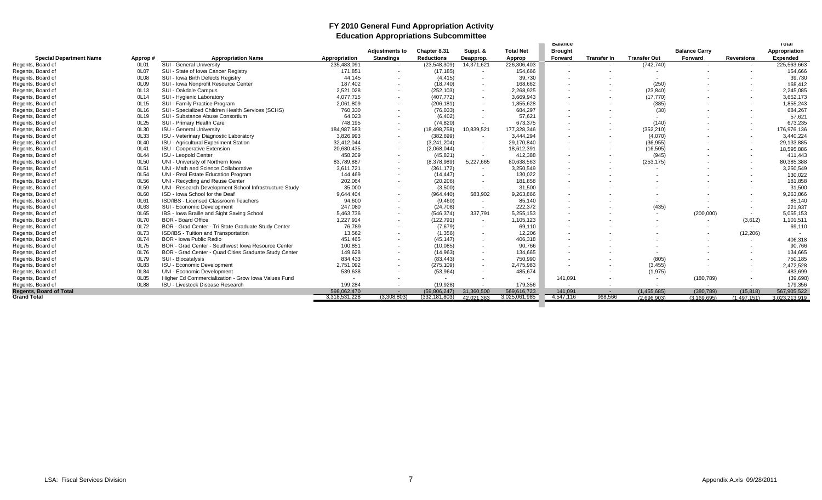### **FY 2010 General Fund Appropriation Activity Education Appropriations Subcommittee**

|                                |         |                                                        |                          |                       |                          |                          |                          | <b>Balance</b>           |                    |                          |                          |                          | ι οται          |
|--------------------------------|---------|--------------------------------------------------------|--------------------------|-----------------------|--------------------------|--------------------------|--------------------------|--------------------------|--------------------|--------------------------|--------------------------|--------------------------|-----------------|
|                                |         |                                                        |                          | <b>Adjustments to</b> | Chapter 8.31             | Suppl. &                 | <b>Total Net</b>         | <b>Brought</b>           |                    |                          | <b>Balance Carry</b>     |                          | Appropriation   |
| <b>Special Department Name</b> | Approp# | <b>Appropriation Name</b>                              | Appropriation            | <b>Standings</b>      | <b>Reductions</b>        | Deapprop.                | Approp                   | Forward                  | <b>Transfer In</b> | <b>Transfer Out</b>      | Forward                  | <b>Reversions</b>        | <b>Expended</b> |
| Regents, Board of              | 0L01    | <b>SUI - General University</b>                        | 235,483,091              | $\sim$                | (23,548,309)             | 14,371,621               | 226,306,403              | $\overline{\phantom{a}}$ |                    | (742, 740)               |                          | $\sim$                   | 225,563,663     |
| Regents, Board of              | 0L07    | SUI - State of Iowa Cancer Registry                    | 171,851                  | $\sim$                | (17, 185)                | $\sim$                   | 154,666                  |                          |                    |                          |                          |                          | 154,666         |
| Regents, Board of              | 0L08    | SUI - Iowa Birth Defects Registry                      | 44.145                   | $\sim$                | (4, 415)                 | $\sim$                   | 39,730                   | . .                      |                    | $\overline{\phantom{a}}$ |                          |                          | 39,730          |
| Regents, Board of              | 0L09    | SUI - Iowa Nonprofit Resource Center                   | 187.402                  | $\sim$                | (18, 740)                | $\overline{\phantom{a}}$ | 168,662                  | $\overline{\phantom{a}}$ |                    | (250)                    |                          |                          | 168,412         |
| Regents, Board of              | 0L13    | SUI - Oakdale Campus                                   | 2,521,028                | $\sim$                | (252, 103)               | $\sim$                   | 2,268,925                |                          |                    | (23, 840)                |                          |                          | 2,245,085       |
| Regents, Board of              | 0L14    | SUI - Hvgienic Laboratory                              | 4.077.715                | $\sim$                | (407, 772)               | $\sim$                   | 3,669,943                | . .                      |                    | (17, 770)                |                          |                          | 3,652,173       |
| Regents, Board of              | 0L15    | SUI - Family Practice Program                          | 2,061,809                | $\sim$                | (206, 181)               | $\sim$                   | 1,855,628                | $\overline{\phantom{a}}$ |                    | (385)                    |                          |                          | 1,855,243       |
| Regents, Board of              | 0L16    | SUI - Specialized Children Health Services (SCHS)      | 760,330                  |                       | (76, 033)                | $\overline{\phantom{a}}$ | 684,297                  |                          |                    | (30)                     |                          |                          | 684,267         |
| Regents, Board of              | 0L19    | SUI - Substance Abuse Consortium                       | 64,023                   | $\sim$                | (6, 402)                 | $\sim$                   | 57,621                   | <u>. на п</u>            |                    | $\sim$                   |                          | . .                      | 57,621          |
| Regents, Board of              | 0L25    | SUI - Primary Health Care                              | 748,195                  | $\sim$                | (74, 820)                | $\overline{\phantom{a}}$ | 673,375                  | $\overline{\phantom{a}}$ |                    | (140)                    |                          |                          | 673,235         |
| Regents, Board of              | 0L30    | <b>ISU - General University</b>                        | 184,987,583              | $\sim$                | (18, 498, 758)           | 10,839,521               | 177,328,346              |                          |                    | (352, 210)               |                          | $\sim$                   | 176,976,136     |
| Regents, Board of              | 0L33    | ISU - Veterinary Diagnostic Laboratory                 | 3,826,993                | $\sim$                | (382, 699)               | $\sim$                   | 3,444,294                |                          |                    | (4,070)                  |                          | $\sim$                   | 3,440,224       |
| Regents, Board of              | 0L40    | ISU - Agricultural Experiment Station                  | 32,412,044               | $\sim$                | (3,241,204)              | $\sim$                   | 29,170,840               |                          |                    | (36, 955)                |                          | $\sim$                   | 29,133,885      |
| Regents, Board of              | 0L41    | <b>ISU - Cooperative Extension</b>                     | 20,680,435               | $\sim$                | (2,068,044)              | $\sim$                   | 18,612,391               | $\overline{\phantom{a}}$ |                    | (16, 505)                |                          |                          | 18,595,886      |
| Regents, Board of              | 0L44    | ISU - Leopold Center                                   | 458,209                  | $\sim$                | (45, 821)                | $\overline{\phantom{a}}$ | 412,388                  | $\sim$                   |                    | (945)                    |                          | $\overline{\phantom{a}}$ | 411,443         |
| Regents, Board of              | 0L50    | UNI - University of Northern Iowa                      | 83,789,887               | $\sim$                | (8,378,989)              | 5,227,665                | 80,638,563               | . .                      |                    | (253, 175)               |                          | . .                      | 80,385,388      |
| Regents, Board of              | 0L51    | UNI - Math and Science Collaborative                   | 3.611.721                |                       | (361, 172)               | $\sim$                   | 3,250,549                | . .                      |                    | $\overline{\phantom{a}}$ |                          |                          | 3,250,549       |
| Regents, Board of              | 0L54    | UNI - Real Estate Education Program                    | 144.469                  |                       | (14, 447)                | $\sim$                   | 130,022                  |                          |                    | $\overline{\phantom{a}}$ |                          |                          | 130,022         |
| Regents, Board of              | 0L56    | UNI - Recycling and Reuse Center                       | 202,064                  |                       | (20, 206)                | $\sim$                   | 181,858                  |                          |                    |                          |                          |                          | 181,858         |
| Regents, Board of              | 0L59    | UNI - Research Development School Infrastructure Study | 35.000                   | $\sim$                | (3,500)                  | $\sim$                   | 31,500                   | $\overline{\phantom{a}}$ |                    |                          |                          |                          | 31,500          |
| Regents, Board of              | 0L60    | ISD - Iowa School for the Deaf                         | 9.644.404                | $\sim$                | (964, 440)               | 583,902                  | 9,263,866                | $\sim$                   |                    |                          |                          |                          | 9,263,866       |
| Regents, Board of              | 0L61    | ISD/IBS - Licensed Classroom Teachers                  | 94,600                   | $\sim$                | (9,460)                  | $\sim$                   | 85.140                   |                          |                    | $\overline{\phantom{a}}$ |                          |                          | 85,140          |
| Regents, Board of              | 0L63    | SUI - Economic Development                             | 247.080                  | $\sim$                | (24, 708)                | $\overline{\phantom{a}}$ | 222,372                  | . .                      |                    | (435)                    |                          |                          | 221,937         |
| Regents, Board of              | 0L65    | IBS - Iowa Braille and Sight Saving School             | 5,463,736                | $\sim$                | (546, 374)               | 337.791                  | 5,255,153                |                          |                    | $\sim$                   | (200,000)                | $\sim$                   | 5,055,153       |
| Regents, Board of              | 0L70    | <b>BOR - Board Office</b>                              | 1,227,914                |                       | (122, 791)               | $\sim$                   | 1,105,123                | $\overline{\phantom{a}}$ |                    | $\overline{\phantom{a}}$ |                          | (3,612)                  | 1,101,511       |
| Regents, Board of              | 0L72    | BOR - Grad Center - Tri State Graduate Study Center    | 76.789                   |                       | (7,679)                  | $\sim$                   | 69,110                   |                          |                    |                          |                          |                          | 69,110          |
| Regents, Board of              | 0L73    | ISD/IBS - Tuition and Transportation                   | 13,562                   | $\sim$                | (1,356)                  | $\overline{\phantom{a}}$ | 12,206                   |                          |                    |                          |                          | (12, 206)                |                 |
| Regents, Board of              | 0L74    | <b>BOR - Iowa Public Radio</b>                         | 451.465                  | $\sim$                | (45, 147)                | $\sim$                   | 406,318                  | $\sim$                   |                    |                          |                          | $\sim$                   | 406,318         |
| Regents, Board of              | 0L75    | BOR - Grad Center - Southwest Iowa Resource Center     | 100.851                  |                       | (10,085)                 | $\sim$                   | 90,766                   |                          |                    |                          |                          |                          | 90,766          |
| Regents, Board of              | 0L76    | BOR - Grad Center - Quad Cities Graduate Study Center  | 149.628                  | $\sim$                | (14, 963)                | $\sim$                   | 134,665                  | $\overline{\phantom{a}}$ |                    |                          |                          |                          | 134,665         |
| Regents, Board of              | 0L79    | SUI - Biocatalysis                                     | 834.433                  | $\sim$                | (83, 443)                | $\overline{\phantom{a}}$ | 750,990                  | $\sim$                   |                    | (805)                    |                          |                          | 750,185         |
| Regents, Board of              | 0L83    | <b>ISU - Economic Development</b>                      | 2,751,092                | $\sim$                | (275, 109)               | $\sim$                   | 2,475,983                | $\overline{\phantom{a}}$ |                    | (3, 455)                 |                          |                          | 2,472,528       |
| Regents, Board of              | 0L84    | UNI - Economic Development                             | 539,638                  |                       | (53,964)                 | $\overline{\phantom{a}}$ | 485,674                  | $\overline{\phantom{a}}$ |                    | (1, 975)                 |                          |                          | 483.699         |
| Regents, Board of              | 0L85    | Higher Ed Commercialization - Grow Iowa Values Fund    | $\overline{\phantom{a}}$ |                       | $\overline{\phantom{a}}$ | $\overline{\phantom{a}}$ | $\overline{\phantom{a}}$ | 141,091                  |                    | $\sim$                   | (180, 789)               |                          | (39, 698)       |
| Regents, Board of              | 0L88    | ISU - Livestock Disease Research                       | 199.284                  | $\sim$                | (19, 928)                |                          | 179.356                  | $\overline{\phantom{a}}$ |                    | $\overline{\phantom{a}}$ | $\overline{\phantom{a}}$ | $\sim$                   | 179.356         |
| <b>Regents, Board of Total</b> |         |                                                        | 598.062.470              | $\sim$                | (59.806.247)             | 31.360.500               | 569.616.723              | 141.091                  | $\sim$             | (1,455,685)              | (380, 789)               | (15.818)                 | 567,905,522     |
| <b>Grand Total</b>             |         |                                                        | 3,318,531,228            | (3.308.803)           | (332, 181, 803)          | 42 021 363               | 3.025.061.985            | 4.547.116                | 968,566            | (2.696.903)              | (3.169.695)              | (1.497.151)              | 3.023.213.919   |
|                                |         |                                                        |                          |                       |                          |                          |                          |                          |                    |                          |                          |                          |                 |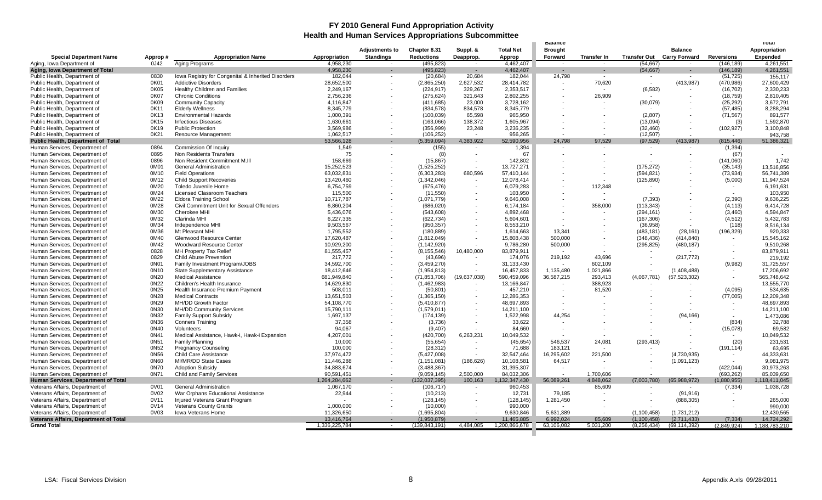#### **FY 2010 General Fund Appropriation Activity Health and Human Services Appropriations Subcommittee**

| Appropriation<br><b>Adjustments to</b><br><b>Total Net</b><br><b>Brought</b><br>Chapter 8.31<br>Suppl. &<br><b>Balance</b><br>Appropriation<br><b>Standings</b><br><b>Reductions</b><br><b>Transfer Out Carry Forward</b><br><b>Reversions</b><br><b>Expended</b><br><b>Special Department Name</b><br>Approp#<br><b>Appropriation Name</b><br>Deapprop.<br>Approp<br>Forward<br>Transfer In<br>Aging, Iowa Department of<br>0J42<br>Aging Programs<br>4,958,230<br>(495,823)<br>4.462.407<br>(54, 667)<br>(146, 189)<br>4.261.551<br>4.462.407<br>4,261,551<br>Aging, Iowa Department of Total<br>4.958.230<br>(495, 823)<br>(54, 667)<br>(146, 189)<br>$\sim$<br>$\sim$<br>$\sim$<br>$\sim$<br>Public Health, Department of<br>0830<br>Iowa Registry for Congenital & Inherited Disorders<br>182,044<br>20,684<br>182,044<br>24,798<br>155,117<br>(20, 684)<br>(51, 725)<br>$\overline{\phantom{a}}$<br>$\sim$<br>$\sim$<br>$\sim$<br>28,652,500<br>2,627,532<br>28,414,782<br>70,620<br>(413, 987)<br>27,600,429<br>Public Health, Department of<br>0K01<br><b>Addictive Disorders</b><br>(2,865,250)<br>(470, 986)<br>$\sim$<br>0K05<br><b>Healthy Children and Families</b><br>2,249,167<br>329,267<br>2.353.517<br>(6, 582)<br>Public Health, Department of<br>(224, 917)<br>(16.702)<br>2,330,233<br>2,802,255<br>0K07<br><b>Chronic Conditions</b><br>2,756,236<br>(275, 624)<br>321,643<br>26,909<br>(18, 759)<br>Public Health, Department of<br>2,810,405<br>0K09<br>(30,079)<br>Public Health, Department of<br><b>Community Capacity</b><br>4,116,847<br>(411, 685)<br>23,000<br>3,728,162<br>(25, 292)<br>3,672,791<br>8,288,294<br>0K11<br><b>Elderly Wellness</b><br>8.345.779<br>(834.578)<br>834.578<br>8.345.779<br>(57.485)<br>Public Health, Department of<br>0K13<br>(2,807)<br>1,000,391<br>(100, 039)<br>65,598<br>965,950<br>(71, 567)<br>891,577<br>Public Health, Department of<br><b>Environmental Hazards</b><br>0K15<br>(13,094)<br>1,592,870<br>Public Health, Department of<br><b>Infectious Diseases</b><br>1,630,661<br>(163,066)<br>138,372<br>1,605,967<br>(3)<br>0K19<br><b>Public Protection</b><br>3,569,986<br>(356, 999)<br>23,248<br>3,236,235<br>(32, 460)<br>(102, 927)<br>3,100,848<br>Public Health, Department of<br>Public Health, Department of<br>0K21<br><b>Resource Management</b><br>1,062,517<br>(106, 252)<br>956,265<br>(12, 507)<br>943,758<br>$\sim$<br>$\sim$<br>Public Health, Department of Total<br>53,566,128<br>(5,359,094)<br>4,383,922<br>52,590,956<br>24,798<br>97,529<br>(97, 529)<br>(413, 987)<br>51,386,321<br>(815, 446)<br>$\sim$<br>Human Services, Department of<br>0894<br>Commission Of Inquiry<br>1,549<br>(155)<br>1,394<br>(1, 394)<br>$\sim$<br>$\sim$<br>$\sim$<br>$\overline{\phantom{a}}$<br>$\sim$<br>Human Services, Department of<br>0895<br>Non Residents Transfers<br>75<br>67<br>(8)<br>(67)<br>$\blacksquare$<br>0896<br>Non Resident Commitment M.III<br>142,802<br>1,742<br>Human Services, Department of<br>158,669<br>(15, 867)<br>(141,060)<br>0M01<br><b>General Administration</b><br>15,252,523<br>(1,525,252)<br>13,727,271<br>(175, 272)<br>(35, 143)<br>13,516,856<br>Human Services, Department of<br>$\sim$<br>0M10<br>63,032,831<br>(6,303,283)<br>680,596<br>57,410,144<br>(594, 821)<br>(73, 934)<br>56,741,389<br>Human Services, Department of<br><b>Field Operations</b><br>(1,342,046)<br>11,947,524<br>Human Services, Department of<br>0M12<br><b>Child Support Recoveries</b><br>13,420,460<br>12,078,414<br>(125, 890)<br>(5,000)<br>0M20<br>6,191,631<br>Human Services, Department of<br>Toledo Juvenile Home<br>6,754,759<br>(675, 476)<br>6,079,283<br>112,348<br>$\overline{\phantom{a}}$<br>0M24<br><b>Licensed Classroom Teachers</b><br>115,500<br>103,950<br>103,950<br>Human Services, Department of<br>(11, 550)<br>0M22<br>(7.393)<br>(2.390)<br><b>Eldora Training School</b><br>Human Services, Department of<br>10,717,787<br>(1,071,779)<br>9,646,008<br>9,636,225<br>0M28<br>Civil Commitment Unit for Sexual Offenders<br>6,860,204<br>358,000<br>(113, 343)<br>Human Services, Department of<br>(686, 020)<br>6,174,184<br>(4, 113)<br>6,414,728<br>0M30<br>4,594,847<br>Human Services, Department of<br>Cherokee MHI<br>(543, 608)<br>4,892,468<br>(3,460)<br>5,436,076<br>(294, 161)<br>0M32<br>6,227,335<br>(4, 512)<br>5,432,783<br>Human Services, Department of<br>Clarinda MHI<br>(622, 734)<br>(167, 306)<br>5.604.601<br>0M34<br>9,503,567<br>(950, 357)<br>8,553,210<br>8,516,134<br>Human Services, Department of<br>Independence MHI<br>(36, 958)<br>(118)<br>0M36<br>13,341<br>920,333<br>Mt Pleasant MHI<br>1,795,552<br>(180, 889)<br>1,614,663<br>(28, 161)<br>(196, 329)<br>Human Services, Department of<br>(483, 181)<br>0M40<br>500,000<br>(348, 436)<br>15,545,162<br>Human Services, Department of<br>Glenwood Resource Center<br>17,620,487<br>(1,812,049)<br>15,808,438<br>(414, 840)<br>$\sim$<br>0M42<br><b>Woodward Resource Center</b><br>10,929,200<br>9,786,280<br>500,000<br>(295, 825)<br>9,510,268<br>Human Services, Department of<br>(1, 142, 920)<br>(480, 187)<br>$\sim$<br>Human Services, Department of<br>0828<br><b>MH Property Tax Relief</b><br>81,555,457<br>(8, 155, 546)<br>10,480,000<br>83,879,911<br>83,879,911<br>$\overline{\phantom{a}}$<br>219,192<br>43,696<br>Human Services, Department of<br>0829<br><b>Child Abuse Prevention</b><br>217,772<br>(43, 696)<br>174,076<br>(217, 772)<br>219,192<br>0N01<br>Family Investment Program/JOBS<br>(3,459,270)<br>31,133,430<br>(9,982)<br>Human Services, Department of<br>34,592,700<br>602,109<br>31,725,557<br>$\sim$<br>Human Services, Department of<br>0N10<br>State Supplementary Assistance<br>18,412,646<br>(1,954,813)<br>16,457,833<br>1,135,480<br>1,021,866<br>(1,408,488)<br>17,206,692<br>0N20<br><b>Medical Assistance</b><br>36,587,215<br>(4,067,781)<br>565,748,642<br>Human Services, Department of<br>681,949,840<br>(71, 853, 706)<br>(19,637,038)<br>590,459,096<br>293,413<br>(57, 523, 302)<br>$\sim$<br>0N22<br>388,923<br>13,555,770<br>Human Services, Department of<br>Children's Health Insurance<br>14,629,830<br>(1,462,983)<br>13,166,847<br>534,635<br>Human Services, Department of<br>0N25<br>Health Insurance Premium Payment<br>508,011<br>(50, 801)<br>457,210<br>81,520<br>(4,095)<br>0N28<br>12,209,348<br>Human Services, Department of<br><b>Medical Contracts</b><br>13,651,503<br>12,286,353<br>(77,005)<br>(1,365,150)<br>0N29<br>MH/DD Growth Factor<br>Human Services, Department of<br>54,108,770<br>(5,410,877)<br>48,697,893<br>48,697,893<br>0N30<br><b>MH/DD Community Services</b><br>Human Services, Department of<br>15,790,111<br>(1,579,011)<br>14,211,100<br>14,211,100<br>0N32<br>44.254<br>(94, 166)<br>Human Services, Department of<br><b>Family Support Subsidy</b><br>1,697,137<br>(174, 139)<br>1,522,998<br>1,473,086<br>0N36<br>(834)<br>32,788<br>Human Services, Department of<br><b>Conners Training</b><br>37,358<br>(3,736)<br>33,622<br>Human Services, Department of<br>0N40<br>94,067<br>(9,407)<br>84,660<br>(15,078)<br>69,582<br>Volunteers<br>0N41<br>Medical Assistance, Hawk-i, Hawk-i Expansion<br>4,207,001<br>(420, 700)<br>6,263,231<br>10.049.532<br>10,049,532<br>Human Services, Department of<br>546,537<br>(293, 413)<br>(20)<br>0N51<br>10,000<br>(55, 654)<br>(45, 654)<br>24,081<br>231,531<br>Human Services, Department of<br><b>Family Planning</b><br>0N52<br>63,695<br><b>Pregnancy Counseling</b><br>100,000<br>(28, 312)<br>71,688<br>183,121<br>(191, 114)<br>Human Services, Department of<br>32,547,464<br>16,295,602<br>221,500<br>44,333,631<br>Human Services, Department of<br>0N56<br><b>Child Care Assistance</b><br>37,974,472<br>(5,427,008)<br>(4,730,935)<br>$\overline{\phantom{a}}$<br>0N60<br>MI/MR/DD State Cases<br>10,108,581<br>64,517<br>Human Services, Department of<br>11,446,288<br>(1, 151, 081)<br>(186, 626)<br>(1,091,123)<br>9,081,975<br>$\sim$<br>Human Services, Department of<br>0N70<br>34,883,674<br>(3,488,367)<br>31,395,307<br>(422, 044)<br>30,973,263<br><b>Adoption Subsidy</b><br>$\overline{\phantom{a}}$<br>0N71<br>Child and Family Services<br>90,591,451<br>2,500,000<br>84.032.306<br>1,700,606<br>(693, 262)<br>85,039,650<br>Human Services, Department of<br>(9,059,145)<br>$\sim$<br>$\overline{\phantom{a}}$<br>Human Services, Department of Total<br>1,264,284,662<br>(132, 037, 395)<br>100,163<br>1,132,347,430<br>56,089,261<br>4,848,062<br>(7,003,780)<br>(65,988,972)<br>(1,880,955)<br>1,118,411,045<br>$\sim$<br>Veterans Affairs, Department of<br>0V01<br><b>General Administration</b><br>1,067,170<br>(106, 717)<br>960,453<br>85,609<br>(7, 334)<br>1,038,728<br>$\sim$<br>$\sim$<br>$\sim$<br>$\sim$<br>79,185<br>Veterans Affairs, Department of<br>0V02<br>War Orphans Educational Assistance<br>22,944<br>(10, 213)<br>12,731<br>(91, 916)<br>Veterans Affairs, Department of<br>0V11<br>Injured Veterans Grant Program<br>1,281,450<br>(888, 305)<br>265,000<br>(128, 145)<br>(128, 145)<br>Veterans Affairs, Department of<br>0V14<br><b>Veterans County Grants</b><br>1,000,000<br>990,000<br>990,000<br>(10,000)<br>Veterans Affairs, Department of<br>0V03<br><b>Iowa Veterans Home</b><br>11,326,650<br>(1,695,804)<br>9,630,846<br>5,631,389<br>(1,100,458)<br>(1,731,212)<br>12,430,565<br><b>Veterans Affairs, Department of Total</b><br>11.465.885<br>6.992.024<br>85.609<br>13.416.764<br>(1.950.879)<br>(1.100.458)<br>(2.711.433)<br>(7, 334)<br>14,724,292<br>$\sim$<br>1,336,225,784<br>(139, 843, 191)<br>4,484,085<br>1,200,866,678<br>63,106,082<br>5,031,200<br>(8,256,434)<br>(69, 114, 392)<br><b>Grand Total</b><br>(2.849.924)<br>1.188.783.210 |  |  |  |  | balance |  |  | тотат |
|--------------------------------------------------------------------------------------------------------------------------------------------------------------------------------------------------------------------------------------------------------------------------------------------------------------------------------------------------------------------------------------------------------------------------------------------------------------------------------------------------------------------------------------------------------------------------------------------------------------------------------------------------------------------------------------------------------------------------------------------------------------------------------------------------------------------------------------------------------------------------------------------------------------------------------------------------------------------------------------------------------------------------------------------------------------------------------------------------------------------------------------------------------------------------------------------------------------------------------------------------------------------------------------------------------------------------------------------------------------------------------------------------------------------------------------------------------------------------------------------------------------------------------------------------------------------------------------------------------------------------------------------------------------------------------------------------------------------------------------------------------------------------------------------------------------------------------------------------------------------------------------------------------------------------------------------------------------------------------------------------------------------------------------------------------------------------------------------------------------------------------------------------------------------------------------------------------------------------------------------------------------------------------------------------------------------------------------------------------------------------------------------------------------------------------------------------------------------------------------------------------------------------------------------------------------------------------------------------------------------------------------------------------------------------------------------------------------------------------------------------------------------------------------------------------------------------------------------------------------------------------------------------------------------------------------------------------------------------------------------------------------------------------------------------------------------------------------------------------------------------------------------------------------------------------------------------------------------------------------------------------------------------------------------------------------------------------------------------------------------------------------------------------------------------------------------------------------------------------------------------------------------------------------------------------------------------------------------------------------------------------------------------------------------------------------------------------------------------------------------------------------------------------------------------------------------------------------------------------------------------------------------------------------------------------------------------------------------------------------------------------------------------------------------------------------------------------------------------------------------------------------------------------------------------------------------------------------------------------------------------------------------------------------------------------------------------------------------------------------------------------------------------------------------------------------------------------------------------------------------------------------------------------------------------------------------------------------------------------------------------------------------------------------------------------------------------------------------------------------------------------------------------------------------------------------------------------------------------------------------------------------------------------------------------------------------------------------------------------------------------------------------------------------------------------------------------------------------------------------------------------------------------------------------------------------------------------------------------------------------------------------------------------------------------------------------------------------------------------------------------------------------------------------------------------------------------------------------------------------------------------------------------------------------------------------------------------------------------------------------------------------------------------------------------------------------------------------------------------------------------------------------------------------------------------------------------------------------------------------------------------------------------------------------------------------------------------------------------------------------------------------------------------------------------------------------------------------------------------------------------------------------------------------------------------------------------------------------------------------------------------------------------------------------------------------------------------------------------------------------------------------------------------------------------------------------------------------------------------------------------------------------------------------------------------------------------------------------------------------------------------------------------------------------------------------------------------------------------------------------------------------------------------------------------------------------------------------------------------------------------------------------------------------------------------------------------------------------------------------------------------------------------------------------------------------------------------------------------------------------------------------------------------------------------------------------------------------------------------------------------------------------------------------------------------------------------------------------------------------------------------------------------------------------------------------------------------------------------------------------------------------------------------------------------------------------------------------------------------------------------------------------------------------------------------------------------------------------------------------------------------------------------------------------------------------------------------------------------------------------------------------------------------------------------------------------------------------------------------------------------------------------------------------------------------------------------------------------------------------------------------------------------------------------------------------------------------------------------------------------------------------------------------------------------------------------------------------------------------------------------------------------------------------------------------------------------------------------------------------------------------------------------------------------------------------------------------------------------------------------------------------------------------------------------------------------------------------------------------------------------------------------------------------------------------------------------------------------------------------------------------------------------------------------------------------------------------------------------------------------------------------------------------------------------------------------------------------------------------------------------------------------------------------------------------------------------------------------------------------------------------------------------------------------------------------------------------------------------------------------------------------------------------------------------------------------------------------------------------------------------------------------------------------------------------------------------------------------------------------------------------------------------------------------------------------------------------------------------------------------------------------------------------------------------|--|--|--|--|---------|--|--|-------|
|                                                                                                                                                                                                                                                                                                                                                                                                                                                                                                                                                                                                                                                                                                                                                                                                                                                                                                                                                                                                                                                                                                                                                                                                                                                                                                                                                                                                                                                                                                                                                                                                                                                                                                                                                                                                                                                                                                                                                                                                                                                                                                                                                                                                                                                                                                                                                                                                                                                                                                                                                                                                                                                                                                                                                                                                                                                                                                                                                                                                                                                                                                                                                                                                                                                                                                                                                                                                                                                                                                                                                                                                                                                                                                                                                                                                                                                                                                                                                                                                                                                                                                                                                                                                                                                                                                                                                                                                                                                                                                                                                                                                                                                                                                                                                                                                                                                                                                                                                                                                                                                                                                                                                                                                                                                                                                                                                                                                                                                                                                                                                                                                                                                                                                                                                                                                                                                                                                                                                                                                                                                                                                                                                                                                                                                                                                                                                                                                                                                                                                                                                                                                                                                                                                                                                                                                                                                                                                                                                                                                                                                                                                                                                                                                                                                                                                                                                                                                                                                                                                                                                                                                                                                                                                                                                                                                                                                                                                                                                                                                                                                                                                                                                                                                                                                                                                                                                                                                                                                                                                                                                                                                                                                                                                                                                                                                                                                                                                                                                                                                                                                                                                                                                                                                                                                                                                                                                                                                                                                                                                                                                                                                                                                                                                                                                                                                  |  |  |  |  |         |  |  |       |
|                                                                                                                                                                                                                                                                                                                                                                                                                                                                                                                                                                                                                                                                                                                                                                                                                                                                                                                                                                                                                                                                                                                                                                                                                                                                                                                                                                                                                                                                                                                                                                                                                                                                                                                                                                                                                                                                                                                                                                                                                                                                                                                                                                                                                                                                                                                                                                                                                                                                                                                                                                                                                                                                                                                                                                                                                                                                                                                                                                                                                                                                                                                                                                                                                                                                                                                                                                                                                                                                                                                                                                                                                                                                                                                                                                                                                                                                                                                                                                                                                                                                                                                                                                                                                                                                                                                                                                                                                                                                                                                                                                                                                                                                                                                                                                                                                                                                                                                                                                                                                                                                                                                                                                                                                                                                                                                                                                                                                                                                                                                                                                                                                                                                                                                                                                                                                                                                                                                                                                                                                                                                                                                                                                                                                                                                                                                                                                                                                                                                                                                                                                                                                                                                                                                                                                                                                                                                                                                                                                                                                                                                                                                                                                                                                                                                                                                                                                                                                                                                                                                                                                                                                                                                                                                                                                                                                                                                                                                                                                                                                                                                                                                                                                                                                                                                                                                                                                                                                                                                                                                                                                                                                                                                                                                                                                                                                                                                                                                                                                                                                                                                                                                                                                                                                                                                                                                                                                                                                                                                                                                                                                                                                                                                                                                                                                                                  |  |  |  |  |         |  |  |       |
|                                                                                                                                                                                                                                                                                                                                                                                                                                                                                                                                                                                                                                                                                                                                                                                                                                                                                                                                                                                                                                                                                                                                                                                                                                                                                                                                                                                                                                                                                                                                                                                                                                                                                                                                                                                                                                                                                                                                                                                                                                                                                                                                                                                                                                                                                                                                                                                                                                                                                                                                                                                                                                                                                                                                                                                                                                                                                                                                                                                                                                                                                                                                                                                                                                                                                                                                                                                                                                                                                                                                                                                                                                                                                                                                                                                                                                                                                                                                                                                                                                                                                                                                                                                                                                                                                                                                                                                                                                                                                                                                                                                                                                                                                                                                                                                                                                                                                                                                                                                                                                                                                                                                                                                                                                                                                                                                                                                                                                                                                                                                                                                                                                                                                                                                                                                                                                                                                                                                                                                                                                                                                                                                                                                                                                                                                                                                                                                                                                                                                                                                                                                                                                                                                                                                                                                                                                                                                                                                                                                                                                                                                                                                                                                                                                                                                                                                                                                                                                                                                                                                                                                                                                                                                                                                                                                                                                                                                                                                                                                                                                                                                                                                                                                                                                                                                                                                                                                                                                                                                                                                                                                                                                                                                                                                                                                                                                                                                                                                                                                                                                                                                                                                                                                                                                                                                                                                                                                                                                                                                                                                                                                                                                                                                                                                                                                                  |  |  |  |  |         |  |  |       |
|                                                                                                                                                                                                                                                                                                                                                                                                                                                                                                                                                                                                                                                                                                                                                                                                                                                                                                                                                                                                                                                                                                                                                                                                                                                                                                                                                                                                                                                                                                                                                                                                                                                                                                                                                                                                                                                                                                                                                                                                                                                                                                                                                                                                                                                                                                                                                                                                                                                                                                                                                                                                                                                                                                                                                                                                                                                                                                                                                                                                                                                                                                                                                                                                                                                                                                                                                                                                                                                                                                                                                                                                                                                                                                                                                                                                                                                                                                                                                                                                                                                                                                                                                                                                                                                                                                                                                                                                                                                                                                                                                                                                                                                                                                                                                                                                                                                                                                                                                                                                                                                                                                                                                                                                                                                                                                                                                                                                                                                                                                                                                                                                                                                                                                                                                                                                                                                                                                                                                                                                                                                                                                                                                                                                                                                                                                                                                                                                                                                                                                                                                                                                                                                                                                                                                                                                                                                                                                                                                                                                                                                                                                                                                                                                                                                                                                                                                                                                                                                                                                                                                                                                                                                                                                                                                                                                                                                                                                                                                                                                                                                                                                                                                                                                                                                                                                                                                                                                                                                                                                                                                                                                                                                                                                                                                                                                                                                                                                                                                                                                                                                                                                                                                                                                                                                                                                                                                                                                                                                                                                                                                                                                                                                                                                                                                                                                  |  |  |  |  |         |  |  |       |
|                                                                                                                                                                                                                                                                                                                                                                                                                                                                                                                                                                                                                                                                                                                                                                                                                                                                                                                                                                                                                                                                                                                                                                                                                                                                                                                                                                                                                                                                                                                                                                                                                                                                                                                                                                                                                                                                                                                                                                                                                                                                                                                                                                                                                                                                                                                                                                                                                                                                                                                                                                                                                                                                                                                                                                                                                                                                                                                                                                                                                                                                                                                                                                                                                                                                                                                                                                                                                                                                                                                                                                                                                                                                                                                                                                                                                                                                                                                                                                                                                                                                                                                                                                                                                                                                                                                                                                                                                                                                                                                                                                                                                                                                                                                                                                                                                                                                                                                                                                                                                                                                                                                                                                                                                                                                                                                                                                                                                                                                                                                                                                                                                                                                                                                                                                                                                                                                                                                                                                                                                                                                                                                                                                                                                                                                                                                                                                                                                                                                                                                                                                                                                                                                                                                                                                                                                                                                                                                                                                                                                                                                                                                                                                                                                                                                                                                                                                                                                                                                                                                                                                                                                                                                                                                                                                                                                                                                                                                                                                                                                                                                                                                                                                                                                                                                                                                                                                                                                                                                                                                                                                                                                                                                                                                                                                                                                                                                                                                                                                                                                                                                                                                                                                                                                                                                                                                                                                                                                                                                                                                                                                                                                                                                                                                                                                                                  |  |  |  |  |         |  |  |       |
|                                                                                                                                                                                                                                                                                                                                                                                                                                                                                                                                                                                                                                                                                                                                                                                                                                                                                                                                                                                                                                                                                                                                                                                                                                                                                                                                                                                                                                                                                                                                                                                                                                                                                                                                                                                                                                                                                                                                                                                                                                                                                                                                                                                                                                                                                                                                                                                                                                                                                                                                                                                                                                                                                                                                                                                                                                                                                                                                                                                                                                                                                                                                                                                                                                                                                                                                                                                                                                                                                                                                                                                                                                                                                                                                                                                                                                                                                                                                                                                                                                                                                                                                                                                                                                                                                                                                                                                                                                                                                                                                                                                                                                                                                                                                                                                                                                                                                                                                                                                                                                                                                                                                                                                                                                                                                                                                                                                                                                                                                                                                                                                                                                                                                                                                                                                                                                                                                                                                                                                                                                                                                                                                                                                                                                                                                                                                                                                                                                                                                                                                                                                                                                                                                                                                                                                                                                                                                                                                                                                                                                                                                                                                                                                                                                                                                                                                                                                                                                                                                                                                                                                                                                                                                                                                                                                                                                                                                                                                                                                                                                                                                                                                                                                                                                                                                                                                                                                                                                                                                                                                                                                                                                                                                                                                                                                                                                                                                                                                                                                                                                                                                                                                                                                                                                                                                                                                                                                                                                                                                                                                                                                                                                                                                                                                                                                                  |  |  |  |  |         |  |  |       |
|                                                                                                                                                                                                                                                                                                                                                                                                                                                                                                                                                                                                                                                                                                                                                                                                                                                                                                                                                                                                                                                                                                                                                                                                                                                                                                                                                                                                                                                                                                                                                                                                                                                                                                                                                                                                                                                                                                                                                                                                                                                                                                                                                                                                                                                                                                                                                                                                                                                                                                                                                                                                                                                                                                                                                                                                                                                                                                                                                                                                                                                                                                                                                                                                                                                                                                                                                                                                                                                                                                                                                                                                                                                                                                                                                                                                                                                                                                                                                                                                                                                                                                                                                                                                                                                                                                                                                                                                                                                                                                                                                                                                                                                                                                                                                                                                                                                                                                                                                                                                                                                                                                                                                                                                                                                                                                                                                                                                                                                                                                                                                                                                                                                                                                                                                                                                                                                                                                                                                                                                                                                                                                                                                                                                                                                                                                                                                                                                                                                                                                                                                                                                                                                                                                                                                                                                                                                                                                                                                                                                                                                                                                                                                                                                                                                                                                                                                                                                                                                                                                                                                                                                                                                                                                                                                                                                                                                                                                                                                                                                                                                                                                                                                                                                                                                                                                                                                                                                                                                                                                                                                                                                                                                                                                                                                                                                                                                                                                                                                                                                                                                                                                                                                                                                                                                                                                                                                                                                                                                                                                                                                                                                                                                                                                                                                                                                  |  |  |  |  |         |  |  |       |
|                                                                                                                                                                                                                                                                                                                                                                                                                                                                                                                                                                                                                                                                                                                                                                                                                                                                                                                                                                                                                                                                                                                                                                                                                                                                                                                                                                                                                                                                                                                                                                                                                                                                                                                                                                                                                                                                                                                                                                                                                                                                                                                                                                                                                                                                                                                                                                                                                                                                                                                                                                                                                                                                                                                                                                                                                                                                                                                                                                                                                                                                                                                                                                                                                                                                                                                                                                                                                                                                                                                                                                                                                                                                                                                                                                                                                                                                                                                                                                                                                                                                                                                                                                                                                                                                                                                                                                                                                                                                                                                                                                                                                                                                                                                                                                                                                                                                                                                                                                                                                                                                                                                                                                                                                                                                                                                                                                                                                                                                                                                                                                                                                                                                                                                                                                                                                                                                                                                                                                                                                                                                                                                                                                                                                                                                                                                                                                                                                                                                                                                                                                                                                                                                                                                                                                                                                                                                                                                                                                                                                                                                                                                                                                                                                                                                                                                                                                                                                                                                                                                                                                                                                                                                                                                                                                                                                                                                                                                                                                                                                                                                                                                                                                                                                                                                                                                                                                                                                                                                                                                                                                                                                                                                                                                                                                                                                                                                                                                                                                                                                                                                                                                                                                                                                                                                                                                                                                                                                                                                                                                                                                                                                                                                                                                                                                                                  |  |  |  |  |         |  |  |       |
|                                                                                                                                                                                                                                                                                                                                                                                                                                                                                                                                                                                                                                                                                                                                                                                                                                                                                                                                                                                                                                                                                                                                                                                                                                                                                                                                                                                                                                                                                                                                                                                                                                                                                                                                                                                                                                                                                                                                                                                                                                                                                                                                                                                                                                                                                                                                                                                                                                                                                                                                                                                                                                                                                                                                                                                                                                                                                                                                                                                                                                                                                                                                                                                                                                                                                                                                                                                                                                                                                                                                                                                                                                                                                                                                                                                                                                                                                                                                                                                                                                                                                                                                                                                                                                                                                                                                                                                                                                                                                                                                                                                                                                                                                                                                                                                                                                                                                                                                                                                                                                                                                                                                                                                                                                                                                                                                                                                                                                                                                                                                                                                                                                                                                                                                                                                                                                                                                                                                                                                                                                                                                                                                                                                                                                                                                                                                                                                                                                                                                                                                                                                                                                                                                                                                                                                                                                                                                                                                                                                                                                                                                                                                                                                                                                                                                                                                                                                                                                                                                                                                                                                                                                                                                                                                                                                                                                                                                                                                                                                                                                                                                                                                                                                                                                                                                                                                                                                                                                                                                                                                                                                                                                                                                                                                                                                                                                                                                                                                                                                                                                                                                                                                                                                                                                                                                                                                                                                                                                                                                                                                                                                                                                                                                                                                                                                                  |  |  |  |  |         |  |  |       |
|                                                                                                                                                                                                                                                                                                                                                                                                                                                                                                                                                                                                                                                                                                                                                                                                                                                                                                                                                                                                                                                                                                                                                                                                                                                                                                                                                                                                                                                                                                                                                                                                                                                                                                                                                                                                                                                                                                                                                                                                                                                                                                                                                                                                                                                                                                                                                                                                                                                                                                                                                                                                                                                                                                                                                                                                                                                                                                                                                                                                                                                                                                                                                                                                                                                                                                                                                                                                                                                                                                                                                                                                                                                                                                                                                                                                                                                                                                                                                                                                                                                                                                                                                                                                                                                                                                                                                                                                                                                                                                                                                                                                                                                                                                                                                                                                                                                                                                                                                                                                                                                                                                                                                                                                                                                                                                                                                                                                                                                                                                                                                                                                                                                                                                                                                                                                                                                                                                                                                                                                                                                                                                                                                                                                                                                                                                                                                                                                                                                                                                                                                                                                                                                                                                                                                                                                                                                                                                                                                                                                                                                                                                                                                                                                                                                                                                                                                                                                                                                                                                                                                                                                                                                                                                                                                                                                                                                                                                                                                                                                                                                                                                                                                                                                                                                                                                                                                                                                                                                                                                                                                                                                                                                                                                                                                                                                                                                                                                                                                                                                                                                                                                                                                                                                                                                                                                                                                                                                                                                                                                                                                                                                                                                                                                                                                                                                  |  |  |  |  |         |  |  |       |
|                                                                                                                                                                                                                                                                                                                                                                                                                                                                                                                                                                                                                                                                                                                                                                                                                                                                                                                                                                                                                                                                                                                                                                                                                                                                                                                                                                                                                                                                                                                                                                                                                                                                                                                                                                                                                                                                                                                                                                                                                                                                                                                                                                                                                                                                                                                                                                                                                                                                                                                                                                                                                                                                                                                                                                                                                                                                                                                                                                                                                                                                                                                                                                                                                                                                                                                                                                                                                                                                                                                                                                                                                                                                                                                                                                                                                                                                                                                                                                                                                                                                                                                                                                                                                                                                                                                                                                                                                                                                                                                                                                                                                                                                                                                                                                                                                                                                                                                                                                                                                                                                                                                                                                                                                                                                                                                                                                                                                                                                                                                                                                                                                                                                                                                                                                                                                                                                                                                                                                                                                                                                                                                                                                                                                                                                                                                                                                                                                                                                                                                                                                                                                                                                                                                                                                                                                                                                                                                                                                                                                                                                                                                                                                                                                                                                                                                                                                                                                                                                                                                                                                                                                                                                                                                                                                                                                                                                                                                                                                                                                                                                                                                                                                                                                                                                                                                                                                                                                                                                                                                                                                                                                                                                                                                                                                                                                                                                                                                                                                                                                                                                                                                                                                                                                                                                                                                                                                                                                                                                                                                                                                                                                                                                                                                                                                                                  |  |  |  |  |         |  |  |       |
|                                                                                                                                                                                                                                                                                                                                                                                                                                                                                                                                                                                                                                                                                                                                                                                                                                                                                                                                                                                                                                                                                                                                                                                                                                                                                                                                                                                                                                                                                                                                                                                                                                                                                                                                                                                                                                                                                                                                                                                                                                                                                                                                                                                                                                                                                                                                                                                                                                                                                                                                                                                                                                                                                                                                                                                                                                                                                                                                                                                                                                                                                                                                                                                                                                                                                                                                                                                                                                                                                                                                                                                                                                                                                                                                                                                                                                                                                                                                                                                                                                                                                                                                                                                                                                                                                                                                                                                                                                                                                                                                                                                                                                                                                                                                                                                                                                                                                                                                                                                                                                                                                                                                                                                                                                                                                                                                                                                                                                                                                                                                                                                                                                                                                                                                                                                                                                                                                                                                                                                                                                                                                                                                                                                                                                                                                                                                                                                                                                                                                                                                                                                                                                                                                                                                                                                                                                                                                                                                                                                                                                                                                                                                                                                                                                                                                                                                                                                                                                                                                                                                                                                                                                                                                                                                                                                                                                                                                                                                                                                                                                                                                                                                                                                                                                                                                                                                                                                                                                                                                                                                                                                                                                                                                                                                                                                                                                                                                                                                                                                                                                                                                                                                                                                                                                                                                                                                                                                                                                                                                                                                                                                                                                                                                                                                                                                                  |  |  |  |  |         |  |  |       |
|                                                                                                                                                                                                                                                                                                                                                                                                                                                                                                                                                                                                                                                                                                                                                                                                                                                                                                                                                                                                                                                                                                                                                                                                                                                                                                                                                                                                                                                                                                                                                                                                                                                                                                                                                                                                                                                                                                                                                                                                                                                                                                                                                                                                                                                                                                                                                                                                                                                                                                                                                                                                                                                                                                                                                                                                                                                                                                                                                                                                                                                                                                                                                                                                                                                                                                                                                                                                                                                                                                                                                                                                                                                                                                                                                                                                                                                                                                                                                                                                                                                                                                                                                                                                                                                                                                                                                                                                                                                                                                                                                                                                                                                                                                                                                                                                                                                                                                                                                                                                                                                                                                                                                                                                                                                                                                                                                                                                                                                                                                                                                                                                                                                                                                                                                                                                                                                                                                                                                                                                                                                                                                                                                                                                                                                                                                                                                                                                                                                                                                                                                                                                                                                                                                                                                                                                                                                                                                                                                                                                                                                                                                                                                                                                                                                                                                                                                                                                                                                                                                                                                                                                                                                                                                                                                                                                                                                                                                                                                                                                                                                                                                                                                                                                                                                                                                                                                                                                                                                                                                                                                                                                                                                                                                                                                                                                                                                                                                                                                                                                                                                                                                                                                                                                                                                                                                                                                                                                                                                                                                                                                                                                                                                                                                                                                                                                  |  |  |  |  |         |  |  |       |
|                                                                                                                                                                                                                                                                                                                                                                                                                                                                                                                                                                                                                                                                                                                                                                                                                                                                                                                                                                                                                                                                                                                                                                                                                                                                                                                                                                                                                                                                                                                                                                                                                                                                                                                                                                                                                                                                                                                                                                                                                                                                                                                                                                                                                                                                                                                                                                                                                                                                                                                                                                                                                                                                                                                                                                                                                                                                                                                                                                                                                                                                                                                                                                                                                                                                                                                                                                                                                                                                                                                                                                                                                                                                                                                                                                                                                                                                                                                                                                                                                                                                                                                                                                                                                                                                                                                                                                                                                                                                                                                                                                                                                                                                                                                                                                                                                                                                                                                                                                                                                                                                                                                                                                                                                                                                                                                                                                                                                                                                                                                                                                                                                                                                                                                                                                                                                                                                                                                                                                                                                                                                                                                                                                                                                                                                                                                                                                                                                                                                                                                                                                                                                                                                                                                                                                                                                                                                                                                                                                                                                                                                                                                                                                                                                                                                                                                                                                                                                                                                                                                                                                                                                                                                                                                                                                                                                                                                                                                                                                                                                                                                                                                                                                                                                                                                                                                                                                                                                                                                                                                                                                                                                                                                                                                                                                                                                                                                                                                                                                                                                                                                                                                                                                                                                                                                                                                                                                                                                                                                                                                                                                                                                                                                                                                                                                                                  |  |  |  |  |         |  |  |       |
|                                                                                                                                                                                                                                                                                                                                                                                                                                                                                                                                                                                                                                                                                                                                                                                                                                                                                                                                                                                                                                                                                                                                                                                                                                                                                                                                                                                                                                                                                                                                                                                                                                                                                                                                                                                                                                                                                                                                                                                                                                                                                                                                                                                                                                                                                                                                                                                                                                                                                                                                                                                                                                                                                                                                                                                                                                                                                                                                                                                                                                                                                                                                                                                                                                                                                                                                                                                                                                                                                                                                                                                                                                                                                                                                                                                                                                                                                                                                                                                                                                                                                                                                                                                                                                                                                                                                                                                                                                                                                                                                                                                                                                                                                                                                                                                                                                                                                                                                                                                                                                                                                                                                                                                                                                                                                                                                                                                                                                                                                                                                                                                                                                                                                                                                                                                                                                                                                                                                                                                                                                                                                                                                                                                                                                                                                                                                                                                                                                                                                                                                                                                                                                                                                                                                                                                                                                                                                                                                                                                                                                                                                                                                                                                                                                                                                                                                                                                                                                                                                                                                                                                                                                                                                                                                                                                                                                                                                                                                                                                                                                                                                                                                                                                                                                                                                                                                                                                                                                                                                                                                                                                                                                                                                                                                                                                                                                                                                                                                                                                                                                                                                                                                                                                                                                                                                                                                                                                                                                                                                                                                                                                                                                                                                                                                                                                                  |  |  |  |  |         |  |  |       |
|                                                                                                                                                                                                                                                                                                                                                                                                                                                                                                                                                                                                                                                                                                                                                                                                                                                                                                                                                                                                                                                                                                                                                                                                                                                                                                                                                                                                                                                                                                                                                                                                                                                                                                                                                                                                                                                                                                                                                                                                                                                                                                                                                                                                                                                                                                                                                                                                                                                                                                                                                                                                                                                                                                                                                                                                                                                                                                                                                                                                                                                                                                                                                                                                                                                                                                                                                                                                                                                                                                                                                                                                                                                                                                                                                                                                                                                                                                                                                                                                                                                                                                                                                                                                                                                                                                                                                                                                                                                                                                                                                                                                                                                                                                                                                                                                                                                                                                                                                                                                                                                                                                                                                                                                                                                                                                                                                                                                                                                                                                                                                                                                                                                                                                                                                                                                                                                                                                                                                                                                                                                                                                                                                                                                                                                                                                                                                                                                                                                                                                                                                                                                                                                                                                                                                                                                                                                                                                                                                                                                                                                                                                                                                                                                                                                                                                                                                                                                                                                                                                                                                                                                                                                                                                                                                                                                                                                                                                                                                                                                                                                                                                                                                                                                                                                                                                                                                                                                                                                                                                                                                                                                                                                                                                                                                                                                                                                                                                                                                                                                                                                                                                                                                                                                                                                                                                                                                                                                                                                                                                                                                                                                                                                                                                                                                                                                  |  |  |  |  |         |  |  |       |
|                                                                                                                                                                                                                                                                                                                                                                                                                                                                                                                                                                                                                                                                                                                                                                                                                                                                                                                                                                                                                                                                                                                                                                                                                                                                                                                                                                                                                                                                                                                                                                                                                                                                                                                                                                                                                                                                                                                                                                                                                                                                                                                                                                                                                                                                                                                                                                                                                                                                                                                                                                                                                                                                                                                                                                                                                                                                                                                                                                                                                                                                                                                                                                                                                                                                                                                                                                                                                                                                                                                                                                                                                                                                                                                                                                                                                                                                                                                                                                                                                                                                                                                                                                                                                                                                                                                                                                                                                                                                                                                                                                                                                                                                                                                                                                                                                                                                                                                                                                                                                                                                                                                                                                                                                                                                                                                                                                                                                                                                                                                                                                                                                                                                                                                                                                                                                                                                                                                                                                                                                                                                                                                                                                                                                                                                                                                                                                                                                                                                                                                                                                                                                                                                                                                                                                                                                                                                                                                                                                                                                                                                                                                                                                                                                                                                                                                                                                                                                                                                                                                                                                                                                                                                                                                                                                                                                                                                                                                                                                                                                                                                                                                                                                                                                                                                                                                                                                                                                                                                                                                                                                                                                                                                                                                                                                                                                                                                                                                                                                                                                                                                                                                                                                                                                                                                                                                                                                                                                                                                                                                                                                                                                                                                                                                                                                                                  |  |  |  |  |         |  |  |       |
|                                                                                                                                                                                                                                                                                                                                                                                                                                                                                                                                                                                                                                                                                                                                                                                                                                                                                                                                                                                                                                                                                                                                                                                                                                                                                                                                                                                                                                                                                                                                                                                                                                                                                                                                                                                                                                                                                                                                                                                                                                                                                                                                                                                                                                                                                                                                                                                                                                                                                                                                                                                                                                                                                                                                                                                                                                                                                                                                                                                                                                                                                                                                                                                                                                                                                                                                                                                                                                                                                                                                                                                                                                                                                                                                                                                                                                                                                                                                                                                                                                                                                                                                                                                                                                                                                                                                                                                                                                                                                                                                                                                                                                                                                                                                                                                                                                                                                                                                                                                                                                                                                                                                                                                                                                                                                                                                                                                                                                                                                                                                                                                                                                                                                                                                                                                                                                                                                                                                                                                                                                                                                                                                                                                                                                                                                                                                                                                                                                                                                                                                                                                                                                                                                                                                                                                                                                                                                                                                                                                                                                                                                                                                                                                                                                                                                                                                                                                                                                                                                                                                                                                                                                                                                                                                                                                                                                                                                                                                                                                                                                                                                                                                                                                                                                                                                                                                                                                                                                                                                                                                                                                                                                                                                                                                                                                                                                                                                                                                                                                                                                                                                                                                                                                                                                                                                                                                                                                                                                                                                                                                                                                                                                                                                                                                                                                                  |  |  |  |  |         |  |  |       |
|                                                                                                                                                                                                                                                                                                                                                                                                                                                                                                                                                                                                                                                                                                                                                                                                                                                                                                                                                                                                                                                                                                                                                                                                                                                                                                                                                                                                                                                                                                                                                                                                                                                                                                                                                                                                                                                                                                                                                                                                                                                                                                                                                                                                                                                                                                                                                                                                                                                                                                                                                                                                                                                                                                                                                                                                                                                                                                                                                                                                                                                                                                                                                                                                                                                                                                                                                                                                                                                                                                                                                                                                                                                                                                                                                                                                                                                                                                                                                                                                                                                                                                                                                                                                                                                                                                                                                                                                                                                                                                                                                                                                                                                                                                                                                                                                                                                                                                                                                                                                                                                                                                                                                                                                                                                                                                                                                                                                                                                                                                                                                                                                                                                                                                                                                                                                                                                                                                                                                                                                                                                                                                                                                                                                                                                                                                                                                                                                                                                                                                                                                                                                                                                                                                                                                                                                                                                                                                                                                                                                                                                                                                                                                                                                                                                                                                                                                                                                                                                                                                                                                                                                                                                                                                                                                                                                                                                                                                                                                                                                                                                                                                                                                                                                                                                                                                                                                                                                                                                                                                                                                                                                                                                                                                                                                                                                                                                                                                                                                                                                                                                                                                                                                                                                                                                                                                                                                                                                                                                                                                                                                                                                                                                                                                                                                                                                  |  |  |  |  |         |  |  |       |
|                                                                                                                                                                                                                                                                                                                                                                                                                                                                                                                                                                                                                                                                                                                                                                                                                                                                                                                                                                                                                                                                                                                                                                                                                                                                                                                                                                                                                                                                                                                                                                                                                                                                                                                                                                                                                                                                                                                                                                                                                                                                                                                                                                                                                                                                                                                                                                                                                                                                                                                                                                                                                                                                                                                                                                                                                                                                                                                                                                                                                                                                                                                                                                                                                                                                                                                                                                                                                                                                                                                                                                                                                                                                                                                                                                                                                                                                                                                                                                                                                                                                                                                                                                                                                                                                                                                                                                                                                                                                                                                                                                                                                                                                                                                                                                                                                                                                                                                                                                                                                                                                                                                                                                                                                                                                                                                                                                                                                                                                                                                                                                                                                                                                                                                                                                                                                                                                                                                                                                                                                                                                                                                                                                                                                                                                                                                                                                                                                                                                                                                                                                                                                                                                                                                                                                                                                                                                                                                                                                                                                                                                                                                                                                                                                                                                                                                                                                                                                                                                                                                                                                                                                                                                                                                                                                                                                                                                                                                                                                                                                                                                                                                                                                                                                                                                                                                                                                                                                                                                                                                                                                                                                                                                                                                                                                                                                                                                                                                                                                                                                                                                                                                                                                                                                                                                                                                                                                                                                                                                                                                                                                                                                                                                                                                                                                                                  |  |  |  |  |         |  |  |       |
|                                                                                                                                                                                                                                                                                                                                                                                                                                                                                                                                                                                                                                                                                                                                                                                                                                                                                                                                                                                                                                                                                                                                                                                                                                                                                                                                                                                                                                                                                                                                                                                                                                                                                                                                                                                                                                                                                                                                                                                                                                                                                                                                                                                                                                                                                                                                                                                                                                                                                                                                                                                                                                                                                                                                                                                                                                                                                                                                                                                                                                                                                                                                                                                                                                                                                                                                                                                                                                                                                                                                                                                                                                                                                                                                                                                                                                                                                                                                                                                                                                                                                                                                                                                                                                                                                                                                                                                                                                                                                                                                                                                                                                                                                                                                                                                                                                                                                                                                                                                                                                                                                                                                                                                                                                                                                                                                                                                                                                                                                                                                                                                                                                                                                                                                                                                                                                                                                                                                                                                                                                                                                                                                                                                                                                                                                                                                                                                                                                                                                                                                                                                                                                                                                                                                                                                                                                                                                                                                                                                                                                                                                                                                                                                                                                                                                                                                                                                                                                                                                                                                                                                                                                                                                                                                                                                                                                                                                                                                                                                                                                                                                                                                                                                                                                                                                                                                                                                                                                                                                                                                                                                                                                                                                                                                                                                                                                                                                                                                                                                                                                                                                                                                                                                                                                                                                                                                                                                                                                                                                                                                                                                                                                                                                                                                                                                                  |  |  |  |  |         |  |  |       |
|                                                                                                                                                                                                                                                                                                                                                                                                                                                                                                                                                                                                                                                                                                                                                                                                                                                                                                                                                                                                                                                                                                                                                                                                                                                                                                                                                                                                                                                                                                                                                                                                                                                                                                                                                                                                                                                                                                                                                                                                                                                                                                                                                                                                                                                                                                                                                                                                                                                                                                                                                                                                                                                                                                                                                                                                                                                                                                                                                                                                                                                                                                                                                                                                                                                                                                                                                                                                                                                                                                                                                                                                                                                                                                                                                                                                                                                                                                                                                                                                                                                                                                                                                                                                                                                                                                                                                                                                                                                                                                                                                                                                                                                                                                                                                                                                                                                                                                                                                                                                                                                                                                                                                                                                                                                                                                                                                                                                                                                                                                                                                                                                                                                                                                                                                                                                                                                                                                                                                                                                                                                                                                                                                                                                                                                                                                                                                                                                                                                                                                                                                                                                                                                                                                                                                                                                                                                                                                                                                                                                                                                                                                                                                                                                                                                                                                                                                                                                                                                                                                                                                                                                                                                                                                                                                                                                                                                                                                                                                                                                                                                                                                                                                                                                                                                                                                                                                                                                                                                                                                                                                                                                                                                                                                                                                                                                                                                                                                                                                                                                                                                                                                                                                                                                                                                                                                                                                                                                                                                                                                                                                                                                                                                                                                                                                                                                  |  |  |  |  |         |  |  |       |
|                                                                                                                                                                                                                                                                                                                                                                                                                                                                                                                                                                                                                                                                                                                                                                                                                                                                                                                                                                                                                                                                                                                                                                                                                                                                                                                                                                                                                                                                                                                                                                                                                                                                                                                                                                                                                                                                                                                                                                                                                                                                                                                                                                                                                                                                                                                                                                                                                                                                                                                                                                                                                                                                                                                                                                                                                                                                                                                                                                                                                                                                                                                                                                                                                                                                                                                                                                                                                                                                                                                                                                                                                                                                                                                                                                                                                                                                                                                                                                                                                                                                                                                                                                                                                                                                                                                                                                                                                                                                                                                                                                                                                                                                                                                                                                                                                                                                                                                                                                                                                                                                                                                                                                                                                                                                                                                                                                                                                                                                                                                                                                                                                                                                                                                                                                                                                                                                                                                                                                                                                                                                                                                                                                                                                                                                                                                                                                                                                                                                                                                                                                                                                                                                                                                                                                                                                                                                                                                                                                                                                                                                                                                                                                                                                                                                                                                                                                                                                                                                                                                                                                                                                                                                                                                                                                                                                                                                                                                                                                                                                                                                                                                                                                                                                                                                                                                                                                                                                                                                                                                                                                                                                                                                                                                                                                                                                                                                                                                                                                                                                                                                                                                                                                                                                                                                                                                                                                                                                                                                                                                                                                                                                                                                                                                                                                                                  |  |  |  |  |         |  |  |       |
|                                                                                                                                                                                                                                                                                                                                                                                                                                                                                                                                                                                                                                                                                                                                                                                                                                                                                                                                                                                                                                                                                                                                                                                                                                                                                                                                                                                                                                                                                                                                                                                                                                                                                                                                                                                                                                                                                                                                                                                                                                                                                                                                                                                                                                                                                                                                                                                                                                                                                                                                                                                                                                                                                                                                                                                                                                                                                                                                                                                                                                                                                                                                                                                                                                                                                                                                                                                                                                                                                                                                                                                                                                                                                                                                                                                                                                                                                                                                                                                                                                                                                                                                                                                                                                                                                                                                                                                                                                                                                                                                                                                                                                                                                                                                                                                                                                                                                                                                                                                                                                                                                                                                                                                                                                                                                                                                                                                                                                                                                                                                                                                                                                                                                                                                                                                                                                                                                                                                                                                                                                                                                                                                                                                                                                                                                                                                                                                                                                                                                                                                                                                                                                                                                                                                                                                                                                                                                                                                                                                                                                                                                                                                                                                                                                                                                                                                                                                                                                                                                                                                                                                                                                                                                                                                                                                                                                                                                                                                                                                                                                                                                                                                                                                                                                                                                                                                                                                                                                                                                                                                                                                                                                                                                                                                                                                                                                                                                                                                                                                                                                                                                                                                                                                                                                                                                                                                                                                                                                                                                                                                                                                                                                                                                                                                                                                                  |  |  |  |  |         |  |  |       |
|                                                                                                                                                                                                                                                                                                                                                                                                                                                                                                                                                                                                                                                                                                                                                                                                                                                                                                                                                                                                                                                                                                                                                                                                                                                                                                                                                                                                                                                                                                                                                                                                                                                                                                                                                                                                                                                                                                                                                                                                                                                                                                                                                                                                                                                                                                                                                                                                                                                                                                                                                                                                                                                                                                                                                                                                                                                                                                                                                                                                                                                                                                                                                                                                                                                                                                                                                                                                                                                                                                                                                                                                                                                                                                                                                                                                                                                                                                                                                                                                                                                                                                                                                                                                                                                                                                                                                                                                                                                                                                                                                                                                                                                                                                                                                                                                                                                                                                                                                                                                                                                                                                                                                                                                                                                                                                                                                                                                                                                                                                                                                                                                                                                                                                                                                                                                                                                                                                                                                                                                                                                                                                                                                                                                                                                                                                                                                                                                                                                                                                                                                                                                                                                                                                                                                                                                                                                                                                                                                                                                                                                                                                                                                                                                                                                                                                                                                                                                                                                                                                                                                                                                                                                                                                                                                                                                                                                                                                                                                                                                                                                                                                                                                                                                                                                                                                                                                                                                                                                                                                                                                                                                                                                                                                                                                                                                                                                                                                                                                                                                                                                                                                                                                                                                                                                                                                                                                                                                                                                                                                                                                                                                                                                                                                                                                                                                  |  |  |  |  |         |  |  |       |
|                                                                                                                                                                                                                                                                                                                                                                                                                                                                                                                                                                                                                                                                                                                                                                                                                                                                                                                                                                                                                                                                                                                                                                                                                                                                                                                                                                                                                                                                                                                                                                                                                                                                                                                                                                                                                                                                                                                                                                                                                                                                                                                                                                                                                                                                                                                                                                                                                                                                                                                                                                                                                                                                                                                                                                                                                                                                                                                                                                                                                                                                                                                                                                                                                                                                                                                                                                                                                                                                                                                                                                                                                                                                                                                                                                                                                                                                                                                                                                                                                                                                                                                                                                                                                                                                                                                                                                                                                                                                                                                                                                                                                                                                                                                                                                                                                                                                                                                                                                                                                                                                                                                                                                                                                                                                                                                                                                                                                                                                                                                                                                                                                                                                                                                                                                                                                                                                                                                                                                                                                                                                                                                                                                                                                                                                                                                                                                                                                                                                                                                                                                                                                                                                                                                                                                                                                                                                                                                                                                                                                                                                                                                                                                                                                                                                                                                                                                                                                                                                                                                                                                                                                                                                                                                                                                                                                                                                                                                                                                                                                                                                                                                                                                                                                                                                                                                                                                                                                                                                                                                                                                                                                                                                                                                                                                                                                                                                                                                                                                                                                                                                                                                                                                                                                                                                                                                                                                                                                                                                                                                                                                                                                                                                                                                                                                                                  |  |  |  |  |         |  |  |       |
|                                                                                                                                                                                                                                                                                                                                                                                                                                                                                                                                                                                                                                                                                                                                                                                                                                                                                                                                                                                                                                                                                                                                                                                                                                                                                                                                                                                                                                                                                                                                                                                                                                                                                                                                                                                                                                                                                                                                                                                                                                                                                                                                                                                                                                                                                                                                                                                                                                                                                                                                                                                                                                                                                                                                                                                                                                                                                                                                                                                                                                                                                                                                                                                                                                                                                                                                                                                                                                                                                                                                                                                                                                                                                                                                                                                                                                                                                                                                                                                                                                                                                                                                                                                                                                                                                                                                                                                                                                                                                                                                                                                                                                                                                                                                                                                                                                                                                                                                                                                                                                                                                                                                                                                                                                                                                                                                                                                                                                                                                                                                                                                                                                                                                                                                                                                                                                                                                                                                                                                                                                                                                                                                                                                                                                                                                                                                                                                                                                                                                                                                                                                                                                                                                                                                                                                                                                                                                                                                                                                                                                                                                                                                                                                                                                                                                                                                                                                                                                                                                                                                                                                                                                                                                                                                                                                                                                                                                                                                                                                                                                                                                                                                                                                                                                                                                                                                                                                                                                                                                                                                                                                                                                                                                                                                                                                                                                                                                                                                                                                                                                                                                                                                                                                                                                                                                                                                                                                                                                                                                                                                                                                                                                                                                                                                                                                                  |  |  |  |  |         |  |  |       |
|                                                                                                                                                                                                                                                                                                                                                                                                                                                                                                                                                                                                                                                                                                                                                                                                                                                                                                                                                                                                                                                                                                                                                                                                                                                                                                                                                                                                                                                                                                                                                                                                                                                                                                                                                                                                                                                                                                                                                                                                                                                                                                                                                                                                                                                                                                                                                                                                                                                                                                                                                                                                                                                                                                                                                                                                                                                                                                                                                                                                                                                                                                                                                                                                                                                                                                                                                                                                                                                                                                                                                                                                                                                                                                                                                                                                                                                                                                                                                                                                                                                                                                                                                                                                                                                                                                                                                                                                                                                                                                                                                                                                                                                                                                                                                                                                                                                                                                                                                                                                                                                                                                                                                                                                                                                                                                                                                                                                                                                                                                                                                                                                                                                                                                                                                                                                                                                                                                                                                                                                                                                                                                                                                                                                                                                                                                                                                                                                                                                                                                                                                                                                                                                                                                                                                                                                                                                                                                                                                                                                                                                                                                                                                                                                                                                                                                                                                                                                                                                                                                                                                                                                                                                                                                                                                                                                                                                                                                                                                                                                                                                                                                                                                                                                                                                                                                                                                                                                                                                                                                                                                                                                                                                                                                                                                                                                                                                                                                                                                                                                                                                                                                                                                                                                                                                                                                                                                                                                                                                                                                                                                                                                                                                                                                                                                                                                  |  |  |  |  |         |  |  |       |
|                                                                                                                                                                                                                                                                                                                                                                                                                                                                                                                                                                                                                                                                                                                                                                                                                                                                                                                                                                                                                                                                                                                                                                                                                                                                                                                                                                                                                                                                                                                                                                                                                                                                                                                                                                                                                                                                                                                                                                                                                                                                                                                                                                                                                                                                                                                                                                                                                                                                                                                                                                                                                                                                                                                                                                                                                                                                                                                                                                                                                                                                                                                                                                                                                                                                                                                                                                                                                                                                                                                                                                                                                                                                                                                                                                                                                                                                                                                                                                                                                                                                                                                                                                                                                                                                                                                                                                                                                                                                                                                                                                                                                                                                                                                                                                                                                                                                                                                                                                                                                                                                                                                                                                                                                                                                                                                                                                                                                                                                                                                                                                                                                                                                                                                                                                                                                                                                                                                                                                                                                                                                                                                                                                                                                                                                                                                                                                                                                                                                                                                                                                                                                                                                                                                                                                                                                                                                                                                                                                                                                                                                                                                                                                                                                                                                                                                                                                                                                                                                                                                                                                                                                                                                                                                                                                                                                                                                                                                                                                                                                                                                                                                                                                                                                                                                                                                                                                                                                                                                                                                                                                                                                                                                                                                                                                                                                                                                                                                                                                                                                                                                                                                                                                                                                                                                                                                                                                                                                                                                                                                                                                                                                                                                                                                                                                                                  |  |  |  |  |         |  |  |       |
|                                                                                                                                                                                                                                                                                                                                                                                                                                                                                                                                                                                                                                                                                                                                                                                                                                                                                                                                                                                                                                                                                                                                                                                                                                                                                                                                                                                                                                                                                                                                                                                                                                                                                                                                                                                                                                                                                                                                                                                                                                                                                                                                                                                                                                                                                                                                                                                                                                                                                                                                                                                                                                                                                                                                                                                                                                                                                                                                                                                                                                                                                                                                                                                                                                                                                                                                                                                                                                                                                                                                                                                                                                                                                                                                                                                                                                                                                                                                                                                                                                                                                                                                                                                                                                                                                                                                                                                                                                                                                                                                                                                                                                                                                                                                                                                                                                                                                                                                                                                                                                                                                                                                                                                                                                                                                                                                                                                                                                                                                                                                                                                                                                                                                                                                                                                                                                                                                                                                                                                                                                                                                                                                                                                                                                                                                                                                                                                                                                                                                                                                                                                                                                                                                                                                                                                                                                                                                                                                                                                                                                                                                                                                                                                                                                                                                                                                                                                                                                                                                                                                                                                                                                                                                                                                                                                                                                                                                                                                                                                                                                                                                                                                                                                                                                                                                                                                                                                                                                                                                                                                                                                                                                                                                                                                                                                                                                                                                                                                                                                                                                                                                                                                                                                                                                                                                                                                                                                                                                                                                                                                                                                                                                                                                                                                                                                                  |  |  |  |  |         |  |  |       |
|                                                                                                                                                                                                                                                                                                                                                                                                                                                                                                                                                                                                                                                                                                                                                                                                                                                                                                                                                                                                                                                                                                                                                                                                                                                                                                                                                                                                                                                                                                                                                                                                                                                                                                                                                                                                                                                                                                                                                                                                                                                                                                                                                                                                                                                                                                                                                                                                                                                                                                                                                                                                                                                                                                                                                                                                                                                                                                                                                                                                                                                                                                                                                                                                                                                                                                                                                                                                                                                                                                                                                                                                                                                                                                                                                                                                                                                                                                                                                                                                                                                                                                                                                                                                                                                                                                                                                                                                                                                                                                                                                                                                                                                                                                                                                                                                                                                                                                                                                                                                                                                                                                                                                                                                                                                                                                                                                                                                                                                                                                                                                                                                                                                                                                                                                                                                                                                                                                                                                                                                                                                                                                                                                                                                                                                                                                                                                                                                                                                                                                                                                                                                                                                                                                                                                                                                                                                                                                                                                                                                                                                                                                                                                                                                                                                                                                                                                                                                                                                                                                                                                                                                                                                                                                                                                                                                                                                                                                                                                                                                                                                                                                                                                                                                                                                                                                                                                                                                                                                                                                                                                                                                                                                                                                                                                                                                                                                                                                                                                                                                                                                                                                                                                                                                                                                                                                                                                                                                                                                                                                                                                                                                                                                                                                                                                                                                  |  |  |  |  |         |  |  |       |
|                                                                                                                                                                                                                                                                                                                                                                                                                                                                                                                                                                                                                                                                                                                                                                                                                                                                                                                                                                                                                                                                                                                                                                                                                                                                                                                                                                                                                                                                                                                                                                                                                                                                                                                                                                                                                                                                                                                                                                                                                                                                                                                                                                                                                                                                                                                                                                                                                                                                                                                                                                                                                                                                                                                                                                                                                                                                                                                                                                                                                                                                                                                                                                                                                                                                                                                                                                                                                                                                                                                                                                                                                                                                                                                                                                                                                                                                                                                                                                                                                                                                                                                                                                                                                                                                                                                                                                                                                                                                                                                                                                                                                                                                                                                                                                                                                                                                                                                                                                                                                                                                                                                                                                                                                                                                                                                                                                                                                                                                                                                                                                                                                                                                                                                                                                                                                                                                                                                                                                                                                                                                                                                                                                                                                                                                                                                                                                                                                                                                                                                                                                                                                                                                                                                                                                                                                                                                                                                                                                                                                                                                                                                                                                                                                                                                                                                                                                                                                                                                                                                                                                                                                                                                                                                                                                                                                                                                                                                                                                                                                                                                                                                                                                                                                                                                                                                                                                                                                                                                                                                                                                                                                                                                                                                                                                                                                                                                                                                                                                                                                                                                                                                                                                                                                                                                                                                                                                                                                                                                                                                                                                                                                                                                                                                                                                                                  |  |  |  |  |         |  |  |       |
|                                                                                                                                                                                                                                                                                                                                                                                                                                                                                                                                                                                                                                                                                                                                                                                                                                                                                                                                                                                                                                                                                                                                                                                                                                                                                                                                                                                                                                                                                                                                                                                                                                                                                                                                                                                                                                                                                                                                                                                                                                                                                                                                                                                                                                                                                                                                                                                                                                                                                                                                                                                                                                                                                                                                                                                                                                                                                                                                                                                                                                                                                                                                                                                                                                                                                                                                                                                                                                                                                                                                                                                                                                                                                                                                                                                                                                                                                                                                                                                                                                                                                                                                                                                                                                                                                                                                                                                                                                                                                                                                                                                                                                                                                                                                                                                                                                                                                                                                                                                                                                                                                                                                                                                                                                                                                                                                                                                                                                                                                                                                                                                                                                                                                                                                                                                                                                                                                                                                                                                                                                                                                                                                                                                                                                                                                                                                                                                                                                                                                                                                                                                                                                                                                                                                                                                                                                                                                                                                                                                                                                                                                                                                                                                                                                                                                                                                                                                                                                                                                                                                                                                                                                                                                                                                                                                                                                                                                                                                                                                                                                                                                                                                                                                                                                                                                                                                                                                                                                                                                                                                                                                                                                                                                                                                                                                                                                                                                                                                                                                                                                                                                                                                                                                                                                                                                                                                                                                                                                                                                                                                                                                                                                                                                                                                                                                                  |  |  |  |  |         |  |  |       |
|                                                                                                                                                                                                                                                                                                                                                                                                                                                                                                                                                                                                                                                                                                                                                                                                                                                                                                                                                                                                                                                                                                                                                                                                                                                                                                                                                                                                                                                                                                                                                                                                                                                                                                                                                                                                                                                                                                                                                                                                                                                                                                                                                                                                                                                                                                                                                                                                                                                                                                                                                                                                                                                                                                                                                                                                                                                                                                                                                                                                                                                                                                                                                                                                                                                                                                                                                                                                                                                                                                                                                                                                                                                                                                                                                                                                                                                                                                                                                                                                                                                                                                                                                                                                                                                                                                                                                                                                                                                                                                                                                                                                                                                                                                                                                                                                                                                                                                                                                                                                                                                                                                                                                                                                                                                                                                                                                                                                                                                                                                                                                                                                                                                                                                                                                                                                                                                                                                                                                                                                                                                                                                                                                                                                                                                                                                                                                                                                                                                                                                                                                                                                                                                                                                                                                                                                                                                                                                                                                                                                                                                                                                                                                                                                                                                                                                                                                                                                                                                                                                                                                                                                                                                                                                                                                                                                                                                                                                                                                                                                                                                                                                                                                                                                                                                                                                                                                                                                                                                                                                                                                                                                                                                                                                                                                                                                                                                                                                                                                                                                                                                                                                                                                                                                                                                                                                                                                                                                                                                                                                                                                                                                                                                                                                                                                                                                  |  |  |  |  |         |  |  |       |
|                                                                                                                                                                                                                                                                                                                                                                                                                                                                                                                                                                                                                                                                                                                                                                                                                                                                                                                                                                                                                                                                                                                                                                                                                                                                                                                                                                                                                                                                                                                                                                                                                                                                                                                                                                                                                                                                                                                                                                                                                                                                                                                                                                                                                                                                                                                                                                                                                                                                                                                                                                                                                                                                                                                                                                                                                                                                                                                                                                                                                                                                                                                                                                                                                                                                                                                                                                                                                                                                                                                                                                                                                                                                                                                                                                                                                                                                                                                                                                                                                                                                                                                                                                                                                                                                                                                                                                                                                                                                                                                                                                                                                                                                                                                                                                                                                                                                                                                                                                                                                                                                                                                                                                                                                                                                                                                                                                                                                                                                                                                                                                                                                                                                                                                                                                                                                                                                                                                                                                                                                                                                                                                                                                                                                                                                                                                                                                                                                                                                                                                                                                                                                                                                                                                                                                                                                                                                                                                                                                                                                                                                                                                                                                                                                                                                                                                                                                                                                                                                                                                                                                                                                                                                                                                                                                                                                                                                                                                                                                                                                                                                                                                                                                                                                                                                                                                                                                                                                                                                                                                                                                                                                                                                                                                                                                                                                                                                                                                                                                                                                                                                                                                                                                                                                                                                                                                                                                                                                                                                                                                                                                                                                                                                                                                                                                                                  |  |  |  |  |         |  |  |       |
|                                                                                                                                                                                                                                                                                                                                                                                                                                                                                                                                                                                                                                                                                                                                                                                                                                                                                                                                                                                                                                                                                                                                                                                                                                                                                                                                                                                                                                                                                                                                                                                                                                                                                                                                                                                                                                                                                                                                                                                                                                                                                                                                                                                                                                                                                                                                                                                                                                                                                                                                                                                                                                                                                                                                                                                                                                                                                                                                                                                                                                                                                                                                                                                                                                                                                                                                                                                                                                                                                                                                                                                                                                                                                                                                                                                                                                                                                                                                                                                                                                                                                                                                                                                                                                                                                                                                                                                                                                                                                                                                                                                                                                                                                                                                                                                                                                                                                                                                                                                                                                                                                                                                                                                                                                                                                                                                                                                                                                                                                                                                                                                                                                                                                                                                                                                                                                                                                                                                                                                                                                                                                                                                                                                                                                                                                                                                                                                                                                                                                                                                                                                                                                                                                                                                                                                                                                                                                                                                                                                                                                                                                                                                                                                                                                                                                                                                                                                                                                                                                                                                                                                                                                                                                                                                                                                                                                                                                                                                                                                                                                                                                                                                                                                                                                                                                                                                                                                                                                                                                                                                                                                                                                                                                                                                                                                                                                                                                                                                                                                                                                                                                                                                                                                                                                                                                                                                                                                                                                                                                                                                                                                                                                                                                                                                                                                                  |  |  |  |  |         |  |  |       |
|                                                                                                                                                                                                                                                                                                                                                                                                                                                                                                                                                                                                                                                                                                                                                                                                                                                                                                                                                                                                                                                                                                                                                                                                                                                                                                                                                                                                                                                                                                                                                                                                                                                                                                                                                                                                                                                                                                                                                                                                                                                                                                                                                                                                                                                                                                                                                                                                                                                                                                                                                                                                                                                                                                                                                                                                                                                                                                                                                                                                                                                                                                                                                                                                                                                                                                                                                                                                                                                                                                                                                                                                                                                                                                                                                                                                                                                                                                                                                                                                                                                                                                                                                                                                                                                                                                                                                                                                                                                                                                                                                                                                                                                                                                                                                                                                                                                                                                                                                                                                                                                                                                                                                                                                                                                                                                                                                                                                                                                                                                                                                                                                                                                                                                                                                                                                                                                                                                                                                                                                                                                                                                                                                                                                                                                                                                                                                                                                                                                                                                                                                                                                                                                                                                                                                                                                                                                                                                                                                                                                                                                                                                                                                                                                                                                                                                                                                                                                                                                                                                                                                                                                                                                                                                                                                                                                                                                                                                                                                                                                                                                                                                                                                                                                                                                                                                                                                                                                                                                                                                                                                                                                                                                                                                                                                                                                                                                                                                                                                                                                                                                                                                                                                                                                                                                                                                                                                                                                                                                                                                                                                                                                                                                                                                                                                                                                  |  |  |  |  |         |  |  |       |
|                                                                                                                                                                                                                                                                                                                                                                                                                                                                                                                                                                                                                                                                                                                                                                                                                                                                                                                                                                                                                                                                                                                                                                                                                                                                                                                                                                                                                                                                                                                                                                                                                                                                                                                                                                                                                                                                                                                                                                                                                                                                                                                                                                                                                                                                                                                                                                                                                                                                                                                                                                                                                                                                                                                                                                                                                                                                                                                                                                                                                                                                                                                                                                                                                                                                                                                                                                                                                                                                                                                                                                                                                                                                                                                                                                                                                                                                                                                                                                                                                                                                                                                                                                                                                                                                                                                                                                                                                                                                                                                                                                                                                                                                                                                                                                                                                                                                                                                                                                                                                                                                                                                                                                                                                                                                                                                                                                                                                                                                                                                                                                                                                                                                                                                                                                                                                                                                                                                                                                                                                                                                                                                                                                                                                                                                                                                                                                                                                                                                                                                                                                                                                                                                                                                                                                                                                                                                                                                                                                                                                                                                                                                                                                                                                                                                                                                                                                                                                                                                                                                                                                                                                                                                                                                                                                                                                                                                                                                                                                                                                                                                                                                                                                                                                                                                                                                                                                                                                                                                                                                                                                                                                                                                                                                                                                                                                                                                                                                                                                                                                                                                                                                                                                                                                                                                                                                                                                                                                                                                                                                                                                                                                                                                                                                                                                                                  |  |  |  |  |         |  |  |       |
|                                                                                                                                                                                                                                                                                                                                                                                                                                                                                                                                                                                                                                                                                                                                                                                                                                                                                                                                                                                                                                                                                                                                                                                                                                                                                                                                                                                                                                                                                                                                                                                                                                                                                                                                                                                                                                                                                                                                                                                                                                                                                                                                                                                                                                                                                                                                                                                                                                                                                                                                                                                                                                                                                                                                                                                                                                                                                                                                                                                                                                                                                                                                                                                                                                                                                                                                                                                                                                                                                                                                                                                                                                                                                                                                                                                                                                                                                                                                                                                                                                                                                                                                                                                                                                                                                                                                                                                                                                                                                                                                                                                                                                                                                                                                                                                                                                                                                                                                                                                                                                                                                                                                                                                                                                                                                                                                                                                                                                                                                                                                                                                                                                                                                                                                                                                                                                                                                                                                                                                                                                                                                                                                                                                                                                                                                                                                                                                                                                                                                                                                                                                                                                                                                                                                                                                                                                                                                                                                                                                                                                                                                                                                                                                                                                                                                                                                                                                                                                                                                                                                                                                                                                                                                                                                                                                                                                                                                                                                                                                                                                                                                                                                                                                                                                                                                                                                                                                                                                                                                                                                                                                                                                                                                                                                                                                                                                                                                                                                                                                                                                                                                                                                                                                                                                                                                                                                                                                                                                                                                                                                                                                                                                                                                                                                                                                                  |  |  |  |  |         |  |  |       |
|                                                                                                                                                                                                                                                                                                                                                                                                                                                                                                                                                                                                                                                                                                                                                                                                                                                                                                                                                                                                                                                                                                                                                                                                                                                                                                                                                                                                                                                                                                                                                                                                                                                                                                                                                                                                                                                                                                                                                                                                                                                                                                                                                                                                                                                                                                                                                                                                                                                                                                                                                                                                                                                                                                                                                                                                                                                                                                                                                                                                                                                                                                                                                                                                                                                                                                                                                                                                                                                                                                                                                                                                                                                                                                                                                                                                                                                                                                                                                                                                                                                                                                                                                                                                                                                                                                                                                                                                                                                                                                                                                                                                                                                                                                                                                                                                                                                                                                                                                                                                                                                                                                                                                                                                                                                                                                                                                                                                                                                                                                                                                                                                                                                                                                                                                                                                                                                                                                                                                                                                                                                                                                                                                                                                                                                                                                                                                                                                                                                                                                                                                                                                                                                                                                                                                                                                                                                                                                                                                                                                                                                                                                                                                                                                                                                                                                                                                                                                                                                                                                                                                                                                                                                                                                                                                                                                                                                                                                                                                                                                                                                                                                                                                                                                                                                                                                                                                                                                                                                                                                                                                                                                                                                                                                                                                                                                                                                                                                                                                                                                                                                                                                                                                                                                                                                                                                                                                                                                                                                                                                                                                                                                                                                                                                                                                                                                  |  |  |  |  |         |  |  |       |
|                                                                                                                                                                                                                                                                                                                                                                                                                                                                                                                                                                                                                                                                                                                                                                                                                                                                                                                                                                                                                                                                                                                                                                                                                                                                                                                                                                                                                                                                                                                                                                                                                                                                                                                                                                                                                                                                                                                                                                                                                                                                                                                                                                                                                                                                                                                                                                                                                                                                                                                                                                                                                                                                                                                                                                                                                                                                                                                                                                                                                                                                                                                                                                                                                                                                                                                                                                                                                                                                                                                                                                                                                                                                                                                                                                                                                                                                                                                                                                                                                                                                                                                                                                                                                                                                                                                                                                                                                                                                                                                                                                                                                                                                                                                                                                                                                                                                                                                                                                                                                                                                                                                                                                                                                                                                                                                                                                                                                                                                                                                                                                                                                                                                                                                                                                                                                                                                                                                                                                                                                                                                                                                                                                                                                                                                                                                                                                                                                                                                                                                                                                                                                                                                                                                                                                                                                                                                                                                                                                                                                                                                                                                                                                                                                                                                                                                                                                                                                                                                                                                                                                                                                                                                                                                                                                                                                                                                                                                                                                                                                                                                                                                                                                                                                                                                                                                                                                                                                                                                                                                                                                                                                                                                                                                                                                                                                                                                                                                                                                                                                                                                                                                                                                                                                                                                                                                                                                                                                                                                                                                                                                                                                                                                                                                                                                                                  |  |  |  |  |         |  |  |       |
|                                                                                                                                                                                                                                                                                                                                                                                                                                                                                                                                                                                                                                                                                                                                                                                                                                                                                                                                                                                                                                                                                                                                                                                                                                                                                                                                                                                                                                                                                                                                                                                                                                                                                                                                                                                                                                                                                                                                                                                                                                                                                                                                                                                                                                                                                                                                                                                                                                                                                                                                                                                                                                                                                                                                                                                                                                                                                                                                                                                                                                                                                                                                                                                                                                                                                                                                                                                                                                                                                                                                                                                                                                                                                                                                                                                                                                                                                                                                                                                                                                                                                                                                                                                                                                                                                                                                                                                                                                                                                                                                                                                                                                                                                                                                                                                                                                                                                                                                                                                                                                                                                                                                                                                                                                                                                                                                                                                                                                                                                                                                                                                                                                                                                                                                                                                                                                                                                                                                                                                                                                                                                                                                                                                                                                                                                                                                                                                                                                                                                                                                                                                                                                                                                                                                                                                                                                                                                                                                                                                                                                                                                                                                                                                                                                                                                                                                                                                                                                                                                                                                                                                                                                                                                                                                                                                                                                                                                                                                                                                                                                                                                                                                                                                                                                                                                                                                                                                                                                                                                                                                                                                                                                                                                                                                                                                                                                                                                                                                                                                                                                                                                                                                                                                                                                                                                                                                                                                                                                                                                                                                                                                                                                                                                                                                                                                                  |  |  |  |  |         |  |  |       |
|                                                                                                                                                                                                                                                                                                                                                                                                                                                                                                                                                                                                                                                                                                                                                                                                                                                                                                                                                                                                                                                                                                                                                                                                                                                                                                                                                                                                                                                                                                                                                                                                                                                                                                                                                                                                                                                                                                                                                                                                                                                                                                                                                                                                                                                                                                                                                                                                                                                                                                                                                                                                                                                                                                                                                                                                                                                                                                                                                                                                                                                                                                                                                                                                                                                                                                                                                                                                                                                                                                                                                                                                                                                                                                                                                                                                                                                                                                                                                                                                                                                                                                                                                                                                                                                                                                                                                                                                                                                                                                                                                                                                                                                                                                                                                                                                                                                                                                                                                                                                                                                                                                                                                                                                                                                                                                                                                                                                                                                                                                                                                                                                                                                                                                                                                                                                                                                                                                                                                                                                                                                                                                                                                                                                                                                                                                                                                                                                                                                                                                                                                                                                                                                                                                                                                                                                                                                                                                                                                                                                                                                                                                                                                                                                                                                                                                                                                                                                                                                                                                                                                                                                                                                                                                                                                                                                                                                                                                                                                                                                                                                                                                                                                                                                                                                                                                                                                                                                                                                                                                                                                                                                                                                                                                                                                                                                                                                                                                                                                                                                                                                                                                                                                                                                                                                                                                                                                                                                                                                                                                                                                                                                                                                                                                                                                                                                  |  |  |  |  |         |  |  |       |
|                                                                                                                                                                                                                                                                                                                                                                                                                                                                                                                                                                                                                                                                                                                                                                                                                                                                                                                                                                                                                                                                                                                                                                                                                                                                                                                                                                                                                                                                                                                                                                                                                                                                                                                                                                                                                                                                                                                                                                                                                                                                                                                                                                                                                                                                                                                                                                                                                                                                                                                                                                                                                                                                                                                                                                                                                                                                                                                                                                                                                                                                                                                                                                                                                                                                                                                                                                                                                                                                                                                                                                                                                                                                                                                                                                                                                                                                                                                                                                                                                                                                                                                                                                                                                                                                                                                                                                                                                                                                                                                                                                                                                                                                                                                                                                                                                                                                                                                                                                                                                                                                                                                                                                                                                                                                                                                                                                                                                                                                                                                                                                                                                                                                                                                                                                                                                                                                                                                                                                                                                                                                                                                                                                                                                                                                                                                                                                                                                                                                                                                                                                                                                                                                                                                                                                                                                                                                                                                                                                                                                                                                                                                                                                                                                                                                                                                                                                                                                                                                                                                                                                                                                                                                                                                                                                                                                                                                                                                                                                                                                                                                                                                                                                                                                                                                                                                                                                                                                                                                                                                                                                                                                                                                                                                                                                                                                                                                                                                                                                                                                                                                                                                                                                                                                                                                                                                                                                                                                                                                                                                                                                                                                                                                                                                                                                                                  |  |  |  |  |         |  |  |       |
|                                                                                                                                                                                                                                                                                                                                                                                                                                                                                                                                                                                                                                                                                                                                                                                                                                                                                                                                                                                                                                                                                                                                                                                                                                                                                                                                                                                                                                                                                                                                                                                                                                                                                                                                                                                                                                                                                                                                                                                                                                                                                                                                                                                                                                                                                                                                                                                                                                                                                                                                                                                                                                                                                                                                                                                                                                                                                                                                                                                                                                                                                                                                                                                                                                                                                                                                                                                                                                                                                                                                                                                                                                                                                                                                                                                                                                                                                                                                                                                                                                                                                                                                                                                                                                                                                                                                                                                                                                                                                                                                                                                                                                                                                                                                                                                                                                                                                                                                                                                                                                                                                                                                                                                                                                                                                                                                                                                                                                                                                                                                                                                                                                                                                                                                                                                                                                                                                                                                                                                                                                                                                                                                                                                                                                                                                                                                                                                                                                                                                                                                                                                                                                                                                                                                                                                                                                                                                                                                                                                                                                                                                                                                                                                                                                                                                                                                                                                                                                                                                                                                                                                                                                                                                                                                                                                                                                                                                                                                                                                                                                                                                                                                                                                                                                                                                                                                                                                                                                                                                                                                                                                                                                                                                                                                                                                                                                                                                                                                                                                                                                                                                                                                                                                                                                                                                                                                                                                                                                                                                                                                                                                                                                                                                                                                                                                                  |  |  |  |  |         |  |  |       |
|                                                                                                                                                                                                                                                                                                                                                                                                                                                                                                                                                                                                                                                                                                                                                                                                                                                                                                                                                                                                                                                                                                                                                                                                                                                                                                                                                                                                                                                                                                                                                                                                                                                                                                                                                                                                                                                                                                                                                                                                                                                                                                                                                                                                                                                                                                                                                                                                                                                                                                                                                                                                                                                                                                                                                                                                                                                                                                                                                                                                                                                                                                                                                                                                                                                                                                                                                                                                                                                                                                                                                                                                                                                                                                                                                                                                                                                                                                                                                                                                                                                                                                                                                                                                                                                                                                                                                                                                                                                                                                                                                                                                                                                                                                                                                                                                                                                                                                                                                                                                                                                                                                                                                                                                                                                                                                                                                                                                                                                                                                                                                                                                                                                                                                                                                                                                                                                                                                                                                                                                                                                                                                                                                                                                                                                                                                                                                                                                                                                                                                                                                                                                                                                                                                                                                                                                                                                                                                                                                                                                                                                                                                                                                                                                                                                                                                                                                                                                                                                                                                                                                                                                                                                                                                                                                                                                                                                                                                                                                                                                                                                                                                                                                                                                                                                                                                                                                                                                                                                                                                                                                                                                                                                                                                                                                                                                                                                                                                                                                                                                                                                                                                                                                                                                                                                                                                                                                                                                                                                                                                                                                                                                                                                                                                                                                                                                  |  |  |  |  |         |  |  |       |
|                                                                                                                                                                                                                                                                                                                                                                                                                                                                                                                                                                                                                                                                                                                                                                                                                                                                                                                                                                                                                                                                                                                                                                                                                                                                                                                                                                                                                                                                                                                                                                                                                                                                                                                                                                                                                                                                                                                                                                                                                                                                                                                                                                                                                                                                                                                                                                                                                                                                                                                                                                                                                                                                                                                                                                                                                                                                                                                                                                                                                                                                                                                                                                                                                                                                                                                                                                                                                                                                                                                                                                                                                                                                                                                                                                                                                                                                                                                                                                                                                                                                                                                                                                                                                                                                                                                                                                                                                                                                                                                                                                                                                                                                                                                                                                                                                                                                                                                                                                                                                                                                                                                                                                                                                                                                                                                                                                                                                                                                                                                                                                                                                                                                                                                                                                                                                                                                                                                                                                                                                                                                                                                                                                                                                                                                                                                                                                                                                                                                                                                                                                                                                                                                                                                                                                                                                                                                                                                                                                                                                                                                                                                                                                                                                                                                                                                                                                                                                                                                                                                                                                                                                                                                                                                                                                                                                                                                                                                                                                                                                                                                                                                                                                                                                                                                                                                                                                                                                                                                                                                                                                                                                                                                                                                                                                                                                                                                                                                                                                                                                                                                                                                                                                                                                                                                                                                                                                                                                                                                                                                                                                                                                                                                                                                                                                                                  |  |  |  |  |         |  |  |       |
|                                                                                                                                                                                                                                                                                                                                                                                                                                                                                                                                                                                                                                                                                                                                                                                                                                                                                                                                                                                                                                                                                                                                                                                                                                                                                                                                                                                                                                                                                                                                                                                                                                                                                                                                                                                                                                                                                                                                                                                                                                                                                                                                                                                                                                                                                                                                                                                                                                                                                                                                                                                                                                                                                                                                                                                                                                                                                                                                                                                                                                                                                                                                                                                                                                                                                                                                                                                                                                                                                                                                                                                                                                                                                                                                                                                                                                                                                                                                                                                                                                                                                                                                                                                                                                                                                                                                                                                                                                                                                                                                                                                                                                                                                                                                                                                                                                                                                                                                                                                                                                                                                                                                                                                                                                                                                                                                                                                                                                                                                                                                                                                                                                                                                                                                                                                                                                                                                                                                                                                                                                                                                                                                                                                                                                                                                                                                                                                                                                                                                                                                                                                                                                                                                                                                                                                                                                                                                                                                                                                                                                                                                                                                                                                                                                                                                                                                                                                                                                                                                                                                                                                                                                                                                                                                                                                                                                                                                                                                                                                                                                                                                                                                                                                                                                                                                                                                                                                                                                                                                                                                                                                                                                                                                                                                                                                                                                                                                                                                                                                                                                                                                                                                                                                                                                                                                                                                                                                                                                                                                                                                                                                                                                                                                                                                                                                                  |  |  |  |  |         |  |  |       |
|                                                                                                                                                                                                                                                                                                                                                                                                                                                                                                                                                                                                                                                                                                                                                                                                                                                                                                                                                                                                                                                                                                                                                                                                                                                                                                                                                                                                                                                                                                                                                                                                                                                                                                                                                                                                                                                                                                                                                                                                                                                                                                                                                                                                                                                                                                                                                                                                                                                                                                                                                                                                                                                                                                                                                                                                                                                                                                                                                                                                                                                                                                                                                                                                                                                                                                                                                                                                                                                                                                                                                                                                                                                                                                                                                                                                                                                                                                                                                                                                                                                                                                                                                                                                                                                                                                                                                                                                                                                                                                                                                                                                                                                                                                                                                                                                                                                                                                                                                                                                                                                                                                                                                                                                                                                                                                                                                                                                                                                                                                                                                                                                                                                                                                                                                                                                                                                                                                                                                                                                                                                                                                                                                                                                                                                                                                                                                                                                                                                                                                                                                                                                                                                                                                                                                                                                                                                                                                                                                                                                                                                                                                                                                                                                                                                                                                                                                                                                                                                                                                                                                                                                                                                                                                                                                                                                                                                                                                                                                                                                                                                                                                                                                                                                                                                                                                                                                                                                                                                                                                                                                                                                                                                                                                                                                                                                                                                                                                                                                                                                                                                                                                                                                                                                                                                                                                                                                                                                                                                                                                                                                                                                                                                                                                                                                                                                  |  |  |  |  |         |  |  |       |
|                                                                                                                                                                                                                                                                                                                                                                                                                                                                                                                                                                                                                                                                                                                                                                                                                                                                                                                                                                                                                                                                                                                                                                                                                                                                                                                                                                                                                                                                                                                                                                                                                                                                                                                                                                                                                                                                                                                                                                                                                                                                                                                                                                                                                                                                                                                                                                                                                                                                                                                                                                                                                                                                                                                                                                                                                                                                                                                                                                                                                                                                                                                                                                                                                                                                                                                                                                                                                                                                                                                                                                                                                                                                                                                                                                                                                                                                                                                                                                                                                                                                                                                                                                                                                                                                                                                                                                                                                                                                                                                                                                                                                                                                                                                                                                                                                                                                                                                                                                                                                                                                                                                                                                                                                                                                                                                                                                                                                                                                                                                                                                                                                                                                                                                                                                                                                                                                                                                                                                                                                                                                                                                                                                                                                                                                                                                                                                                                                                                                                                                                                                                                                                                                                                                                                                                                                                                                                                                                                                                                                                                                                                                                                                                                                                                                                                                                                                                                                                                                                                                                                                                                                                                                                                                                                                                                                                                                                                                                                                                                                                                                                                                                                                                                                                                                                                                                                                                                                                                                                                                                                                                                                                                                                                                                                                                                                                                                                                                                                                                                                                                                                                                                                                                                                                                                                                                                                                                                                                                                                                                                                                                                                                                                                                                                                                                                  |  |  |  |  |         |  |  |       |
|                                                                                                                                                                                                                                                                                                                                                                                                                                                                                                                                                                                                                                                                                                                                                                                                                                                                                                                                                                                                                                                                                                                                                                                                                                                                                                                                                                                                                                                                                                                                                                                                                                                                                                                                                                                                                                                                                                                                                                                                                                                                                                                                                                                                                                                                                                                                                                                                                                                                                                                                                                                                                                                                                                                                                                                                                                                                                                                                                                                                                                                                                                                                                                                                                                                                                                                                                                                                                                                                                                                                                                                                                                                                                                                                                                                                                                                                                                                                                                                                                                                                                                                                                                                                                                                                                                                                                                                                                                                                                                                                                                                                                                                                                                                                                                                                                                                                                                                                                                                                                                                                                                                                                                                                                                                                                                                                                                                                                                                                                                                                                                                                                                                                                                                                                                                                                                                                                                                                                                                                                                                                                                                                                                                                                                                                                                                                                                                                                                                                                                                                                                                                                                                                                                                                                                                                                                                                                                                                                                                                                                                                                                                                                                                                                                                                                                                                                                                                                                                                                                                                                                                                                                                                                                                                                                                                                                                                                                                                                                                                                                                                                                                                                                                                                                                                                                                                                                                                                                                                                                                                                                                                                                                                                                                                                                                                                                                                                                                                                                                                                                                                                                                                                                                                                                                                                                                                                                                                                                                                                                                                                                                                                                                                                                                                                                                                  |  |  |  |  |         |  |  |       |
|                                                                                                                                                                                                                                                                                                                                                                                                                                                                                                                                                                                                                                                                                                                                                                                                                                                                                                                                                                                                                                                                                                                                                                                                                                                                                                                                                                                                                                                                                                                                                                                                                                                                                                                                                                                                                                                                                                                                                                                                                                                                                                                                                                                                                                                                                                                                                                                                                                                                                                                                                                                                                                                                                                                                                                                                                                                                                                                                                                                                                                                                                                                                                                                                                                                                                                                                                                                                                                                                                                                                                                                                                                                                                                                                                                                                                                                                                                                                                                                                                                                                                                                                                                                                                                                                                                                                                                                                                                                                                                                                                                                                                                                                                                                                                                                                                                                                                                                                                                                                                                                                                                                                                                                                                                                                                                                                                                                                                                                                                                                                                                                                                                                                                                                                                                                                                                                                                                                                                                                                                                                                                                                                                                                                                                                                                                                                                                                                                                                                                                                                                                                                                                                                                                                                                                                                                                                                                                                                                                                                                                                                                                                                                                                                                                                                                                                                                                                                                                                                                                                                                                                                                                                                                                                                                                                                                                                                                                                                                                                                                                                                                                                                                                                                                                                                                                                                                                                                                                                                                                                                                                                                                                                                                                                                                                                                                                                                                                                                                                                                                                                                                                                                                                                                                                                                                                                                                                                                                                                                                                                                                                                                                                                                                                                                                                                                  |  |  |  |  |         |  |  |       |
|                                                                                                                                                                                                                                                                                                                                                                                                                                                                                                                                                                                                                                                                                                                                                                                                                                                                                                                                                                                                                                                                                                                                                                                                                                                                                                                                                                                                                                                                                                                                                                                                                                                                                                                                                                                                                                                                                                                                                                                                                                                                                                                                                                                                                                                                                                                                                                                                                                                                                                                                                                                                                                                                                                                                                                                                                                                                                                                                                                                                                                                                                                                                                                                                                                                                                                                                                                                                                                                                                                                                                                                                                                                                                                                                                                                                                                                                                                                                                                                                                                                                                                                                                                                                                                                                                                                                                                                                                                                                                                                                                                                                                                                                                                                                                                                                                                                                                                                                                                                                                                                                                                                                                                                                                                                                                                                                                                                                                                                                                                                                                                                                                                                                                                                                                                                                                                                                                                                                                                                                                                                                                                                                                                                                                                                                                                                                                                                                                                                                                                                                                                                                                                                                                                                                                                                                                                                                                                                                                                                                                                                                                                                                                                                                                                                                                                                                                                                                                                                                                                                                                                                                                                                                                                                                                                                                                                                                                                                                                                                                                                                                                                                                                                                                                                                                                                                                                                                                                                                                                                                                                                                                                                                                                                                                                                                                                                                                                                                                                                                                                                                                                                                                                                                                                                                                                                                                                                                                                                                                                                                                                                                                                                                                                                                                                                                                  |  |  |  |  |         |  |  |       |
|                                                                                                                                                                                                                                                                                                                                                                                                                                                                                                                                                                                                                                                                                                                                                                                                                                                                                                                                                                                                                                                                                                                                                                                                                                                                                                                                                                                                                                                                                                                                                                                                                                                                                                                                                                                                                                                                                                                                                                                                                                                                                                                                                                                                                                                                                                                                                                                                                                                                                                                                                                                                                                                                                                                                                                                                                                                                                                                                                                                                                                                                                                                                                                                                                                                                                                                                                                                                                                                                                                                                                                                                                                                                                                                                                                                                                                                                                                                                                                                                                                                                                                                                                                                                                                                                                                                                                                                                                                                                                                                                                                                                                                                                                                                                                                                                                                                                                                                                                                                                                                                                                                                                                                                                                                                                                                                                                                                                                                                                                                                                                                                                                                                                                                                                                                                                                                                                                                                                                                                                                                                                                                                                                                                                                                                                                                                                                                                                                                                                                                                                                                                                                                                                                                                                                                                                                                                                                                                                                                                                                                                                                                                                                                                                                                                                                                                                                                                                                                                                                                                                                                                                                                                                                                                                                                                                                                                                                                                                                                                                                                                                                                                                                                                                                                                                                                                                                                                                                                                                                                                                                                                                                                                                                                                                                                                                                                                                                                                                                                                                                                                                                                                                                                                                                                                                                                                                                                                                                                                                                                                                                                                                                                                                                                                                                                                                  |  |  |  |  |         |  |  |       |
|                                                                                                                                                                                                                                                                                                                                                                                                                                                                                                                                                                                                                                                                                                                                                                                                                                                                                                                                                                                                                                                                                                                                                                                                                                                                                                                                                                                                                                                                                                                                                                                                                                                                                                                                                                                                                                                                                                                                                                                                                                                                                                                                                                                                                                                                                                                                                                                                                                                                                                                                                                                                                                                                                                                                                                                                                                                                                                                                                                                                                                                                                                                                                                                                                                                                                                                                                                                                                                                                                                                                                                                                                                                                                                                                                                                                                                                                                                                                                                                                                                                                                                                                                                                                                                                                                                                                                                                                                                                                                                                                                                                                                                                                                                                                                                                                                                                                                                                                                                                                                                                                                                                                                                                                                                                                                                                                                                                                                                                                                                                                                                                                                                                                                                                                                                                                                                                                                                                                                                                                                                                                                                                                                                                                                                                                                                                                                                                                                                                                                                                                                                                                                                                                                                                                                                                                                                                                                                                                                                                                                                                                                                                                                                                                                                                                                                                                                                                                                                                                                                                                                                                                                                                                                                                                                                                                                                                                                                                                                                                                                                                                                                                                                                                                                                                                                                                                                                                                                                                                                                                                                                                                                                                                                                                                                                                                                                                                                                                                                                                                                                                                                                                                                                                                                                                                                                                                                                                                                                                                                                                                                                                                                                                                                                                                                                                                  |  |  |  |  |         |  |  |       |
|                                                                                                                                                                                                                                                                                                                                                                                                                                                                                                                                                                                                                                                                                                                                                                                                                                                                                                                                                                                                                                                                                                                                                                                                                                                                                                                                                                                                                                                                                                                                                                                                                                                                                                                                                                                                                                                                                                                                                                                                                                                                                                                                                                                                                                                                                                                                                                                                                                                                                                                                                                                                                                                                                                                                                                                                                                                                                                                                                                                                                                                                                                                                                                                                                                                                                                                                                                                                                                                                                                                                                                                                                                                                                                                                                                                                                                                                                                                                                                                                                                                                                                                                                                                                                                                                                                                                                                                                                                                                                                                                                                                                                                                                                                                                                                                                                                                                                                                                                                                                                                                                                                                                                                                                                                                                                                                                                                                                                                                                                                                                                                                                                                                                                                                                                                                                                                                                                                                                                                                                                                                                                                                                                                                                                                                                                                                                                                                                                                                                                                                                                                                                                                                                                                                                                                                                                                                                                                                                                                                                                                                                                                                                                                                                                                                                                                                                                                                                                                                                                                                                                                                                                                                                                                                                                                                                                                                                                                                                                                                                                                                                                                                                                                                                                                                                                                                                                                                                                                                                                                                                                                                                                                                                                                                                                                                                                                                                                                                                                                                                                                                                                                                                                                                                                                                                                                                                                                                                                                                                                                                                                                                                                                                                                                                                                                                                  |  |  |  |  |         |  |  |       |
|                                                                                                                                                                                                                                                                                                                                                                                                                                                                                                                                                                                                                                                                                                                                                                                                                                                                                                                                                                                                                                                                                                                                                                                                                                                                                                                                                                                                                                                                                                                                                                                                                                                                                                                                                                                                                                                                                                                                                                                                                                                                                                                                                                                                                                                                                                                                                                                                                                                                                                                                                                                                                                                                                                                                                                                                                                                                                                                                                                                                                                                                                                                                                                                                                                                                                                                                                                                                                                                                                                                                                                                                                                                                                                                                                                                                                                                                                                                                                                                                                                                                                                                                                                                                                                                                                                                                                                                                                                                                                                                                                                                                                                                                                                                                                                                                                                                                                                                                                                                                                                                                                                                                                                                                                                                                                                                                                                                                                                                                                                                                                                                                                                                                                                                                                                                                                                                                                                                                                                                                                                                                                                                                                                                                                                                                                                                                                                                                                                                                                                                                                                                                                                                                                                                                                                                                                                                                                                                                                                                                                                                                                                                                                                                                                                                                                                                                                                                                                                                                                                                                                                                                                                                                                                                                                                                                                                                                                                                                                                                                                                                                                                                                                                                                                                                                                                                                                                                                                                                                                                                                                                                                                                                                                                                                                                                                                                                                                                                                                                                                                                                                                                                                                                                                                                                                                                                                                                                                                                                                                                                                                                                                                                                                                                                                                                                                  |  |  |  |  |         |  |  |       |
|                                                                                                                                                                                                                                                                                                                                                                                                                                                                                                                                                                                                                                                                                                                                                                                                                                                                                                                                                                                                                                                                                                                                                                                                                                                                                                                                                                                                                                                                                                                                                                                                                                                                                                                                                                                                                                                                                                                                                                                                                                                                                                                                                                                                                                                                                                                                                                                                                                                                                                                                                                                                                                                                                                                                                                                                                                                                                                                                                                                                                                                                                                                                                                                                                                                                                                                                                                                                                                                                                                                                                                                                                                                                                                                                                                                                                                                                                                                                                                                                                                                                                                                                                                                                                                                                                                                                                                                                                                                                                                                                                                                                                                                                                                                                                                                                                                                                                                                                                                                                                                                                                                                                                                                                                                                                                                                                                                                                                                                                                                                                                                                                                                                                                                                                                                                                                                                                                                                                                                                                                                                                                                                                                                                                                                                                                                                                                                                                                                                                                                                                                                                                                                                                                                                                                                                                                                                                                                                                                                                                                                                                                                                                                                                                                                                                                                                                                                                                                                                                                                                                                                                                                                                                                                                                                                                                                                                                                                                                                                                                                                                                                                                                                                                                                                                                                                                                                                                                                                                                                                                                                                                                                                                                                                                                                                                                                                                                                                                                                                                                                                                                                                                                                                                                                                                                                                                                                                                                                                                                                                                                                                                                                                                                                                                                                                                                  |  |  |  |  |         |  |  |       |
|                                                                                                                                                                                                                                                                                                                                                                                                                                                                                                                                                                                                                                                                                                                                                                                                                                                                                                                                                                                                                                                                                                                                                                                                                                                                                                                                                                                                                                                                                                                                                                                                                                                                                                                                                                                                                                                                                                                                                                                                                                                                                                                                                                                                                                                                                                                                                                                                                                                                                                                                                                                                                                                                                                                                                                                                                                                                                                                                                                                                                                                                                                                                                                                                                                                                                                                                                                                                                                                                                                                                                                                                                                                                                                                                                                                                                                                                                                                                                                                                                                                                                                                                                                                                                                                                                                                                                                                                                                                                                                                                                                                                                                                                                                                                                                                                                                                                                                                                                                                                                                                                                                                                                                                                                                                                                                                                                                                                                                                                                                                                                                                                                                                                                                                                                                                                                                                                                                                                                                                                                                                                                                                                                                                                                                                                                                                                                                                                                                                                                                                                                                                                                                                                                                                                                                                                                                                                                                                                                                                                                                                                                                                                                                                                                                                                                                                                                                                                                                                                                                                                                                                                                                                                                                                                                                                                                                                                                                                                                                                                                                                                                                                                                                                                                                                                                                                                                                                                                                                                                                                                                                                                                                                                                                                                                                                                                                                                                                                                                                                                                                                                                                                                                                                                                                                                                                                                                                                                                                                                                                                                                                                                                                                                                                                                                                                                  |  |  |  |  |         |  |  |       |
|                                                                                                                                                                                                                                                                                                                                                                                                                                                                                                                                                                                                                                                                                                                                                                                                                                                                                                                                                                                                                                                                                                                                                                                                                                                                                                                                                                                                                                                                                                                                                                                                                                                                                                                                                                                                                                                                                                                                                                                                                                                                                                                                                                                                                                                                                                                                                                                                                                                                                                                                                                                                                                                                                                                                                                                                                                                                                                                                                                                                                                                                                                                                                                                                                                                                                                                                                                                                                                                                                                                                                                                                                                                                                                                                                                                                                                                                                                                                                                                                                                                                                                                                                                                                                                                                                                                                                                                                                                                                                                                                                                                                                                                                                                                                                                                                                                                                                                                                                                                                                                                                                                                                                                                                                                                                                                                                                                                                                                                                                                                                                                                                                                                                                                                                                                                                                                                                                                                                                                                                                                                                                                                                                                                                                                                                                                                                                                                                                                                                                                                                                                                                                                                                                                                                                                                                                                                                                                                                                                                                                                                                                                                                                                                                                                                                                                                                                                                                                                                                                                                                                                                                                                                                                                                                                                                                                                                                                                                                                                                                                                                                                                                                                                                                                                                                                                                                                                                                                                                                                                                                                                                                                                                                                                                                                                                                                                                                                                                                                                                                                                                                                                                                                                                                                                                                                                                                                                                                                                                                                                                                                                                                                                                                                                                                                                                                  |  |  |  |  |         |  |  |       |
|                                                                                                                                                                                                                                                                                                                                                                                                                                                                                                                                                                                                                                                                                                                                                                                                                                                                                                                                                                                                                                                                                                                                                                                                                                                                                                                                                                                                                                                                                                                                                                                                                                                                                                                                                                                                                                                                                                                                                                                                                                                                                                                                                                                                                                                                                                                                                                                                                                                                                                                                                                                                                                                                                                                                                                                                                                                                                                                                                                                                                                                                                                                                                                                                                                                                                                                                                                                                                                                                                                                                                                                                                                                                                                                                                                                                                                                                                                                                                                                                                                                                                                                                                                                                                                                                                                                                                                                                                                                                                                                                                                                                                                                                                                                                                                                                                                                                                                                                                                                                                                                                                                                                                                                                                                                                                                                                                                                                                                                                                                                                                                                                                                                                                                                                                                                                                                                                                                                                                                                                                                                                                                                                                                                                                                                                                                                                                                                                                                                                                                                                                                                                                                                                                                                                                                                                                                                                                                                                                                                                                                                                                                                                                                                                                                                                                                                                                                                                                                                                                                                                                                                                                                                                                                                                                                                                                                                                                                                                                                                                                                                                                                                                                                                                                                                                                                                                                                                                                                                                                                                                                                                                                                                                                                                                                                                                                                                                                                                                                                                                                                                                                                                                                                                                                                                                                                                                                                                                                                                                                                                                                                                                                                                                                                                                                                                                  |  |  |  |  |         |  |  |       |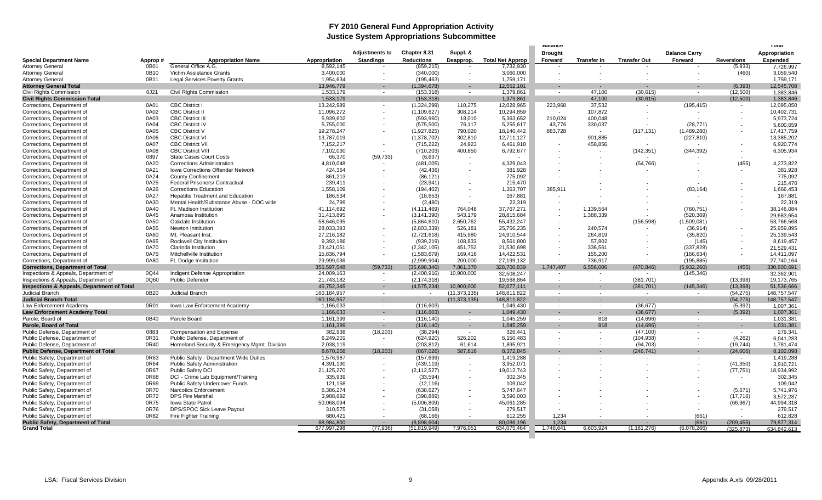#### **FY 2010 General Fund Appropriation Activity Justice System Appropriations Subcommittee**

|                                                       |         |                                              |                            | <b>Adjustments to</b> | Chapter 8.31      | Suppl. &         |                           | <b>Brought</b>           |                    |                          | <b>Balance Carry</b> |                   | Appropriation   |
|-------------------------------------------------------|---------|----------------------------------------------|----------------------------|-----------------------|-------------------|------------------|---------------------------|--------------------------|--------------------|--------------------------|----------------------|-------------------|-----------------|
| <b>Special Department Name</b>                        | Approp# | <b>Appropriation Name</b>                    | Appropriation              | <b>Standings</b>      | <b>Reductions</b> | Deapprop.        | <b>Total Net Approp</b>   | Forward                  | <b>Transfer In</b> | <b>Transfer Out</b>      | Forward              | <b>Reversions</b> | <b>Expended</b> |
| <b>Attorney General</b>                               | 0B01    | General Office A.G.                          | 8,592,145                  |                       | (859, 215)        |                  | 7,732,930                 |                          |                    |                          |                      | (5,933)           | 7,726,997       |
| <b>Attorney General</b>                               | 0B10    | Victim Assistance Grants                     | 3,400,000                  |                       | (340,000)         | $\sim$           | 3,060,000                 | ٠.                       |                    |                          |                      | (460)             | 3,059,540       |
| <b>Attorney General</b>                               | 0B11    | <b>Legal Services Poverty Grants</b>         | 1,954,634                  |                       | (195, 463)        | $\sim$           | 1,759,171                 |                          |                    |                          |                      |                   | 1,759,171       |
| <b>Attorney General Total</b>                         |         |                                              | 13,946,779                 |                       | (1, 394, 678)     | $\sim$           | 12,552,101                | $\overline{\phantom{a}}$ | ×,                 | $\blacksquare$           |                      | (6, 393)          | 12,545,708      |
| <b>Civil Rights Commission</b>                        | 0J21    | Civil Rights Commission                      | 1,533,179                  | $\sim$                | (153, 318)        | $\sim$           | 1,379,861                 | $\sim$                   | 47,100             | (30, 615)                | $\sim$               | (12,500)          | 1,383,846       |
| <b>Civil Rights Commission Total</b>                  |         |                                              | 1,533,179                  |                       | (153, 318)        | $\sim$           | 1,379,861                 | $\sim$                   | 47,100             | (30, 615)                | $\sim$               | (12,500)          | 1,383,846       |
| Corrections, Department of                            | 0A01    | <b>CBC District I</b>                        | 13,242,989                 |                       | (1,324,299)       | 110,275          | 12,028,965                | 223,968                  | 37,532             | $\overline{\phantom{a}}$ | (195, 415)           | $\sim$            | 12,095,050      |
| Corrections, Department of                            | 0A02    | <b>CBC District II</b>                       | 11,096,272                 |                       | (1, 109, 627)     | 308,214          | 10,294,859                | $\sim$                   | 107,872            |                          |                      |                   | 10,402,731      |
| Corrections, Department of                            | 0A03    | <b>CBC District III</b>                      | 5,939,602                  |                       | (593,960)         | 18,010           | 5,363,652                 | 210,024                  | 400,048            |                          |                      |                   | 5,973,724       |
| Corrections, Department of                            | 0A04    | <b>CBC District IV</b>                       | 5,755,000                  |                       | (575,500)         | 76,117           | 5,255,617                 | 43,776                   | 330,037            |                          | (28, 771)            |                   | 5,600,659       |
| Corrections, Department of                            | 0A05    | <b>CBC District V</b>                        | 19,278,247                 |                       | (1,927,825)       | 790,020          | 18,140,442                | 883,728                  |                    | (117, 131)               | (1,489,280)          |                   | 17,417,759      |
| Corrections, Department of                            | 0A06    | <b>CBC District VI</b>                       | 13,787,019                 |                       | (1,378,702)       | 302,810          | 12,711,127                | $\overline{\phantom{a}}$ | 901,885            | $\overline{\phantom{a}}$ | (227, 810)           |                   | 13,385,202      |
| Corrections, Department of                            | 0A07    | <b>CBC District VII</b>                      | 7,152,217                  |                       | (715, 222)        | 24.923           | 6,461,918                 |                          | 458,856            |                          |                      |                   | 6,920,774       |
| Corrections, Department of                            | 0A08    | <b>CBC District VIII</b>                     | 7,102,030                  |                       | (710, 203)        | 400,850          | 6,792,677                 |                          |                    | (142, 351)               | (344, 392)           |                   | 6,305,934       |
| Corrections, Department of                            | 0897    | <b>State Cases Court Costs</b>               | 66,370                     | (59, 733)             | (6,637)           |                  |                           |                          |                    |                          |                      |                   |                 |
| Corrections, Department of                            | 0A20    | <b>Corrections Administration</b>            | 4,810,048                  |                       | (481,005)         |                  | 4,329,043                 |                          |                    | (54, 766)                |                      | (455)             | 4,273,822       |
| Corrections, Department of                            | 0A21    | Iowa Corrections Offender Network            | 424,364                    |                       | (42, 436)         |                  | 381.928                   |                          |                    |                          |                      |                   | 381,928         |
| Corrections, Department of                            | 0A24    | <b>County Confinement</b>                    | 861,213                    |                       | (86, 121)         |                  | 775.092                   |                          |                    |                          |                      |                   | 775.092         |
| Corrections, Department of                            | 0A25    | Federal Prisoners/ Contractual               | 239,411                    |                       | (23, 941)         |                  | 215,470                   |                          |                    |                          |                      |                   | 215,470         |
| Corrections, Department of                            | 0A26    | <b>Corrections Education</b>                 | 1,558,109                  |                       | (194, 402)        |                  | 1,363,707                 | 385,911                  |                    |                          | (83, 164)            |                   | 1,666,453       |
| Corrections, Department of                            | 0A27    | <b>Hepatitis Treatment and Education</b>     | 186.534                    |                       | (18, 653)         |                  | 167.881                   |                          |                    |                          |                      |                   | 167,881         |
| Corrections, Department of                            | 0A30    | Mental Health/Substance Abuse - DOC wide     | 24.799                     |                       | (2,480)           | $\sim$           | 22.319                    |                          |                    |                          |                      |                   | 22,319          |
| Corrections, Department of                            | 0A40    | Ft. Madison Institution                      | 41,114,692                 |                       | (4, 111, 469)     | 764,048          | 37,767,271                |                          | 1,139,564          |                          | (760, 751)           |                   | 38,146,084      |
| Corrections, Department of                            | 0A45    | Anamosa Institution                          | 31,413,895                 |                       | (3, 141, 390)     | 543,179          | 28,815,684                |                          | 1,388,339          |                          | (520, 369)           |                   | 29,683,654      |
| Corrections, Department of                            | 0A50    | Oakdale Institution                          | 58,646,095                 |                       | (5,864,610)       | 2.650.762        | 55,432,247                |                          |                    | (156, 598)               | (1,509,081)          |                   | 53,766,568      |
| Corrections, Department of                            | 0A55    | Newton Institution                           | 28.033.393                 |                       | (2,803,339)       | 526.181          | 25,756,235                |                          | 240.574            |                          | (36, 914)            |                   | 25,959,895      |
| Corrections, Department of                            | 0A60    | Mt. Pleasant Inst.                           | 27,216,182                 |                       | (2,721,618)       | 415,980          | 24,910,544                |                          | 264,819            |                          | (35, 820)            |                   | 25,139,543      |
| Corrections, Department of                            | 0A65    | <b>Rockwell City Institution</b>             | 9,392,186                  |                       | (939, 219)        | 108,833          | 8,561,800                 |                          | 57,802             |                          | (145)                |                   | 8,619,457       |
| Corrections, Department of                            | 0A70    | Clarinda Institution                         | 23,421,051                 |                       | (2,342,105)       | 451,752          | 21,530,698                |                          | 336,561            |                          | (337, 828)           |                   | 21,529,43       |
| Corrections, Department of                            | 0A75    | Mitchellville Institution                    | 15,836,794                 |                       | (1,583,679)       | 169,416          | 14,422,531                |                          | 155,200            |                          | (166, 634)           |                   | 14,411,097      |
| Corrections, Department of                            | 0A80    | Ft. Dodge Institution                        | 29,999,036                 |                       | (2,999,904)       | 200,000          | 27,199,132                | $\sim$                   | 736,917            |                          | (195, 885)           |                   | 27,740,164      |
| <b>Corrections, Department of Total</b>               |         |                                              | 356,597,548                | (59, 733)             | (35,698,346)      | 7,861,370        | 328,700,839               | 1,747,407                | 6,556,006          | (470, 846)               | (5,932,260)          | (455)             | 330,600,691     |
| Inspections & Appeals, Department of                  | 0Q44    | Indigent Defense Appropriation               | 24,009,163                 | $\sim$                | (2,400,916)       | 10,900,000       | 32,508,247                | $\sim$                   | $\sim$             | $\sim$                   | (145, 346)           | $\sim$            | 32,362,901      |
| Inspections & Appeals, Department of                  | 0Q60    | <b>Public Defender</b>                       | 21,743,182                 |                       | (2, 174, 318)     | $\sim$           | 19,568,864                |                          | $\sim$             | (381, 701)               | $\sim$               | (13, 398)         | 19,173,765      |
| <b>Inspections &amp; Appeals, Department of Total</b> |         |                                              |                            |                       | (4, 575, 234)     |                  |                           |                          |                    |                          | (145, 346)           |                   | 51,536,666      |
| <b>Judicial Branch</b>                                | 0B20    | Judicial Branch                              | 45,752,345                 | $\sim$                | $\sim$            | 10,900,000       | 52,077,111<br>148,811,822 | $\overline{\phantom{a}}$ | $\sim$             | (381, 701)<br>$\sim$     | $\sim$               | (13, 398)         | 148,757,547     |
|                                                       |         |                                              | 160,184,957<br>160,184,957 |                       |                   | (11, 373, 135)   |                           |                          |                    |                          | . п.                 | (54, 275)         |                 |
| <b>Judicial Branch Total</b>                          | 0R01    |                                              |                            |                       | $\sim$            | (11, 373, 135)   | 148,811,822               |                          | ٠                  | $\sim$                   | $\sim$               | (54, 275)         | 148,757,547     |
| Law Enforcement Academy                               |         | Iowa Law Enforcement Academy                 | 1,166,033                  | $\sim$                | (116, 603)        | $\sim$           | 1,049,430                 | $\overline{\phantom{a}}$ | $\sim$             | (36, 677)                |                      | (5, 392)          | 1,007,361       |
| <b>Law Enforcement Academy Total</b>                  |         |                                              | 1,166,033                  | $\sim$<br>$\sim$      | (116, 603)        | $\sim$<br>$\sim$ | 1,049,430                 |                          | $\sim$             | (36, 677)                |                      | (5, 392)          | 1,007,361       |
| Parole, Board of                                      | 0B40    | Parole Board                                 | 1,161,399                  |                       | (116, 140)        |                  | 1,045,259                 | $\overline{\phantom{a}}$ | 818                | (14, 696)                | $\sim$               | $\sim$            | 1,031,381       |
| Parole, Board of Total                                |         |                                              | 1,161,399                  | $\sim$                | (116, 140)        | $\sim$           | 1,045,259                 |                          | 818                | (14, 696)                |                      | $\sim$            | 1,031,381       |
| Public Defense, Department of                         | 0883    | <b>Compensation and Expense</b>              | 382,938                    | (18, 203)             | (38, 294)         | $\sim$           | 326,441                   |                          |                    | (47, 100)                |                      | $\sim$            | 279,341         |
| Public Defense, Department of                         | 0R31    | Public Defense, Department of                | 6,249,201                  |                       | (624, 920)        | 526,202          | 6,150,483                 |                          | $\sim$             | (104, 938)               |                      | (4,262)           | 6,041,283       |
| Public Defense, Department of                         | 0R40    | Homeland Security & Emergency Mgmt. Division | 2,038,119                  |                       | (203, 812)        | 61,614           | 1,895,921                 |                          | ÷.                 | (94, 703)                |                      | (19, 744)         | 1,781,474       |
| <b>Public Defense, Department of Total</b>            |         |                                              | 8,670,258                  | (18, 203)             | (867, 026)        | 587,816          | 8,372,845                 |                          |                    | (246, 741)               |                      | (24,006)          | 8,102,098       |
| Public Safety, Department of                          | 0R63    | Public Safety - Department Wide Duties       | 1,576,987                  |                       | (157, 699)        | $\sim$           | 1,419,288                 |                          |                    |                          |                      | $\sim$            | 1,419,288       |
| Public Safety, Department of                          | 0R64    | Public Safety Administration                 | 4.391.190                  |                       | (439, 119)        |                  | 3,952,071                 |                          |                    |                          |                      | (41, 350)         | 3,910,72        |
| Public Safety, Department of                          | 0R67    | Public Safety DCI                            | 21,125,270                 |                       | (2, 112, 527)     |                  | 19,012,743                |                          |                    |                          |                      | (77, 751)         | 18,934,992      |
| Public Safety, Department of                          | 0R68    | DCI - Crime Lab Equipment/Training           | 335,939                    |                       | (33, 594)         |                  | 302,345                   |                          |                    |                          |                      | $\sim$            | 302,345         |
| Public Safety, Department of                          | 0R69    | Public Safety Undercover Funds               | 121,158                    |                       | (12, 116)         |                  | 109,042                   |                          |                    |                          |                      |                   | 109,042         |
| Public Safety, Department of                          | 0R70    | Narcotics Enforcement                        | 6,386,274                  |                       | (638, 627)        |                  | 5,747,647                 |                          |                    |                          |                      | (5,671)           | 5,741,976       |
| Public Safety, Department of                          | 0R72    | <b>DPS Fire Marshal</b>                      | 3,988,892                  |                       | (398, 889)        |                  | 3,590,003                 |                          |                    |                          |                      | (17, 716)         | 3,572,287       |
| Public Safety, Department of                          | 0R75    | <b>Iowa State Patrol</b>                     | 50,068,094                 |                       | (5,006,809)       |                  | 45,061,285                |                          |                    |                          |                      | (66, 967)         | 44,994,318      |
| Public Safety, Department of                          | 0R76    | DPS/SPOC Sick Leave Payout                   | 310,575                    |                       | (31,058)          |                  | 279,517                   |                          |                    |                          |                      |                   | 279,517         |
| Public Safety, Department of                          | 0R82    | Fire Fighter Training                        | 680.421                    |                       | (68.166)          |                  | 612.255                   | 1.234                    |                    |                          | (661)                |                   | 612,828         |
| <b>Public Safety, Department of Total</b>             |         |                                              | 88,984,800                 |                       | (8,898,604)       | <b>COL</b>       | 80,086,196                | 1,234                    |                    |                          | (661)                | (209, 455)        | 79,877,314      |
| <b>Grand Total</b>                                    |         |                                              | 677,997,298                | (77, 936)             | (51, 819, 949)    | 7,976,051        | 634,075,464               | 1,748,641                | 6,603,924          | (1, 181, 276)            | (6,078,266)          | (325.873)         | 634.842.613     |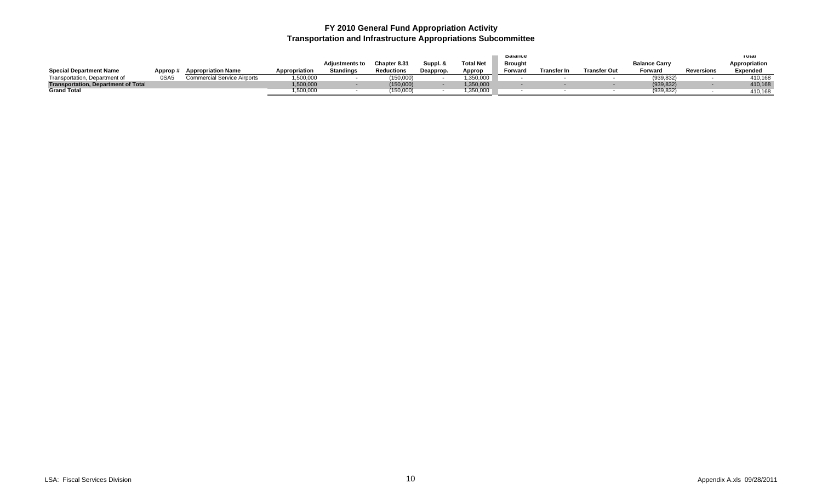### **FY 2010 General Fund Appropriation Activity Transportation and Infrastructure Appropriations Subcommittee**

|                                            |          |                             |               |                       |                   |           |                  | <b>Dalance</b> |                    |                     |                      |            | ι σται          |
|--------------------------------------------|----------|-----------------------------|---------------|-----------------------|-------------------|-----------|------------------|----------------|--------------------|---------------------|----------------------|------------|-----------------|
|                                            |          |                             |               | <b>Adiustments to</b> | Chapter 8.31      | Suppl. &  | <b>Total Net</b> | <b>Brought</b> |                    |                     | <b>Balance Carry</b> |            | Appropriation   |
| <b>Special Department Name</b>             | Approp # | <b>Appropriation Name</b>   | Appropriation | <b>Standings</b>      | <b>Reductions</b> | Deapprop. | Approp           | Forward        | <b>Transfer In</b> | <b>Transfer Out</b> | Forward              | Reversions | <b>Expended</b> |
| Transportation, Department of              | 0SA5     | Commercial Service Airports | ,500,000      |                       | (150,000)         |           | 0.350,000        |                |                    |                     | (939, 832)           |            | 410.168         |
| <b>Transportation, Department of Total</b> |          |                             | 500,000       |                       | (150,000)         |           | 1,350,000        |                |                    |                     | (939, 832)           |            | 410,168         |
| <b>Grand Total</b>                         |          |                             | ,500,000      |                       | (150,000)         |           | ,350,000         |                |                    |                     | (939, 832)           |            | 410,168         |